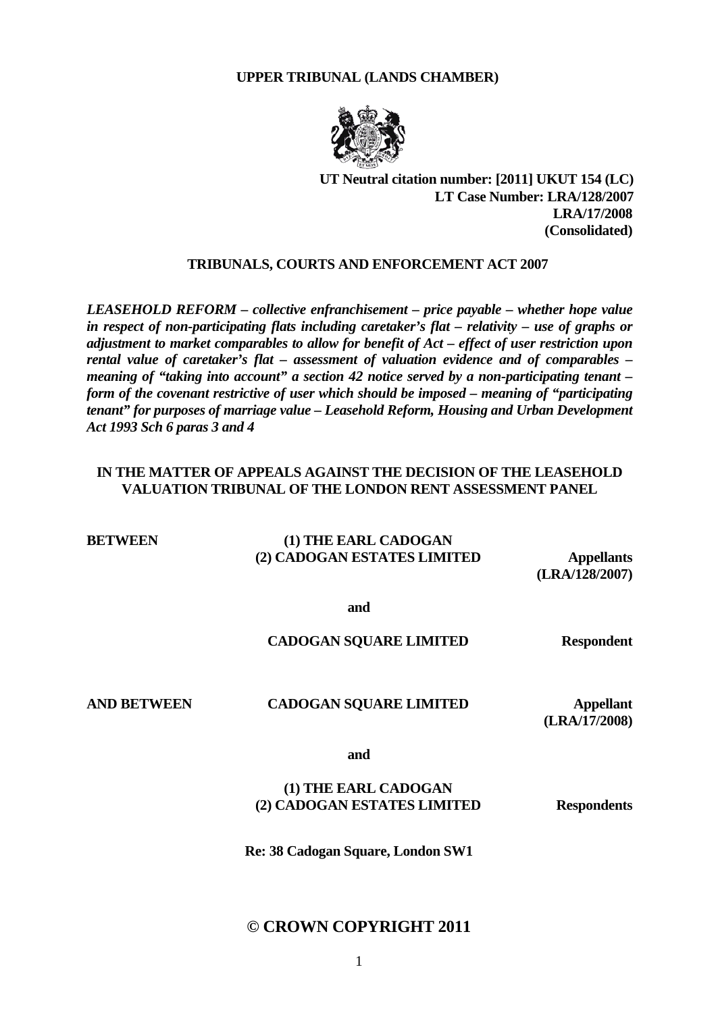#### **UPPER TRIBUNAL (LANDS CHAMBER)**



**UT Neutral citation number: [2011] UKUT 154 (LC) LT Case Number: LRA/128/2007 LRA/17/2008 (Consolidated)** 

## **TRIBUNALS, COURTS AND ENFORCEMENT ACT 2007**

*LEASEHOLD REFORM – collective enfranchisement – price payable – whether hope value in respect of non-participating flats including caretaker's flat – relativity – use of graphs or adjustment to market comparables to allow for benefit of Act – effect of user restriction upon rental value of caretaker's flat – assessment of valuation evidence and of comparables – meaning of "taking into account" a section 42 notice served by a non-participating tenant – form of the covenant restrictive of user which should be imposed – meaning of "participating tenant" for purposes of marriage value – Leasehold Reform, Housing and Urban Development Act 1993 Sch 6 paras 3 and 4* 

## **IN THE MATTER OF APPEALS AGAINST THE DECISION OF THE LEASEHOLD VALUATION TRIBUNAL OF THE LONDON RENT ASSESSMENT PANEL**

## **BETWEEN** (1) THE EARL CADOGAN  **(2) CADOGAN ESTATES LIMITED Appellants**

 **(LRA/128/2007)** 

**and** 

## **CADOGAN SQUARE LIMITED Respondent**

## **AND BETWEEN CADOGAN SQUARE LIMITED Appellant**

 **(LRA/17/2008)** 

**and** 

## **(1) THE EARL CADOGAN (2) CADOGAN ESTATES LIMITED Respondents**

**Re: 38 Cadogan Square, London SW1** 

## **© CROWN COPYRIGHT 2011**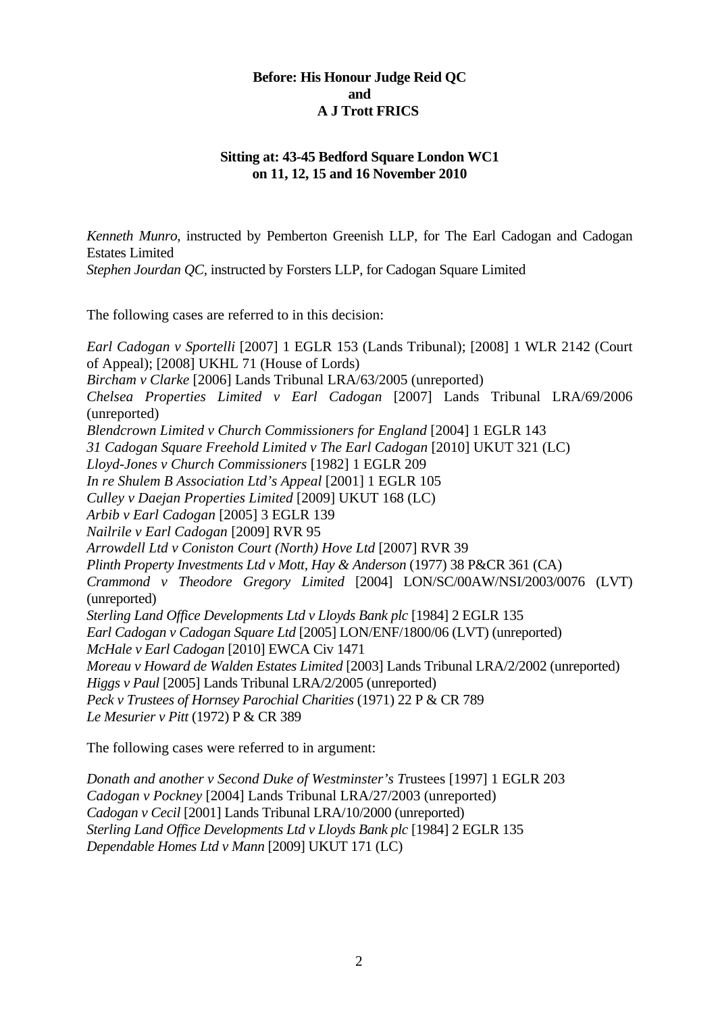## **Before: His Honour Judge Reid QC and A J Trott FRICS**

# **Sitting at: 43-45 Bedford Square London WC1 on 11, 12, 15 and 16 November 2010**

*Kenneth Munro*, instructed by Pemberton Greenish LLP, for The Earl Cadogan and Cadogan Estates Limited *Stephen Jourdan QC*, instructed by Forsters LLP, for Cadogan Square Limited

The following cases are referred to in this decision:

*Earl Cadogan v Sportelli* [2007] 1 EGLR 153 (Lands Tribunal); [2008] 1 WLR 2142 (Court of Appeal); [2008] UKHL 71 (House of Lords) *Bircham v Clarke* [2006] Lands Tribunal LRA/63/2005 (unreported) *Chelsea Properties Limited v Earl Cadogan* [2007] Lands Tribunal LRA/69/2006 (unreported) *Blendcrown Limited v Church Commissioners for England* [2004] 1 EGLR 143 *31 Cadogan Square Freehold Limited v The Earl Cadogan* [2010] UKUT 321 (LC) *Lloyd-Jones v Church Commissioners* [1982] 1 EGLR 209 *In re Shulem B Association Ltd's Appeal* [2001] 1 EGLR 105 *Culley v Daejan Properties Limited* [2009] UKUT 168 (LC) *Arbib v Earl Cadogan* [2005] 3 EGLR 139 *Nailrile v Earl Cadogan* [2009] RVR 95 *Arrowdell Ltd v Coniston Court (North) Hove Ltd* [2007] RVR 39 *Plinth Property Investments Ltd v Mott, Hay & Anderson* (1977) 38 P&CR 361 (CA) *Crammond v Theodore Gregory Limited* [2004] LON/SC/00AW/NSI/2003/0076 (LVT) (unreported) *Sterling Land Office Developments Ltd v Lloyds Bank plc* [1984] 2 EGLR 135 *Earl Cadogan v Cadogan Square Ltd* [2005] LON/ENF/1800/06 (LVT) (unreported) *McHale v Earl Cadogan* [2010] EWCA Civ 1471 *Moreau v Howard de Walden Estates Limited* [2003] Lands Tribunal LRA/2/2002 (unreported) *Higgs v Paul* [2005] Lands Tribunal LRA/2/2005 (unreported) *Peck v Trustees of Hornsey Parochial Charities* (1971) 22 P & CR 789 *Le Mesurier v Pitt* (1972) P & CR 389

The following cases were referred to in argument:

*Donath and another v Second Duke of Westminster's T*rustees [1997] 1 EGLR 203 *Cadogan v Pockney* [2004] Lands Tribunal LRA/27/2003 (unreported) *Cadogan v Cecil* [2001] Lands Tribunal LRA/10/2000 (unreported) *Sterling Land Office Developments Ltd v Lloyds Bank plc* [1984] 2 EGLR 135 *Dependable Homes Ltd v Mann* [2009] UKUT 171 (LC)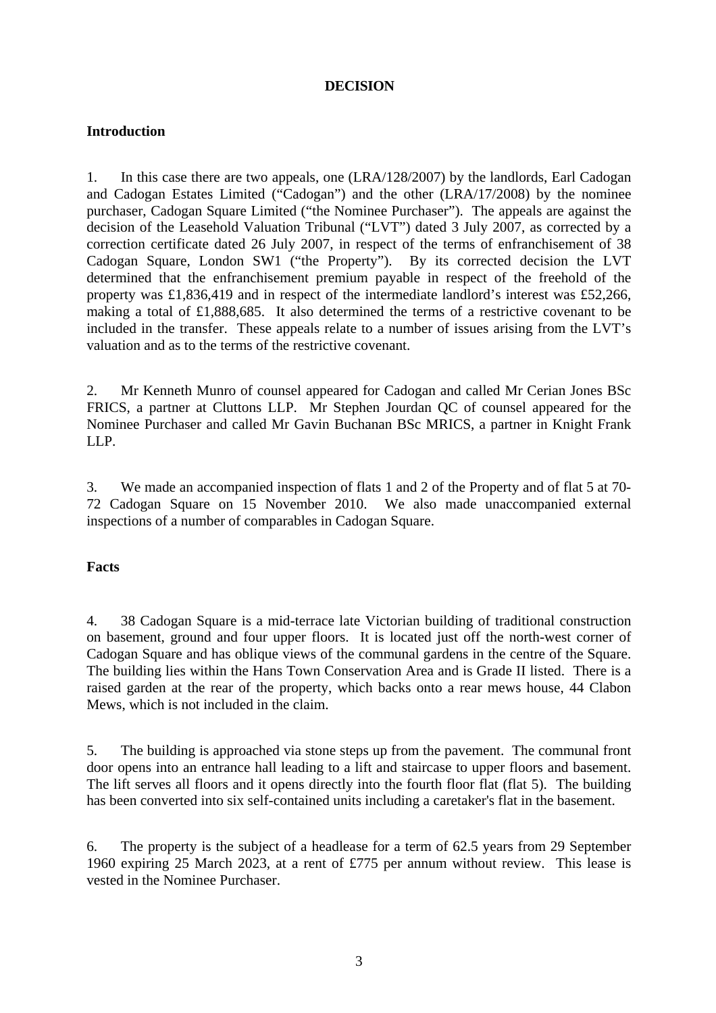## **DECISION**

## **Introduction**

1. In this case there are two appeals, one (LRA/128/2007) by the landlords, Earl Cadogan and Cadogan Estates Limited ("Cadogan") and the other (LRA/17/2008) by the nominee purchaser, Cadogan Square Limited ("the Nominee Purchaser"). The appeals are against the decision of the Leasehold Valuation Tribunal ("LVT") dated 3 July 2007, as corrected by a correction certificate dated 26 July 2007, in respect of the terms of enfranchisement of 38 Cadogan Square, London SW1 ("the Property"). By its corrected decision the LVT determined that the enfranchisement premium payable in respect of the freehold of the property was £1,836,419 and in respect of the intermediate landlord's interest was £52,266, making a total of £1,888,685. It also determined the terms of a restrictive covenant to be included in the transfer. These appeals relate to a number of issues arising from the LVT's valuation and as to the terms of the restrictive covenant.

2. Mr Kenneth Munro of counsel appeared for Cadogan and called Mr Cerian Jones BSc FRICS, a partner at Cluttons LLP. Mr Stephen Jourdan QC of counsel appeared for the Nominee Purchaser and called Mr Gavin Buchanan BSc MRICS, a partner in Knight Frank LLP.

3. We made an accompanied inspection of flats 1 and 2 of the Property and of flat 5 at 70- 72 Cadogan Square on 15 November 2010. We also made unaccompanied external inspections of a number of comparables in Cadogan Square.

## **Facts**

4. 38 Cadogan Square is a mid-terrace late Victorian building of traditional construction on basement, ground and four upper floors. It is located just off the north-west corner of Cadogan Square and has oblique views of the communal gardens in the centre of the Square. The building lies within the Hans Town Conservation Area and is Grade II listed. There is a raised garden at the rear of the property, which backs onto a rear mews house, 44 Clabon Mews, which is not included in the claim.

5. The building is approached via stone steps up from the pavement. The communal front door opens into an entrance hall leading to a lift and staircase to upper floors and basement. The lift serves all floors and it opens directly into the fourth floor flat (flat 5). The building has been converted into six self-contained units including a caretaker's flat in the basement.

6. The property is the subject of a headlease for a term of 62.5 years from 29 September 1960 expiring 25 March 2023, at a rent of £775 per annum without review. This lease is vested in the Nominee Purchaser.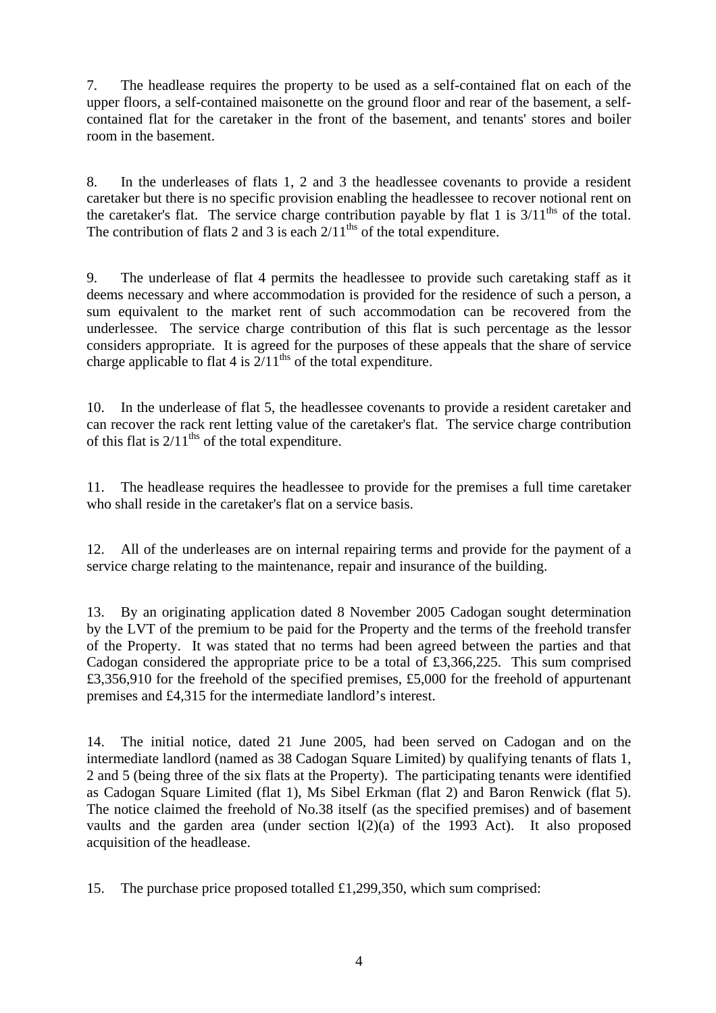7. The headlease requires the property to be used as a self-contained flat on each of the upper floors, a self-contained maisonette on the ground floor and rear of the basement, a selfcontained flat for the caretaker in the front of the basement, and tenants' stores and boiler room in the basement.

8. In the underleases of flats 1, 2 and 3 the headlessee covenants to provide a resident caretaker but there is no specific provision enabling the headlessee to recover notional rent on the caretaker's flat. The service charge contribution payable by flat 1 is  $3/11<sup>ths</sup>$  of the total. The contribution of flats 2 and 3 is each  $2/11^{\text{ths}}$  of the total expenditure.

9. The underlease of flat 4 permits the headlessee to provide such caretaking staff as it deems necessary and where accommodation is provided for the residence of such a person, a sum equivalent to the market rent of such accommodation can be recovered from the underlessee. The service charge contribution of this flat is such percentage as the lessor considers appropriate. It is agreed for the purposes of these appeals that the share of service charge applicable to flat 4 is  $2/11^{\text{ths}}$  of the total expenditure.

10. In the underlease of flat 5, the headlessee covenants to provide a resident caretaker and can recover the rack rent letting value of the caretaker's flat. The service charge contribution of this flat is  $2/11^{\text{ths}}$  of the total expenditure.

11. The headlease requires the headlessee to provide for the premises a full time caretaker who shall reside in the caretaker's flat on a service basis.

12. All of the underleases are on internal repairing terms and provide for the payment of a service charge relating to the maintenance, repair and insurance of the building.

13. By an originating application dated 8 November 2005 Cadogan sought determination by the LVT of the premium to be paid for the Property and the terms of the freehold transfer of the Property. It was stated that no terms had been agreed between the parties and that Cadogan considered the appropriate price to be a total of £3,366,225. This sum comprised £3,356,910 for the freehold of the specified premises, £5,000 for the freehold of appurtenant premises and £4,315 for the intermediate landlord's interest.

14. The initial notice, dated 21 June 2005, had been served on Cadogan and on the intermediate landlord (named as 38 Cadogan Square Limited) by qualifying tenants of flats 1, 2 and 5 (being three of the six flats at the Property). The participating tenants were identified as Cadogan Square Limited (flat 1), Ms Sibel Erkman (flat 2) and Baron Renwick (flat 5). The notice claimed the freehold of No.38 itself (as the specified premises) and of basement vaults and the garden area (under section  $l(2)(a)$  of the 1993 Act). It also proposed acquisition of the headlease.

15. The purchase price proposed totalled £1,299,350, which sum comprised: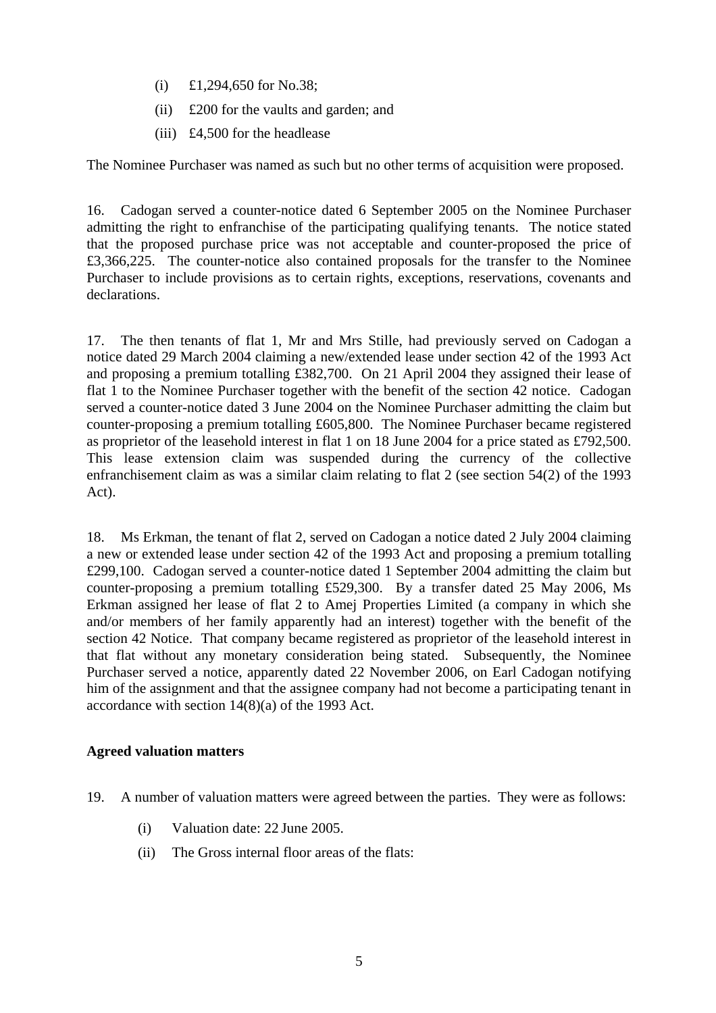- (i) £1,294,650 for No.38;
- (ii) £200 for the vaults and garden; and
- (iii) £4,500 for the headlease

The Nominee Purchaser was named as such but no other terms of acquisition were proposed.

16. Cadogan served a counter-notice dated 6 September 2005 on the Nominee Purchaser admitting the right to enfranchise of the participating qualifying tenants. The notice stated that the proposed purchase price was not acceptable and counter-proposed the price of £3,366,225. The counter-notice also contained proposals for the transfer to the Nominee Purchaser to include provisions as to certain rights, exceptions, reservations, covenants and declarations.

17. The then tenants of flat 1, Mr and Mrs Stille, had previously served on Cadogan a notice dated 29 March 2004 claiming a new/extended lease under section 42 of the 1993 Act and proposing a premium totalling £382,700. On 21 April 2004 they assigned their lease of flat 1 to the Nominee Purchaser together with the benefit of the section 42 notice. Cadogan served a counter-notice dated 3 June 2004 on the Nominee Purchaser admitting the claim but counter-proposing a premium totalling £605,800. The Nominee Purchaser became registered as proprietor of the leasehold interest in flat 1 on 18 June 2004 for a price stated as £792,500. This lease extension claim was suspended during the currency of the collective enfranchisement claim as was a similar claim relating to flat 2 (see section 54(2) of the 1993 Act).

18. Ms Erkman, the tenant of flat 2, served on Cadogan a notice dated 2 July 2004 claiming a new or extended lease under section 42 of the 1993 Act and proposing a premium totalling £299,100. Cadogan served a counter-notice dated 1 September 2004 admitting the claim but counter-proposing a premium totalling £529,300. By a transfer dated 25 May 2006, Ms Erkman assigned her lease of flat 2 to Amej Properties Limited (a company in which she and/or members of her family apparently had an interest) together with the benefit of the section 42 Notice. That company became registered as proprietor of the leasehold interest in that flat without any monetary consideration being stated. Subsequently, the Nominee Purchaser served a notice, apparently dated 22 November 2006, on Earl Cadogan notifying him of the assignment and that the assignee company had not become a participating tenant in accordance with section 14(8)(a) of the 1993 Act.

## **Agreed valuation matters**

- 19. A number of valuation matters were agreed between the parties. They were as follows:
	- (i) Valuation date: 22 June 2005.
	- (ii) The Gross internal floor areas of the flats: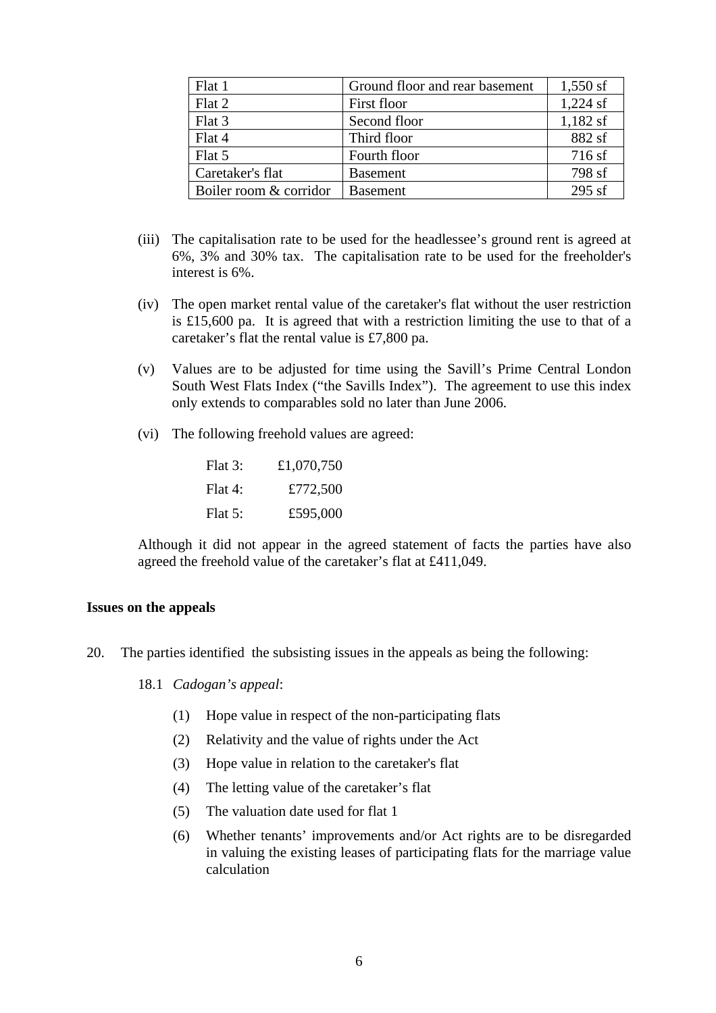| Flat 1                 | Ground floor and rear basement | $1,550$ sf |
|------------------------|--------------------------------|------------|
| Flat 2                 | First floor                    | $1,224$ sf |
| Flat 3                 | Second floor                   | $1,182$ sf |
| Flat 4                 | Third floor                    | 882 sf     |
| Flat 5                 | Fourth floor                   | 716 sf     |
| Caretaker's flat       | <b>Basement</b>                | 798 sf     |
| Boiler room & corridor | <b>Basement</b>                | $295$ sf   |

- (iii) The capitalisation rate to be used for the headlessee's ground rent is agreed at 6%, 3% and 30% tax. The capitalisation rate to be used for the freeholder's interest is 6%.
- (iv) The open market rental value of the caretaker's flat without the user restriction is £15,600 pa. It is agreed that with a restriction limiting the use to that of a caretaker's flat the rental value is £7,800 pa.
- (v) Values are to be adjusted for time using the Savill's Prime Central London South West Flats Index ("the Savills Index"). The agreement to use this index only extends to comparables sold no later than June 2006.
- (vi) The following freehold values are agreed:

| Flat 3: | £1,070,750 |
|---------|------------|
| Flat 4: | £772,500   |
| Flat 5: | £595,000   |

Although it did not appear in the agreed statement of facts the parties have also agreed the freehold value of the caretaker's flat at £411,049.

## **Issues on the appeals**

- 20. The parties identified the subsisting issues in the appeals as being the following:
	- 18.1 *Cadogan's appeal*:
		- (1) Hope value in respect of the non-participating flats
		- (2) Relativity and the value of rights under the Act
		- (3) Hope value in relation to the caretaker's flat
		- (4) The letting value of the caretaker's flat
		- (5) The valuation date used for flat 1
		- (6) Whether tenants' improvements and/or Act rights are to be disregarded in valuing the existing leases of participating flats for the marriage value calculation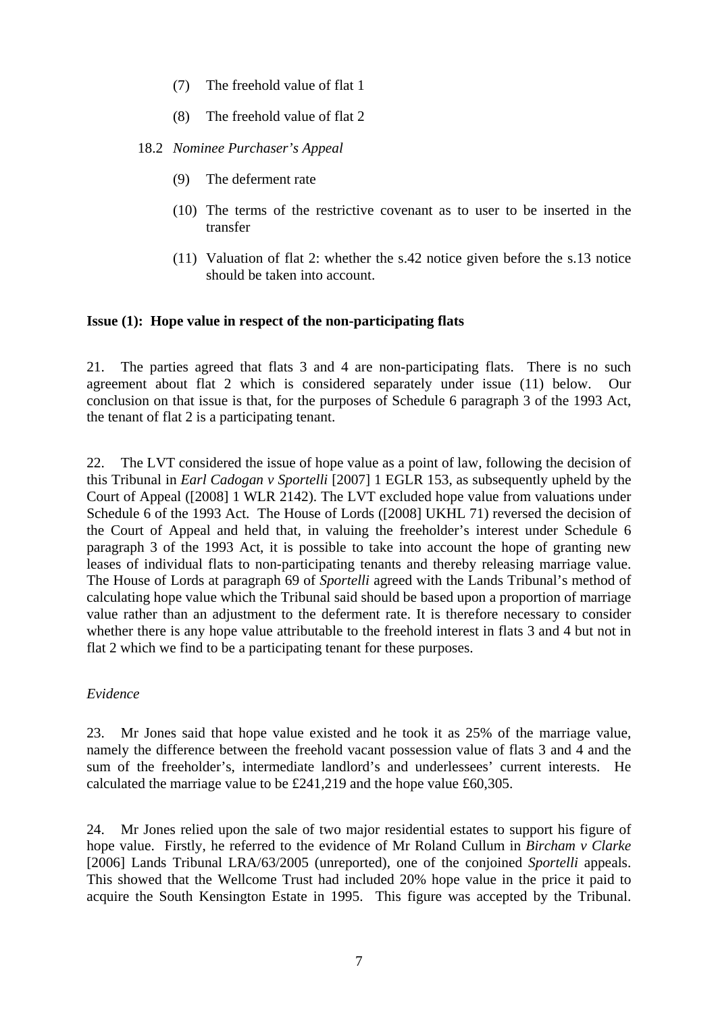- (7) The freehold value of flat 1
- (8) The freehold value of flat 2
- 18.2 *Nominee Purchaser's Appeal*
	- (9) The deferment rate
	- (10) The terms of the restrictive covenant as to user to be inserted in the transfer
	- (11) Valuation of flat 2: whether the s.42 notice given before the s.13 notice should be taken into account.

## **Issue (1): Hope value in respect of the non-participating flats**

21. The parties agreed that flats 3 and 4 are non-participating flats. There is no such agreement about flat 2 which is considered separately under issue (11) below. Our conclusion on that issue is that, for the purposes of Schedule 6 paragraph 3 of the 1993 Act, the tenant of flat 2 is a participating tenant.

22. The LVT considered the issue of hope value as a point of law, following the decision of this Tribunal in *Earl Cadogan v Sportelli* [2007] 1 EGLR 153, as subsequently upheld by the Court of Appeal ([2008] 1 WLR 2142). The LVT excluded hope value from valuations under Schedule 6 of the 1993 Act. The House of Lords ([2008] UKHL 71) reversed the decision of the Court of Appeal and held that, in valuing the freeholder's interest under Schedule 6 paragraph 3 of the 1993 Act, it is possible to take into account the hope of granting new leases of individual flats to non-participating tenants and thereby releasing marriage value. The House of Lords at paragraph 69 of *Sportelli* agreed with the Lands Tribunal's method of calculating hope value which the Tribunal said should be based upon a proportion of marriage value rather than an adjustment to the deferment rate. It is therefore necessary to consider whether there is any hope value attributable to the freehold interest in flats 3 and 4 but not in flat 2 which we find to be a participating tenant for these purposes.

## *Evidence*

23. Mr Jones said that hope value existed and he took it as 25% of the marriage value, namely the difference between the freehold vacant possession value of flats 3 and 4 and the sum of the freeholder's, intermediate landlord's and underlessees' current interests. He calculated the marriage value to be £241,219 and the hope value £60,305.

24. Mr Jones relied upon the sale of two major residential estates to support his figure of hope value. Firstly, he referred to the evidence of Mr Roland Cullum in *Bircham v Clarke* [2006] Lands Tribunal LRA/63/2005 (unreported), one of the conjoined *Sportelli* appeals. This showed that the Wellcome Trust had included 20% hope value in the price it paid to acquire the South Kensington Estate in 1995. This figure was accepted by the Tribunal.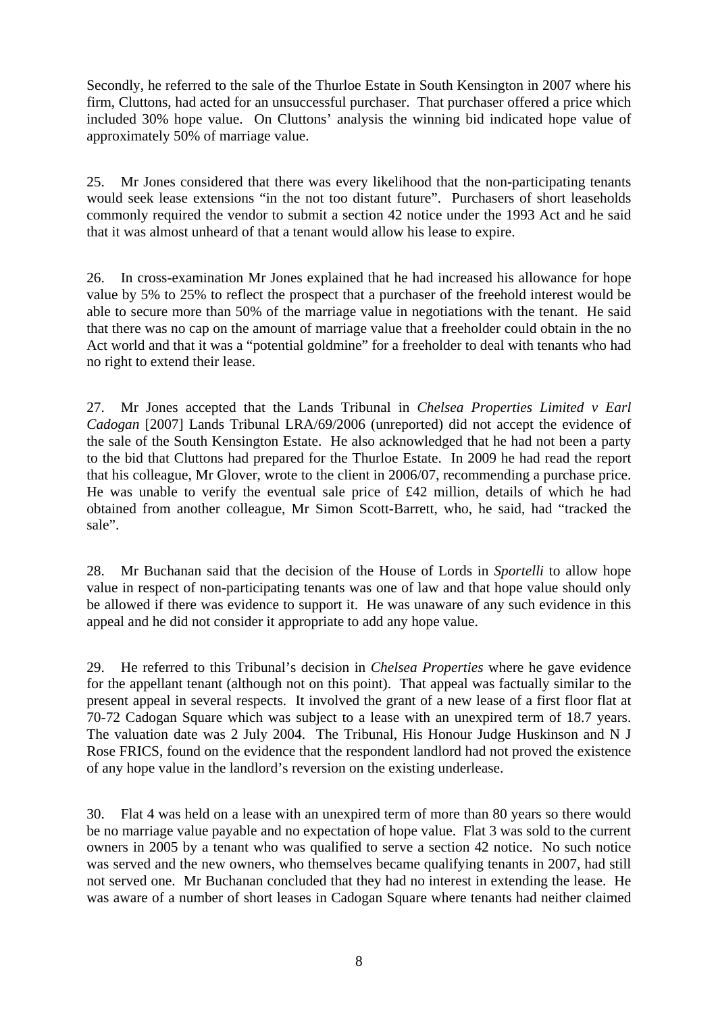Secondly, he referred to the sale of the Thurloe Estate in South Kensington in 2007 where his firm, Cluttons, had acted for an unsuccessful purchaser. That purchaser offered a price which included 30% hope value. On Cluttons' analysis the winning bid indicated hope value of approximately 50% of marriage value.

25. Mr Jones considered that there was every likelihood that the non-participating tenants would seek lease extensions "in the not too distant future". Purchasers of short leaseholds commonly required the vendor to submit a section 42 notice under the 1993 Act and he said that it was almost unheard of that a tenant would allow his lease to expire.

26. In cross-examination Mr Jones explained that he had increased his allowance for hope value by 5% to 25% to reflect the prospect that a purchaser of the freehold interest would be able to secure more than 50% of the marriage value in negotiations with the tenant. He said that there was no cap on the amount of marriage value that a freeholder could obtain in the no Act world and that it was a "potential goldmine" for a freeholder to deal with tenants who had no right to extend their lease.

27. Mr Jones accepted that the Lands Tribunal in *Chelsea Properties Limited v Earl Cadogan* [2007] Lands Tribunal LRA/69/2006 (unreported) did not accept the evidence of the sale of the South Kensington Estate. He also acknowledged that he had not been a party to the bid that Cluttons had prepared for the Thurloe Estate. In 2009 he had read the report that his colleague, Mr Glover, wrote to the client in 2006/07, recommending a purchase price. He was unable to verify the eventual sale price of £42 million, details of which he had obtained from another colleague, Mr Simon Scott-Barrett, who, he said, had "tracked the sale".

28. Mr Buchanan said that the decision of the House of Lords in *Sportelli* to allow hope value in respect of non-participating tenants was one of law and that hope value should only be allowed if there was evidence to support it. He was unaware of any such evidence in this appeal and he did not consider it appropriate to add any hope value.

29. He referred to this Tribunal's decision in *Chelsea Properties* where he gave evidence for the appellant tenant (although not on this point). That appeal was factually similar to the present appeal in several respects. It involved the grant of a new lease of a first floor flat at 70-72 Cadogan Square which was subject to a lease with an unexpired term of 18.7 years. The valuation date was 2 July 2004. The Tribunal, His Honour Judge Huskinson and N J Rose FRICS, found on the evidence that the respondent landlord had not proved the existence of any hope value in the landlord's reversion on the existing underlease.

30. Flat 4 was held on a lease with an unexpired term of more than 80 years so there would be no marriage value payable and no expectation of hope value. Flat 3 was sold to the current owners in 2005 by a tenant who was qualified to serve a section 42 notice. No such notice was served and the new owners, who themselves became qualifying tenants in 2007, had still not served one. Mr Buchanan concluded that they had no interest in extending the lease. He was aware of a number of short leases in Cadogan Square where tenants had neither claimed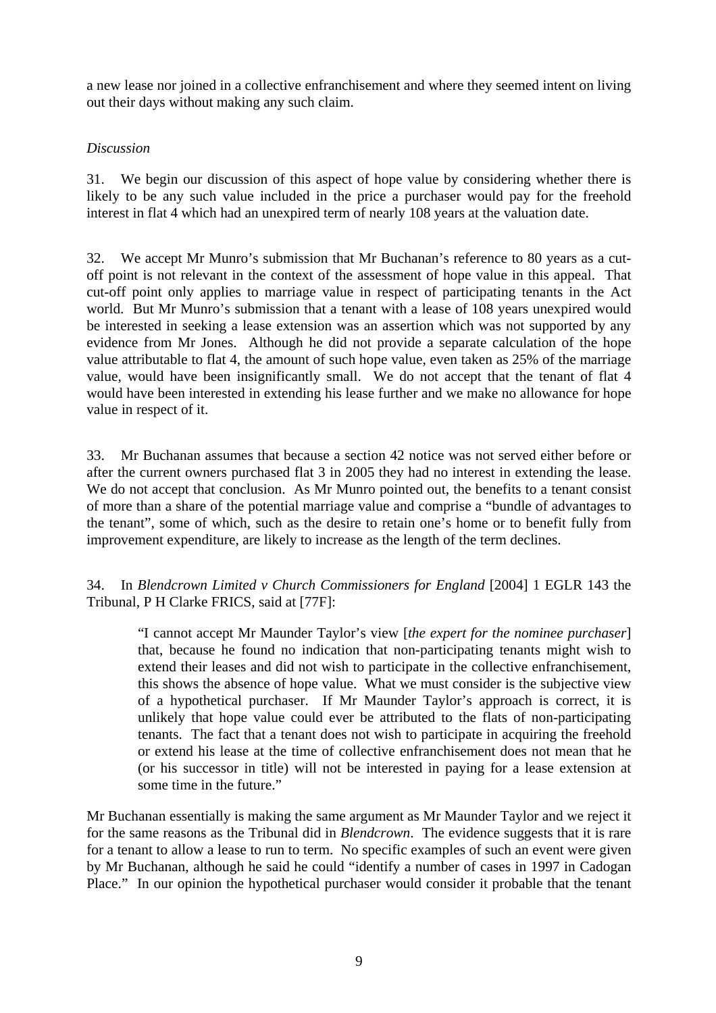a new lease nor joined in a collective enfranchisement and where they seemed intent on living out their days without making any such claim.

## *Discussion*

31. We begin our discussion of this aspect of hope value by considering whether there is likely to be any such value included in the price a purchaser would pay for the freehold interest in flat 4 which had an unexpired term of nearly 108 years at the valuation date.

32. We accept Mr Munro's submission that Mr Buchanan's reference to 80 years as a cutoff point is not relevant in the context of the assessment of hope value in this appeal. That cut-off point only applies to marriage value in respect of participating tenants in the Act world. But Mr Munro's submission that a tenant with a lease of 108 years unexpired would be interested in seeking a lease extension was an assertion which was not supported by any evidence from Mr Jones. Although he did not provide a separate calculation of the hope value attributable to flat 4, the amount of such hope value, even taken as 25% of the marriage value, would have been insignificantly small. We do not accept that the tenant of flat 4 would have been interested in extending his lease further and we make no allowance for hope value in respect of it.

33. Mr Buchanan assumes that because a section 42 notice was not served either before or after the current owners purchased flat 3 in 2005 they had no interest in extending the lease. We do not accept that conclusion. As Mr Munro pointed out, the benefits to a tenant consist of more than a share of the potential marriage value and comprise a "bundle of advantages to the tenant", some of which, such as the desire to retain one's home or to benefit fully from improvement expenditure, are likely to increase as the length of the term declines.

34. In *Blendcrown Limited v Church Commissioners for England* [2004] 1 EGLR 143 the Tribunal, P H Clarke FRICS, said at [77F]:

"I cannot accept Mr Maunder Taylor's view [*the expert for the nominee purchaser*] that, because he found no indication that non-participating tenants might wish to extend their leases and did not wish to participate in the collective enfranchisement, this shows the absence of hope value. What we must consider is the subjective view of a hypothetical purchaser. If Mr Maunder Taylor's approach is correct, it is unlikely that hope value could ever be attributed to the flats of non-participating tenants. The fact that a tenant does not wish to participate in acquiring the freehold or extend his lease at the time of collective enfranchisement does not mean that he (or his successor in title) will not be interested in paying for a lease extension at some time in the future."

Mr Buchanan essentially is making the same argument as Mr Maunder Taylor and we reject it for the same reasons as the Tribunal did in *Blendcrown*. The evidence suggests that it is rare for a tenant to allow a lease to run to term. No specific examples of such an event were given by Mr Buchanan, although he said he could "identify a number of cases in 1997 in Cadogan Place." In our opinion the hypothetical purchaser would consider it probable that the tenant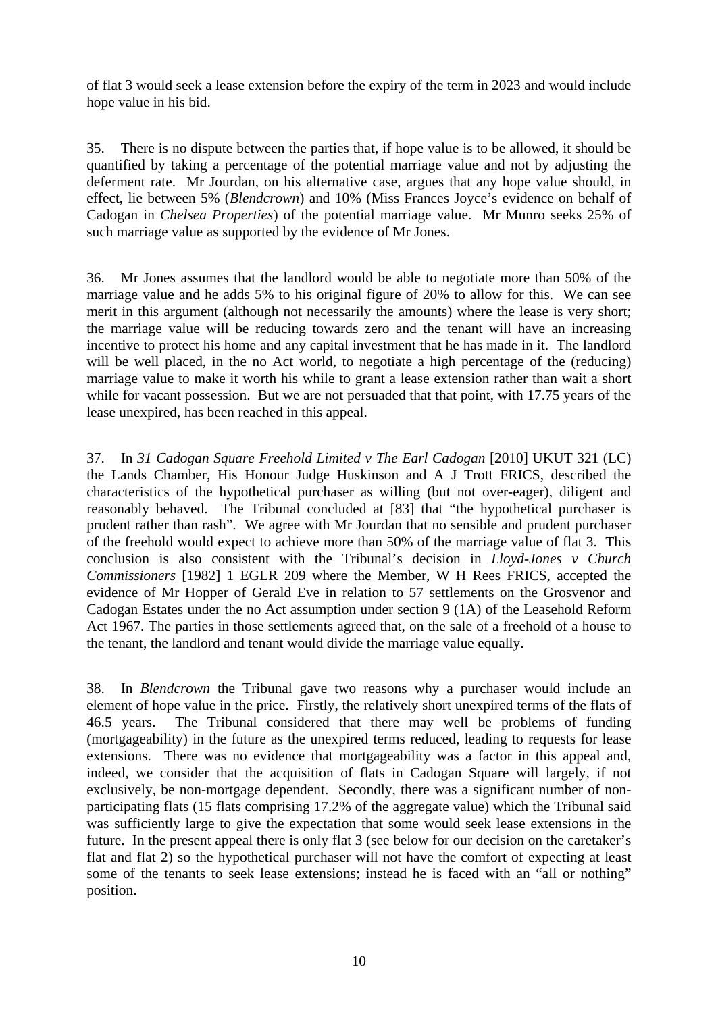of flat 3 would seek a lease extension before the expiry of the term in 2023 and would include hope value in his bid.

35. There is no dispute between the parties that, if hope value is to be allowed, it should be quantified by taking a percentage of the potential marriage value and not by adjusting the deferment rate. Mr Jourdan, on his alternative case, argues that any hope value should, in effect, lie between 5% (*Blendcrown*) and 10% (Miss Frances Joyce's evidence on behalf of Cadogan in *Chelsea Properties*) of the potential marriage value. Mr Munro seeks 25% of such marriage value as supported by the evidence of Mr Jones.

36. Mr Jones assumes that the landlord would be able to negotiate more than 50% of the marriage value and he adds 5% to his original figure of 20% to allow for this. We can see merit in this argument (although not necessarily the amounts) where the lease is very short; the marriage value will be reducing towards zero and the tenant will have an increasing incentive to protect his home and any capital investment that he has made in it. The landlord will be well placed, in the no Act world, to negotiate a high percentage of the (reducing) marriage value to make it worth his while to grant a lease extension rather than wait a short while for vacant possession. But we are not persuaded that that point, with 17.75 years of the lease unexpired, has been reached in this appeal.

37. In *31 Cadogan Square Freehold Limited v The Earl Cadogan* [2010] UKUT 321 (LC) the Lands Chamber, His Honour Judge Huskinson and A J Trott FRICS, described the characteristics of the hypothetical purchaser as willing (but not over-eager), diligent and reasonably behaved. The Tribunal concluded at [83] that "the hypothetical purchaser is prudent rather than rash". We agree with Mr Jourdan that no sensible and prudent purchaser of the freehold would expect to achieve more than 50% of the marriage value of flat 3. This conclusion is also consistent with the Tribunal's decision in *Lloyd-Jones v Church Commissioners* [1982] 1 EGLR 209 where the Member, W H Rees FRICS, accepted the evidence of Mr Hopper of Gerald Eve in relation to 57 settlements on the Grosvenor and Cadogan Estates under the no Act assumption under section 9 (1A) of the Leasehold Reform Act 1967. The parties in those settlements agreed that, on the sale of a freehold of a house to the tenant, the landlord and tenant would divide the marriage value equally.

38. In *Blendcrown* the Tribunal gave two reasons why a purchaser would include an element of hope value in the price. Firstly, the relatively short unexpired terms of the flats of 46.5 years. The Tribunal considered that there may well be problems of funding (mortgageability) in the future as the unexpired terms reduced, leading to requests for lease extensions. There was no evidence that mortgageability was a factor in this appeal and, indeed, we consider that the acquisition of flats in Cadogan Square will largely, if not exclusively, be non-mortgage dependent. Secondly, there was a significant number of nonparticipating flats (15 flats comprising 17.2% of the aggregate value) which the Tribunal said was sufficiently large to give the expectation that some would seek lease extensions in the future. In the present appeal there is only flat 3 (see below for our decision on the caretaker's flat and flat 2) so the hypothetical purchaser will not have the comfort of expecting at least some of the tenants to seek lease extensions; instead he is faced with an "all or nothing" position.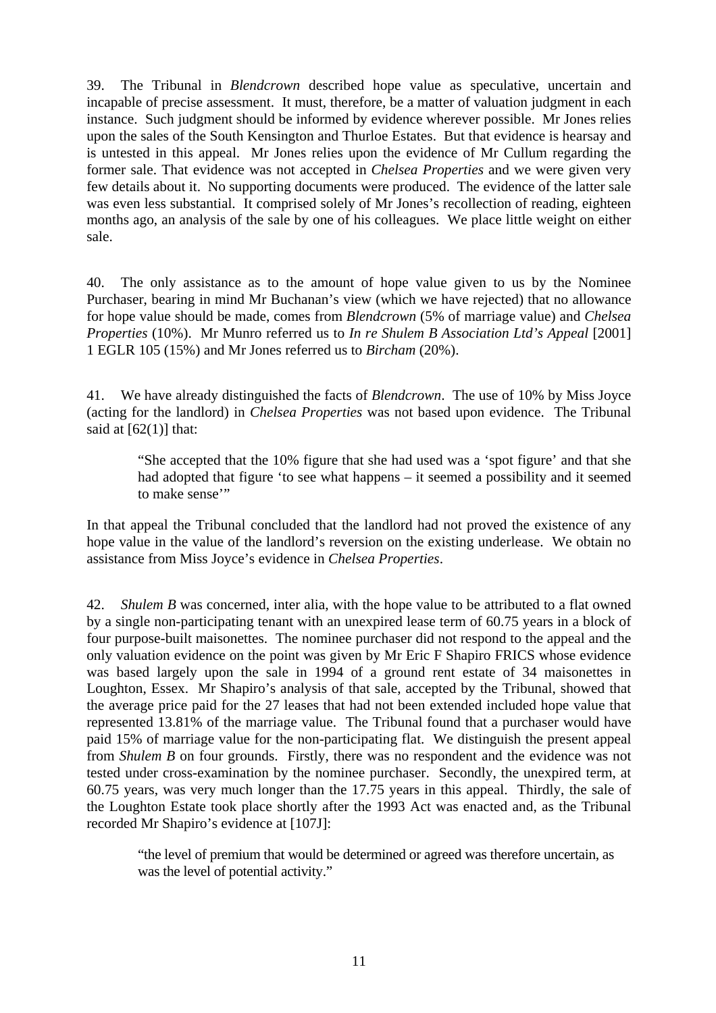39. The Tribunal in *Blendcrown* described hope value as speculative, uncertain and incapable of precise assessment. It must, therefore, be a matter of valuation judgment in each instance. Such judgment should be informed by evidence wherever possible. Mr Jones relies upon the sales of the South Kensington and Thurloe Estates. But that evidence is hearsay and is untested in this appeal. Mr Jones relies upon the evidence of Mr Cullum regarding the former sale. That evidence was not accepted in *Chelsea Properties* and we were given very few details about it. No supporting documents were produced. The evidence of the latter sale was even less substantial. It comprised solely of Mr Jones's recollection of reading, eighteen months ago, an analysis of the sale by one of his colleagues. We place little weight on either sale.

40. The only assistance as to the amount of hope value given to us by the Nominee Purchaser, bearing in mind Mr Buchanan's view (which we have rejected) that no allowance for hope value should be made, comes from *Blendcrown* (5% of marriage value) and *Chelsea Properties* (10%). Mr Munro referred us to *In re Shulem B Association Ltd's Appeal* [2001] 1 EGLR 105 (15%) and Mr Jones referred us to *Bircham* (20%).

41. We have already distinguished the facts of *Blendcrown*. The use of 10% by Miss Joyce (acting for the landlord) in *Chelsea Properties* was not based upon evidence. The Tribunal said at  $[62(1)]$  that:

"She accepted that the 10% figure that she had used was a 'spot figure' and that she had adopted that figure 'to see what happens – it seemed a possibility and it seemed to make sense"

In that appeal the Tribunal concluded that the landlord had not proved the existence of any hope value in the value of the landlord's reversion on the existing underlease. We obtain no assistance from Miss Joyce's evidence in *Chelsea Properties*.

42. *Shulem B* was concerned, inter alia, with the hope value to be attributed to a flat owned by a single non-participating tenant with an unexpired lease term of 60.75 years in a block of four purpose-built maisonettes. The nominee purchaser did not respond to the appeal and the only valuation evidence on the point was given by Mr Eric F Shapiro FRICS whose evidence was based largely upon the sale in 1994 of a ground rent estate of 34 maisonettes in Loughton, Essex. Mr Shapiro's analysis of that sale, accepted by the Tribunal, showed that the average price paid for the 27 leases that had not been extended included hope value that represented 13.81% of the marriage value. The Tribunal found that a purchaser would have paid 15% of marriage value for the non-participating flat. We distinguish the present appeal from *Shulem B* on four grounds. Firstly, there was no respondent and the evidence was not tested under cross-examination by the nominee purchaser. Secondly, the unexpired term, at 60.75 years, was very much longer than the 17.75 years in this appeal. Thirdly, the sale of the Loughton Estate took place shortly after the 1993 Act was enacted and, as the Tribunal recorded Mr Shapiro's evidence at [107J]:

"the level of premium that would be determined or agreed was therefore uncertain, as was the level of potential activity."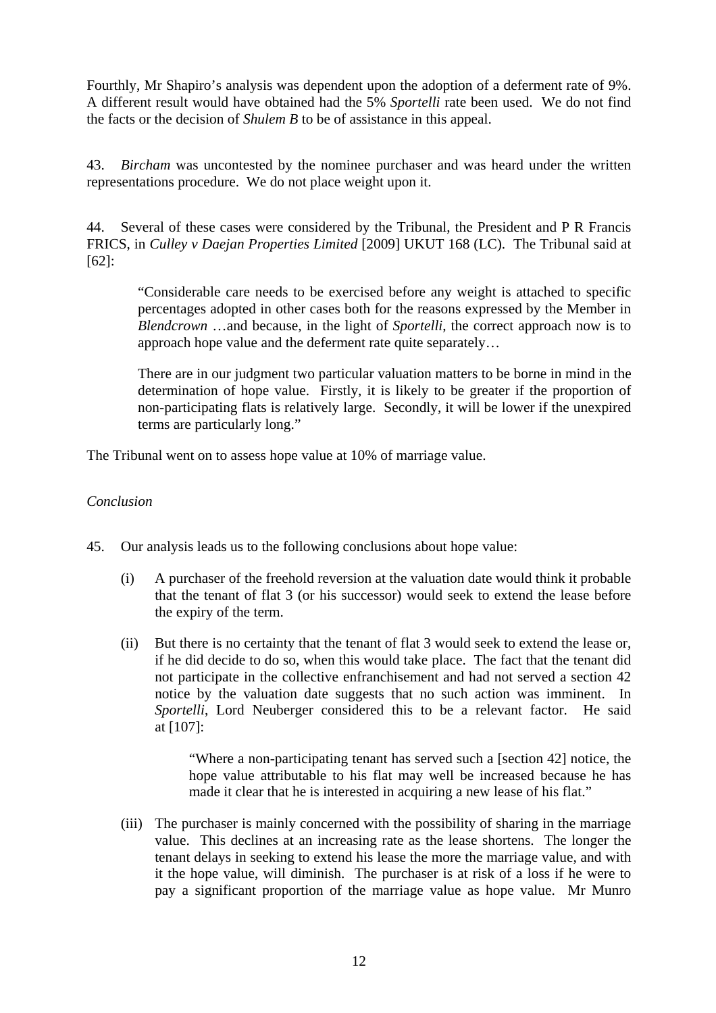Fourthly, Mr Shapiro's analysis was dependent upon the adoption of a deferment rate of 9%. A different result would have obtained had the 5% *Sportelli* rate been used. We do not find the facts or the decision of *Shulem B* to be of assistance in this appeal.

43. *Bircham* was uncontested by the nominee purchaser and was heard under the written representations procedure. We do not place weight upon it.

44. Several of these cases were considered by the Tribunal, the President and P R Francis FRICS, in *Culley v Daejan Properties Limited* [2009] UKUT 168 (LC). The Tribunal said at [62]:

"Considerable care needs to be exercised before any weight is attached to specific percentages adopted in other cases both for the reasons expressed by the Member in *Blendcrown* …and because, in the light of *Sportelli*, the correct approach now is to approach hope value and the deferment rate quite separately…

There are in our judgment two particular valuation matters to be borne in mind in the determination of hope value. Firstly, it is likely to be greater if the proportion of non-participating flats is relatively large. Secondly, it will be lower if the unexpired terms are particularly long."

The Tribunal went on to assess hope value at 10% of marriage value.

## *Conclusion*

- 45. Our analysis leads us to the following conclusions about hope value:
	- (i) A purchaser of the freehold reversion at the valuation date would think it probable that the tenant of flat 3 (or his successor) would seek to extend the lease before the expiry of the term.
	- (ii) But there is no certainty that the tenant of flat 3 would seek to extend the lease or, if he did decide to do so, when this would take place. The fact that the tenant did not participate in the collective enfranchisement and had not served a section 42 notice by the valuation date suggests that no such action was imminent. In *Sportelli*, Lord Neuberger considered this to be a relevant factor. He said at [107]:

"Where a non-participating tenant has served such a [section 42] notice, the hope value attributable to his flat may well be increased because he has made it clear that he is interested in acquiring a new lease of his flat."

(iii) The purchaser is mainly concerned with the possibility of sharing in the marriage value. This declines at an increasing rate as the lease shortens. The longer the tenant delays in seeking to extend his lease the more the marriage value, and with it the hope value, will diminish. The purchaser is at risk of a loss if he were to pay a significant proportion of the marriage value as hope value. Mr Munro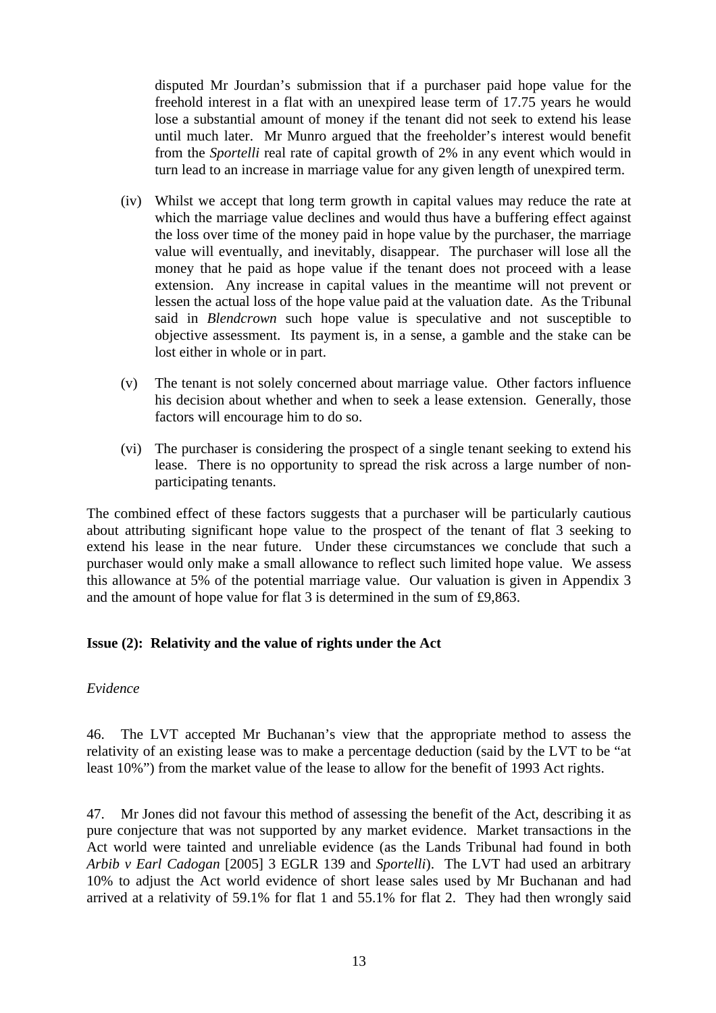disputed Mr Jourdan's submission that if a purchaser paid hope value for the freehold interest in a flat with an unexpired lease term of 17.75 years he would lose a substantial amount of money if the tenant did not seek to extend his lease until much later. Mr Munro argued that the freeholder's interest would benefit from the *Sportelli* real rate of capital growth of 2% in any event which would in turn lead to an increase in marriage value for any given length of unexpired term.

- (iv) Whilst we accept that long term growth in capital values may reduce the rate at which the marriage value declines and would thus have a buffering effect against the loss over time of the money paid in hope value by the purchaser, the marriage value will eventually, and inevitably, disappear. The purchaser will lose all the money that he paid as hope value if the tenant does not proceed with a lease extension. Any increase in capital values in the meantime will not prevent or lessen the actual loss of the hope value paid at the valuation date. As the Tribunal said in *Blendcrown* such hope value is speculative and not susceptible to objective assessment. Its payment is, in a sense, a gamble and the stake can be lost either in whole or in part.
- (v) The tenant is not solely concerned about marriage value. Other factors influence his decision about whether and when to seek a lease extension. Generally, those factors will encourage him to do so.
- (vi) The purchaser is considering the prospect of a single tenant seeking to extend his lease. There is no opportunity to spread the risk across a large number of nonparticipating tenants.

The combined effect of these factors suggests that a purchaser will be particularly cautious about attributing significant hope value to the prospect of the tenant of flat 3 seeking to extend his lease in the near future. Under these circumstances we conclude that such a purchaser would only make a small allowance to reflect such limited hope value. We assess this allowance at 5% of the potential marriage value. Our valuation is given in Appendix 3 and the amount of hope value for flat 3 is determined in the sum of £9,863.

## **Issue (2): Relativity and the value of rights under the Act**

## *Evidence*

46. The LVT accepted Mr Buchanan's view that the appropriate method to assess the relativity of an existing lease was to make a percentage deduction (said by the LVT to be "at least 10%") from the market value of the lease to allow for the benefit of 1993 Act rights.

47. Mr Jones did not favour this method of assessing the benefit of the Act, describing it as pure conjecture that was not supported by any market evidence. Market transactions in the Act world were tainted and unreliable evidence (as the Lands Tribunal had found in both *Arbib v Earl Cadogan* [2005] 3 EGLR 139 and *Sportelli*). The LVT had used an arbitrary 10% to adjust the Act world evidence of short lease sales used by Mr Buchanan and had arrived at a relativity of 59.1% for flat 1 and 55.1% for flat 2. They had then wrongly said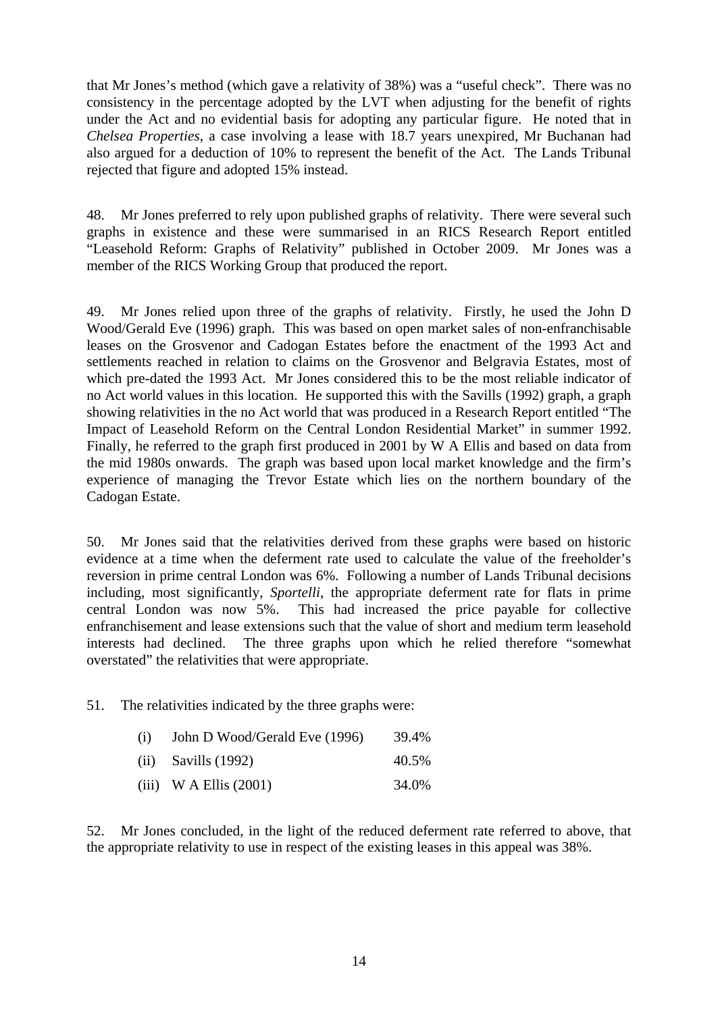that Mr Jones's method (which gave a relativity of 38%) was a "useful check". There was no consistency in the percentage adopted by the LVT when adjusting for the benefit of rights under the Act and no evidential basis for adopting any particular figure. He noted that in *Chelsea Properties*, a case involving a lease with 18.7 years unexpired, Mr Buchanan had also argued for a deduction of 10% to represent the benefit of the Act. The Lands Tribunal rejected that figure and adopted 15% instead.

48. Mr Jones preferred to rely upon published graphs of relativity. There were several such graphs in existence and these were summarised in an RICS Research Report entitled "Leasehold Reform: Graphs of Relativity" published in October 2009. Mr Jones was a member of the RICS Working Group that produced the report.

49. Mr Jones relied upon three of the graphs of relativity. Firstly, he used the John D Wood/Gerald Eve (1996) graph. This was based on open market sales of non-enfranchisable leases on the Grosvenor and Cadogan Estates before the enactment of the 1993 Act and settlements reached in relation to claims on the Grosvenor and Belgravia Estates, most of which pre-dated the 1993 Act. Mr Jones considered this to be the most reliable indicator of no Act world values in this location. He supported this with the Savills (1992) graph, a graph showing relativities in the no Act world that was produced in a Research Report entitled "The Impact of Leasehold Reform on the Central London Residential Market" in summer 1992. Finally, he referred to the graph first produced in 2001 by W A Ellis and based on data from the mid 1980s onwards. The graph was based upon local market knowledge and the firm's experience of managing the Trevor Estate which lies on the northern boundary of the Cadogan Estate.

50. Mr Jones said that the relativities derived from these graphs were based on historic evidence at a time when the deferment rate used to calculate the value of the freeholder's reversion in prime central London was 6%. Following a number of Lands Tribunal decisions including, most significantly, *Sportelli*, the appropriate deferment rate for flats in prime central London was now 5%. This had increased the price payable for collective enfranchisement and lease extensions such that the value of short and medium term leasehold interests had declined. The three graphs upon which he relied therefore "somewhat overstated" the relativities that were appropriate.

51. The relativities indicated by the three graphs were:

| (i) | John D Wood/Gerald Eve (1996) | 39.4% |
|-----|-------------------------------|-------|
|     | $(ii)$ Savills (1992)         | 40.5% |

(iii) W A Ellis (2001) 34.0%

52. Mr Jones concluded, in the light of the reduced deferment rate referred to above, that the appropriate relativity to use in respect of the existing leases in this appeal was 38%.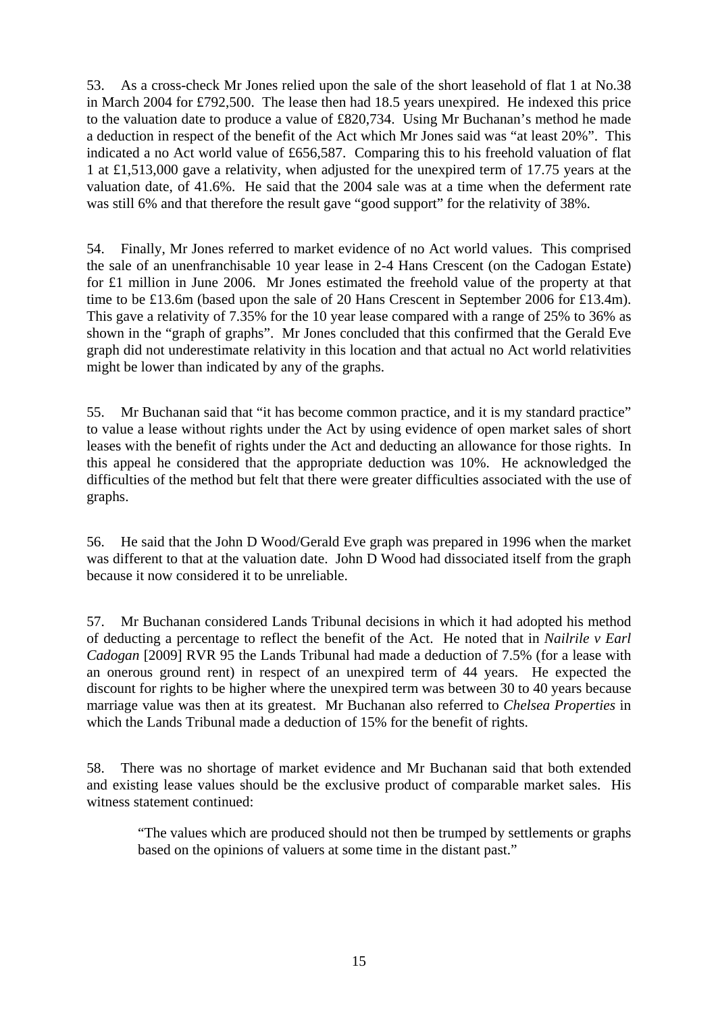53. As a cross-check Mr Jones relied upon the sale of the short leasehold of flat 1 at No.38 in March 2004 for £792,500. The lease then had 18.5 years unexpired. He indexed this price to the valuation date to produce a value of £820,734. Using Mr Buchanan's method he made a deduction in respect of the benefit of the Act which Mr Jones said was "at least 20%". This indicated a no Act world value of £656,587. Comparing this to his freehold valuation of flat 1 at £1,513,000 gave a relativity, when adjusted for the unexpired term of 17.75 years at the valuation date, of 41.6%. He said that the 2004 sale was at a time when the deferment rate was still 6% and that therefore the result gave "good support" for the relativity of 38%.

54. Finally, Mr Jones referred to market evidence of no Act world values. This comprised the sale of an unenfranchisable 10 year lease in 2-4 Hans Crescent (on the Cadogan Estate) for £1 million in June 2006. Mr Jones estimated the freehold value of the property at that time to be £13.6m (based upon the sale of 20 Hans Crescent in September 2006 for £13.4m). This gave a relativity of 7.35% for the 10 year lease compared with a range of 25% to 36% as shown in the "graph of graphs". Mr Jones concluded that this confirmed that the Gerald Eve graph did not underestimate relativity in this location and that actual no Act world relativities might be lower than indicated by any of the graphs.

55. Mr Buchanan said that "it has become common practice, and it is my standard practice" to value a lease without rights under the Act by using evidence of open market sales of short leases with the benefit of rights under the Act and deducting an allowance for those rights. In this appeal he considered that the appropriate deduction was 10%. He acknowledged the difficulties of the method but felt that there were greater difficulties associated with the use of graphs.

56. He said that the John D Wood/Gerald Eve graph was prepared in 1996 when the market was different to that at the valuation date. John D Wood had dissociated itself from the graph because it now considered it to be unreliable.

57. Mr Buchanan considered Lands Tribunal decisions in which it had adopted his method of deducting a percentage to reflect the benefit of the Act. He noted that in *Nailrile v Earl Cadogan* [2009] RVR 95 the Lands Tribunal had made a deduction of 7.5% (for a lease with an onerous ground rent) in respect of an unexpired term of 44 years. He expected the discount for rights to be higher where the unexpired term was between 30 to 40 years because marriage value was then at its greatest. Mr Buchanan also referred to *Chelsea Properties* in which the Lands Tribunal made a deduction of 15% for the benefit of rights.

58. There was no shortage of market evidence and Mr Buchanan said that both extended and existing lease values should be the exclusive product of comparable market sales. His witness statement continued:

"The values which are produced should not then be trumped by settlements or graphs based on the opinions of valuers at some time in the distant past."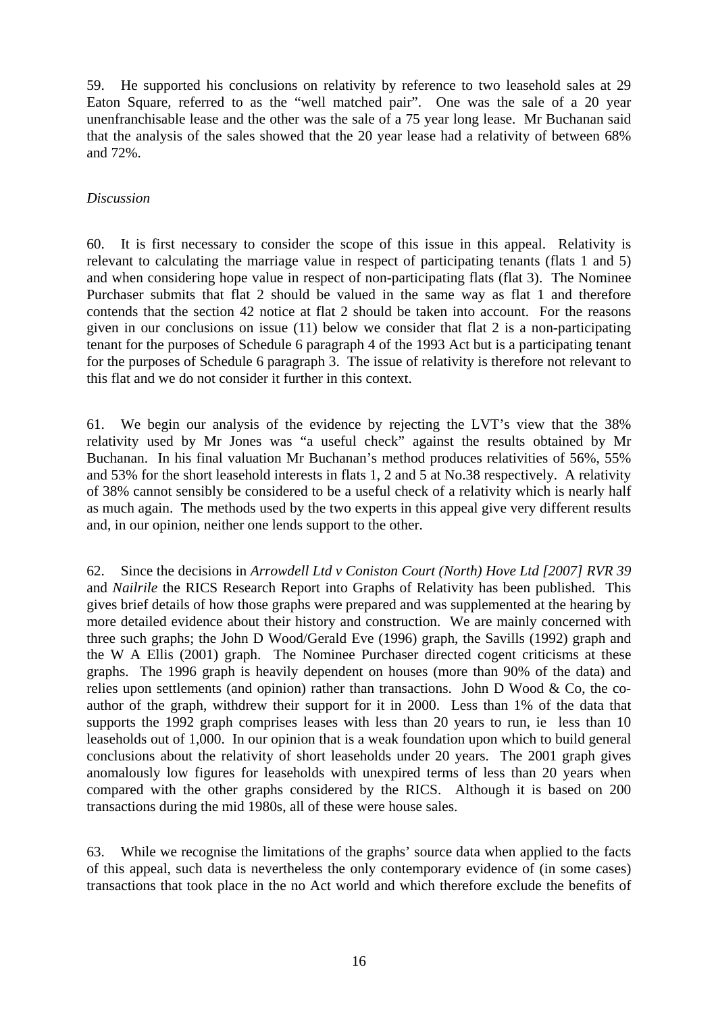59. He supported his conclusions on relativity by reference to two leasehold sales at 29 Eaton Square, referred to as the "well matched pair". One was the sale of a 20 year unenfranchisable lease and the other was the sale of a 75 year long lease. Mr Buchanan said that the analysis of the sales showed that the 20 year lease had a relativity of between 68% and 72%.

## *Discussion*

60. It is first necessary to consider the scope of this issue in this appeal. Relativity is relevant to calculating the marriage value in respect of participating tenants (flats 1 and 5) and when considering hope value in respect of non-participating flats (flat 3). The Nominee Purchaser submits that flat 2 should be valued in the same way as flat 1 and therefore contends that the section 42 notice at flat 2 should be taken into account. For the reasons given in our conclusions on issue (11) below we consider that flat 2 is a non-participating tenant for the purposes of Schedule 6 paragraph 4 of the 1993 Act but is a participating tenant for the purposes of Schedule 6 paragraph 3. The issue of relativity is therefore not relevant to this flat and we do not consider it further in this context.

61. We begin our analysis of the evidence by rejecting the LVT's view that the 38% relativity used by Mr Jones was "a useful check" against the results obtained by Mr Buchanan. In his final valuation Mr Buchanan's method produces relativities of 56%, 55% and 53% for the short leasehold interests in flats 1, 2 and 5 at No.38 respectively. A relativity of 38% cannot sensibly be considered to be a useful check of a relativity which is nearly half as much again. The methods used by the two experts in this appeal give very different results and, in our opinion, neither one lends support to the other.

62. Since the decisions in *Arrowdell Ltd v Coniston Court (North) Hove Ltd [2007] RVR 39* and *Nailrile* the RICS Research Report into Graphs of Relativity has been published. This gives brief details of how those graphs were prepared and was supplemented at the hearing by more detailed evidence about their history and construction. We are mainly concerned with three such graphs; the John D Wood/Gerald Eve (1996) graph, the Savills (1992) graph and the W A Ellis (2001) graph. The Nominee Purchaser directed cogent criticisms at these graphs. The 1996 graph is heavily dependent on houses (more than 90% of the data) and relies upon settlements (and opinion) rather than transactions. John D Wood & Co, the coauthor of the graph, withdrew their support for it in 2000. Less than 1% of the data that supports the 1992 graph comprises leases with less than 20 years to run, ie less than 10 leaseholds out of 1,000. In our opinion that is a weak foundation upon which to build general conclusions about the relativity of short leaseholds under 20 years. The 2001 graph gives anomalously low figures for leaseholds with unexpired terms of less than 20 years when compared with the other graphs considered by the RICS. Although it is based on 200 transactions during the mid 1980s, all of these were house sales.

63. While we recognise the limitations of the graphs' source data when applied to the facts of this appeal, such data is nevertheless the only contemporary evidence of (in some cases) transactions that took place in the no Act world and which therefore exclude the benefits of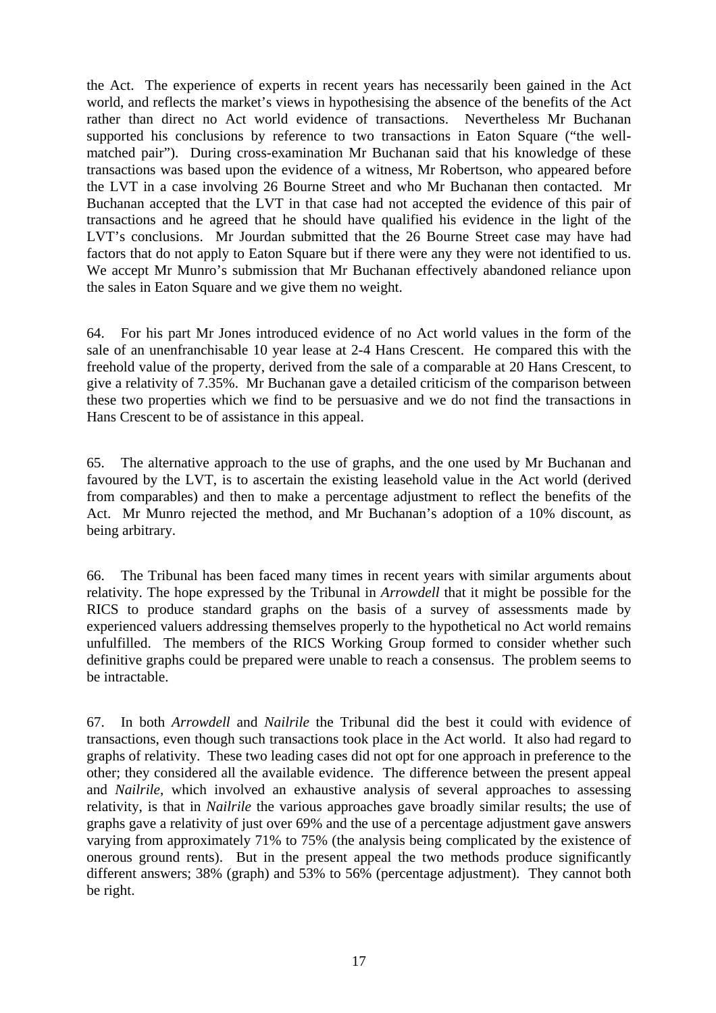the Act. The experience of experts in recent years has necessarily been gained in the Act world, and reflects the market's views in hypothesising the absence of the benefits of the Act rather than direct no Act world evidence of transactions. Nevertheless Mr Buchanan supported his conclusions by reference to two transactions in Eaton Square ("the wellmatched pair"). During cross-examination Mr Buchanan said that his knowledge of these transactions was based upon the evidence of a witness, Mr Robertson, who appeared before the LVT in a case involving 26 Bourne Street and who Mr Buchanan then contacted. Mr Buchanan accepted that the LVT in that case had not accepted the evidence of this pair of transactions and he agreed that he should have qualified his evidence in the light of the LVT's conclusions. Mr Jourdan submitted that the 26 Bourne Street case may have had factors that do not apply to Eaton Square but if there were any they were not identified to us. We accept Mr Munro's submission that Mr Buchanan effectively abandoned reliance upon the sales in Eaton Square and we give them no weight.

64. For his part Mr Jones introduced evidence of no Act world values in the form of the sale of an unenfranchisable 10 year lease at 2-4 Hans Crescent. He compared this with the freehold value of the property, derived from the sale of a comparable at 20 Hans Crescent, to give a relativity of 7.35%. Mr Buchanan gave a detailed criticism of the comparison between these two properties which we find to be persuasive and we do not find the transactions in Hans Crescent to be of assistance in this appeal.

65. The alternative approach to the use of graphs, and the one used by Mr Buchanan and favoured by the LVT, is to ascertain the existing leasehold value in the Act world (derived from comparables) and then to make a percentage adjustment to reflect the benefits of the Act. Mr Munro rejected the method, and Mr Buchanan's adoption of a 10% discount, as being arbitrary.

66. The Tribunal has been faced many times in recent years with similar arguments about relativity. The hope expressed by the Tribunal in *Arrowdell* that it might be possible for the RICS to produce standard graphs on the basis of a survey of assessments made by experienced valuers addressing themselves properly to the hypothetical no Act world remains unfulfilled. The members of the RICS Working Group formed to consider whether such definitive graphs could be prepared were unable to reach a consensus. The problem seems to be intractable.

67. In both *Arrowdell* and *Nailrile* the Tribunal did the best it could with evidence of transactions, even though such transactions took place in the Act world. It also had regard to graphs of relativity. These two leading cases did not opt for one approach in preference to the other; they considered all the available evidence. The difference between the present appeal and *Nailrile*, which involved an exhaustive analysis of several approaches to assessing relativity, is that in *Nailrile* the various approaches gave broadly similar results; the use of graphs gave a relativity of just over 69% and the use of a percentage adjustment gave answers varying from approximately 71% to 75% (the analysis being complicated by the existence of onerous ground rents). But in the present appeal the two methods produce significantly different answers; 38% (graph) and 53% to 56% (percentage adjustment). They cannot both be right.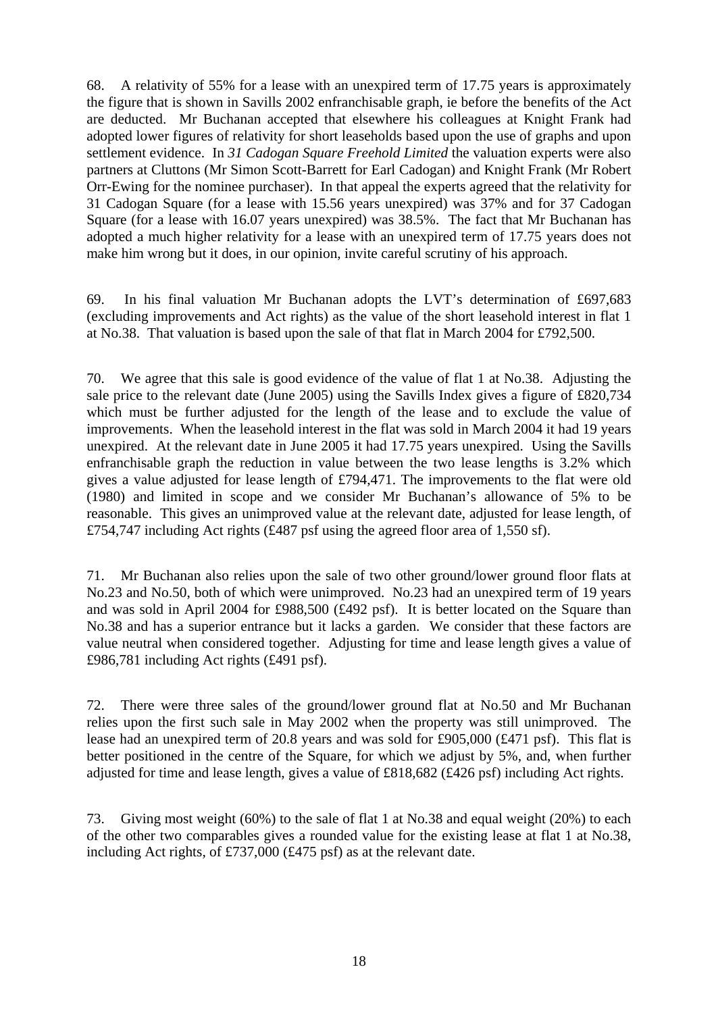68. A relativity of 55% for a lease with an unexpired term of 17.75 years is approximately the figure that is shown in Savills 2002 enfranchisable graph, ie before the benefits of the Act are deducted. Mr Buchanan accepted that elsewhere his colleagues at Knight Frank had adopted lower figures of relativity for short leaseholds based upon the use of graphs and upon settlement evidence. In *31 Cadogan Square Freehold Limited* the valuation experts were also partners at Cluttons (Mr Simon Scott-Barrett for Earl Cadogan) and Knight Frank (Mr Robert Orr-Ewing for the nominee purchaser). In that appeal the experts agreed that the relativity for 31 Cadogan Square (for a lease with 15.56 years unexpired) was 37% and for 37 Cadogan Square (for a lease with 16.07 years unexpired) was 38.5%. The fact that Mr Buchanan has adopted a much higher relativity for a lease with an unexpired term of 17.75 years does not make him wrong but it does, in our opinion, invite careful scrutiny of his approach.

69. In his final valuation Mr Buchanan adopts the LVT's determination of £697,683 (excluding improvements and Act rights) as the value of the short leasehold interest in flat 1 at No.38. That valuation is based upon the sale of that flat in March 2004 for £792,500.

70. We agree that this sale is good evidence of the value of flat 1 at No.38. Adjusting the sale price to the relevant date (June 2005) using the Savills Index gives a figure of £820,734 which must be further adjusted for the length of the lease and to exclude the value of improvements. When the leasehold interest in the flat was sold in March 2004 it had 19 years unexpired. At the relevant date in June 2005 it had 17.75 years unexpired. Using the Savills enfranchisable graph the reduction in value between the two lease lengths is 3.2% which gives a value adjusted for lease length of £794,471. The improvements to the flat were old (1980) and limited in scope and we consider Mr Buchanan's allowance of 5% to be reasonable. This gives an unimproved value at the relevant date, adjusted for lease length, of £754,747 including Act rights (£487 psf using the agreed floor area of 1,550 sf).

71. Mr Buchanan also relies upon the sale of two other ground/lower ground floor flats at No.23 and No.50, both of which were unimproved. No.23 had an unexpired term of 19 years and was sold in April 2004 for £988,500 (£492 psf). It is better located on the Square than No.38 and has a superior entrance but it lacks a garden. We consider that these factors are value neutral when considered together. Adjusting for time and lease length gives a value of £986,781 including Act rights (£491 psf).

72. There were three sales of the ground/lower ground flat at No.50 and Mr Buchanan relies upon the first such sale in May 2002 when the property was still unimproved. The lease had an unexpired term of 20.8 years and was sold for £905,000 (£471 psf). This flat is better positioned in the centre of the Square, for which we adjust by 5%, and, when further adjusted for time and lease length, gives a value of £818,682 (£426 psf) including Act rights.

73. Giving most weight (60%) to the sale of flat 1 at No.38 and equal weight (20%) to each of the other two comparables gives a rounded value for the existing lease at flat 1 at No.38, including Act rights, of £737,000 (£475 psf) as at the relevant date.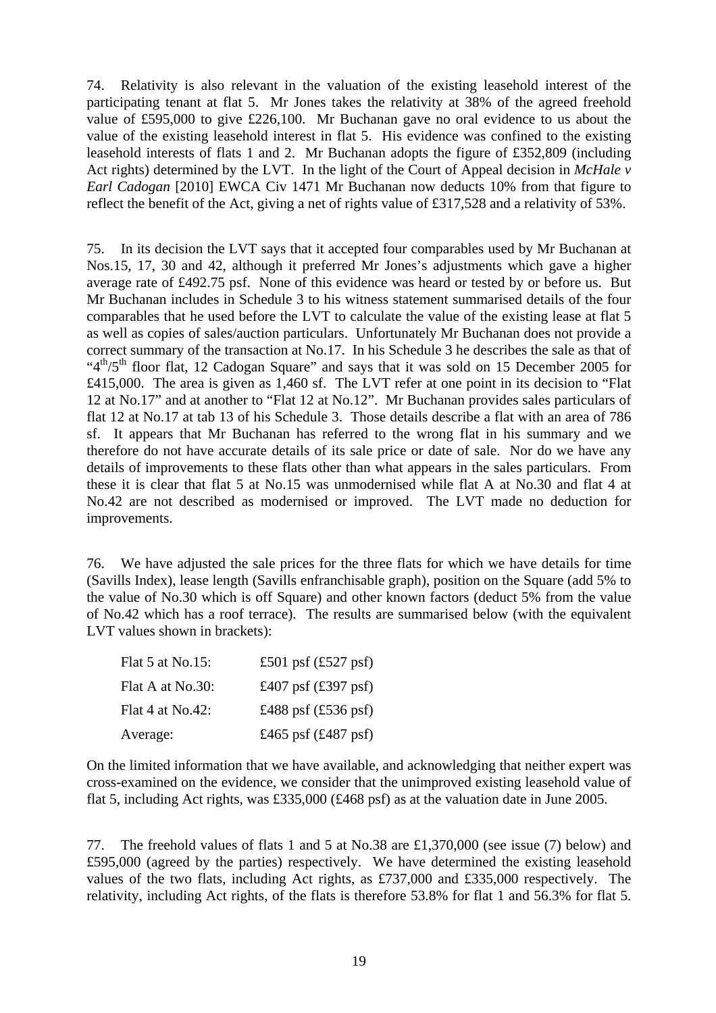74. Relativity is also relevant in the valuation of the existing leasehold interest of the participating tenant at flat 5. Mr Jones takes the relativity at 38% of the agreed freehold value of £595,000 to give £226,100. Mr Buchanan gave no oral evidence to us about the value of the existing leasehold interest in flat 5. His evidence was confined to the existing leasehold interests of flats 1 and 2. Mr Buchanan adopts the figure of £352,809 (including Act rights) determined by the LVT. In the light of the Court of Appeal decision in *McHale v Earl Cadogan* [2010] EWCA Civ 1471 Mr Buchanan now deducts 10% from that figure to reflect the benefit of the Act, giving a net of rights value of £317,528 and a relativity of 53%.

75. In its decision the LVT says that it accepted four comparables used by Mr Buchanan at Nos.15, 17, 30 and 42, although it preferred Mr Jones's adjustments which gave a higher average rate of £492.75 psf. None of this evidence was heard or tested by or before us. But Mr Buchanan includes in Schedule 3 to his witness statement summarised details of the four comparables that he used before the LVT to calculate the value of the existing lease at flat 5 as well as copies of sales/auction particulars. Unfortunately Mr Buchanan does not provide a correct summary of the transaction at No.17. In his Schedule 3 he describes the sale as that of "4<sup>th</sup>/5<sup>th</sup> floor flat, 12 Cadogan Square" and says that it was sold on 15 December 2005 for £415,000. The area is given as 1,460 sf. The LVT refer at one point in its decision to "Flat 12 at No.17" and at another to "Flat 12 at No.12". Mr Buchanan provides sales particulars of flat 12 at No.17 at tab 13 of his Schedule 3. Those details describe a flat with an area of 786 sf. It appears that Mr Buchanan has referred to the wrong flat in his summary and we therefore do not have accurate details of its sale price or date of sale. Nor do we have any details of improvements to these flats other than what appears in the sales particulars. From these it is clear that flat 5 at No.15 was unmodernised while flat A at No.30 and flat 4 at No.42 are not described as modernised or improved. The LVT made no deduction for improvements.

76. We have adjusted the sale prices for the three flats for which we have details for time (Savills Index), lease length (Savills enfranchisable graph), position on the Square (add 5% to the value of No.30 which is off Square) and other known factors (deduct 5% from the value of No.42 which has a roof terrace). The results are summarised below (with the equivalent LVT values shown in brackets):

| Flat 5 at No.15: | £501 psf $(\text{\pounds}527 \text{ psf})$ |
|------------------|--------------------------------------------|
| Flat A at No.30: | £407 psf $(\text{\pounds}397 \text{ psf})$ |
| Flat 4 at No.42: | £488 psf $(E536 \text{ psf})$              |
| Average:         | £465 psf $(£487$ psf)                      |

On the limited information that we have available, and acknowledging that neither expert was cross-examined on the evidence, we consider that the unimproved existing leasehold value of flat 5, including Act rights, was £335,000 (£468 psf) as at the valuation date in June 2005.

77. The freehold values of flats 1 and 5 at No.38 are £1,370,000 (see issue (7) below) and £595,000 (agreed by the parties) respectively. We have determined the existing leasehold values of the two flats, including Act rights, as £737,000 and £335,000 respectively. The relativity, including Act rights, of the flats is therefore 53.8% for flat 1 and 56.3% for flat 5.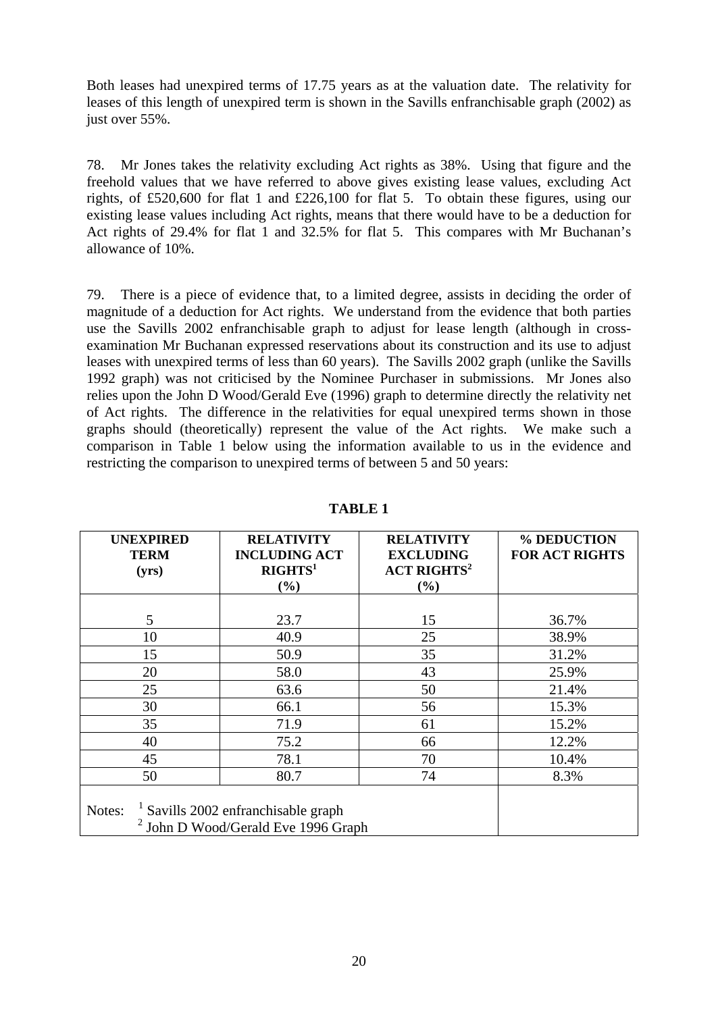Both leases had unexpired terms of 17.75 years as at the valuation date. The relativity for leases of this length of unexpired term is shown in the Savills enfranchisable graph (2002) as just over 55%.

78. Mr Jones takes the relativity excluding Act rights as 38%. Using that figure and the freehold values that we have referred to above gives existing lease values, excluding Act rights, of £520,600 for flat 1 and £226,100 for flat 5. To obtain these figures, using our existing lease values including Act rights, means that there would have to be a deduction for Act rights of 29.4% for flat 1 and 32.5% for flat 5. This compares with Mr Buchanan's allowance of 10%.

79. There is a piece of evidence that, to a limited degree, assists in deciding the order of magnitude of a deduction for Act rights. We understand from the evidence that both parties use the Savills 2002 enfranchisable graph to adjust for lease length (although in crossexamination Mr Buchanan expressed reservations about its construction and its use to adjust leases with unexpired terms of less than 60 years). The Savills 2002 graph (unlike the Savills 1992 graph) was not criticised by the Nominee Purchaser in submissions. Mr Jones also relies upon the John D Wood/Gerald Eve (1996) graph to determine directly the relativity net of Act rights. The difference in the relativities for equal unexpired terms shown in those graphs should (theoretically) represent the value of the Act rights. We make such a comparison in Table 1 below using the information available to us in the evidence and restricting the comparison to unexpired terms of between 5 and 50 years:

| <b>UNEXPIRED</b><br><b>TERM</b><br>(yrs) | <b>RELATIVITY</b><br><b>INCLUDING ACT</b><br>$\mathbf{R} \mathbf{IGHTS}^1$ | <b>RELATIVITY</b><br><b>EXCLUDING</b><br><b>ACT RIGHTS<sup>2</sup></b> | % DEDUCTION<br><b>FOR ACT RIGHTS</b> |
|------------------------------------------|----------------------------------------------------------------------------|------------------------------------------------------------------------|--------------------------------------|
|                                          | $(\%)$                                                                     | (%)                                                                    |                                      |
|                                          |                                                                            |                                                                        |                                      |
| 5                                        | 23.7                                                                       | 15                                                                     | 36.7%                                |
| 10                                       | 40.9                                                                       | 25                                                                     | 38.9%                                |
| 15                                       | 50.9                                                                       | 35                                                                     | 31.2%                                |
| 20                                       | 58.0                                                                       | 43                                                                     | 25.9%                                |
| 25                                       | 63.6                                                                       | 50                                                                     | 21.4%                                |
| 30                                       | 66.1                                                                       | 56                                                                     | 15.3%                                |
| 35                                       | 71.9                                                                       | 61                                                                     | 15.2%                                |
| 40                                       | 75.2                                                                       | 66                                                                     | 12.2%                                |
| 45                                       | 78.1                                                                       | 70                                                                     | 10.4%                                |
| 50                                       | 80.7                                                                       | 74                                                                     | 8.3%                                 |
| Notes:                                   | Savills 2002 enfranchisable graph<br>$2$ John D Wood/Gerald Eve 1996 Graph |                                                                        |                                      |

**TABLE 1**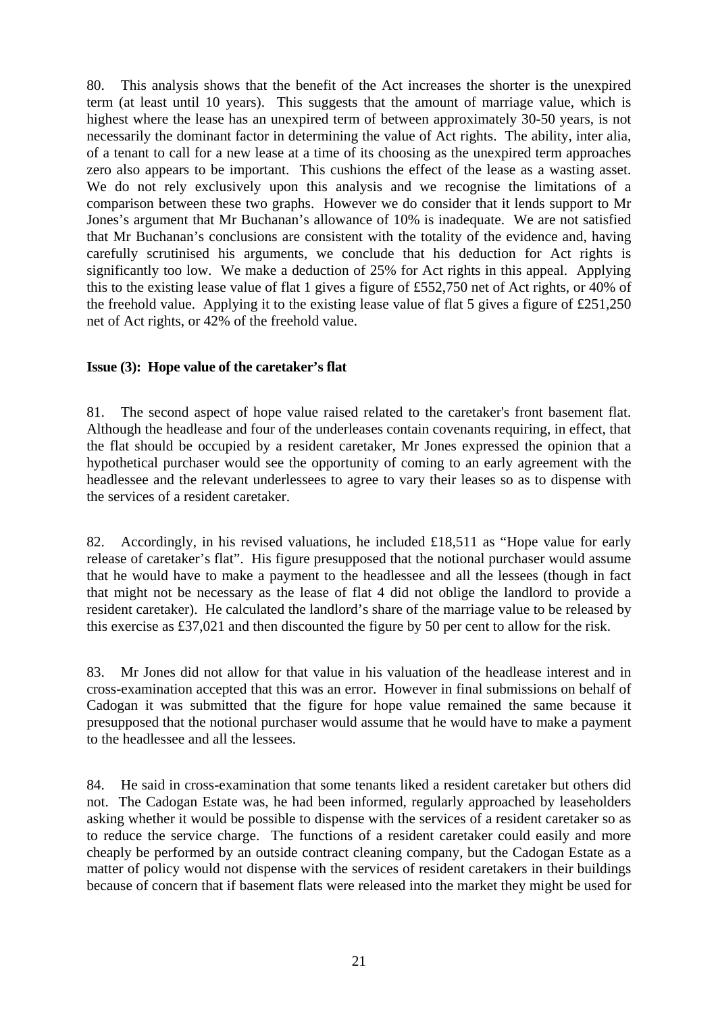80. This analysis shows that the benefit of the Act increases the shorter is the unexpired term (at least until 10 years). This suggests that the amount of marriage value, which is highest where the lease has an unexpired term of between approximately 30-50 years, is not necessarily the dominant factor in determining the value of Act rights. The ability, inter alia, of a tenant to call for a new lease at a time of its choosing as the unexpired term approaches zero also appears to be important. This cushions the effect of the lease as a wasting asset. We do not rely exclusively upon this analysis and we recognise the limitations of a comparison between these two graphs. However we do consider that it lends support to Mr Jones's argument that Mr Buchanan's allowance of 10% is inadequate. We are not satisfied that Mr Buchanan's conclusions are consistent with the totality of the evidence and, having carefully scrutinised his arguments, we conclude that his deduction for Act rights is significantly too low. We make a deduction of 25% for Act rights in this appeal. Applying this to the existing lease value of flat 1 gives a figure of £552,750 net of Act rights, or 40% of the freehold value. Applying it to the existing lease value of flat 5 gives a figure of £251,250 net of Act rights, or 42% of the freehold value.

## **Issue (3): Hope value of the caretaker's flat**

81. The second aspect of hope value raised related to the caretaker's front basement flat. Although the headlease and four of the underleases contain covenants requiring, in effect, that the flat should be occupied by a resident caretaker, Mr Jones expressed the opinion that a hypothetical purchaser would see the opportunity of coming to an early agreement with the headlessee and the relevant underlessees to agree to vary their leases so as to dispense with the services of a resident caretaker.

82. Accordingly, in his revised valuations, he included £18,511 as "Hope value for early release of caretaker's flat". His figure presupposed that the notional purchaser would assume that he would have to make a payment to the headlessee and all the lessees (though in fact that might not be necessary as the lease of flat 4 did not oblige the landlord to provide a resident caretaker). He calculated the landlord's share of the marriage value to be released by this exercise as £37,021 and then discounted the figure by 50 per cent to allow for the risk.

83. Mr Jones did not allow for that value in his valuation of the headlease interest and in cross-examination accepted that this was an error. However in final submissions on behalf of Cadogan it was submitted that the figure for hope value remained the same because it presupposed that the notional purchaser would assume that he would have to make a payment to the headlessee and all the lessees.

84. He said in cross-examination that some tenants liked a resident caretaker but others did not. The Cadogan Estate was, he had been informed, regularly approached by leaseholders asking whether it would be possible to dispense with the services of a resident caretaker so as to reduce the service charge. The functions of a resident caretaker could easily and more cheaply be performed by an outside contract cleaning company, but the Cadogan Estate as a matter of policy would not dispense with the services of resident caretakers in their buildings because of concern that if basement flats were released into the market they might be used for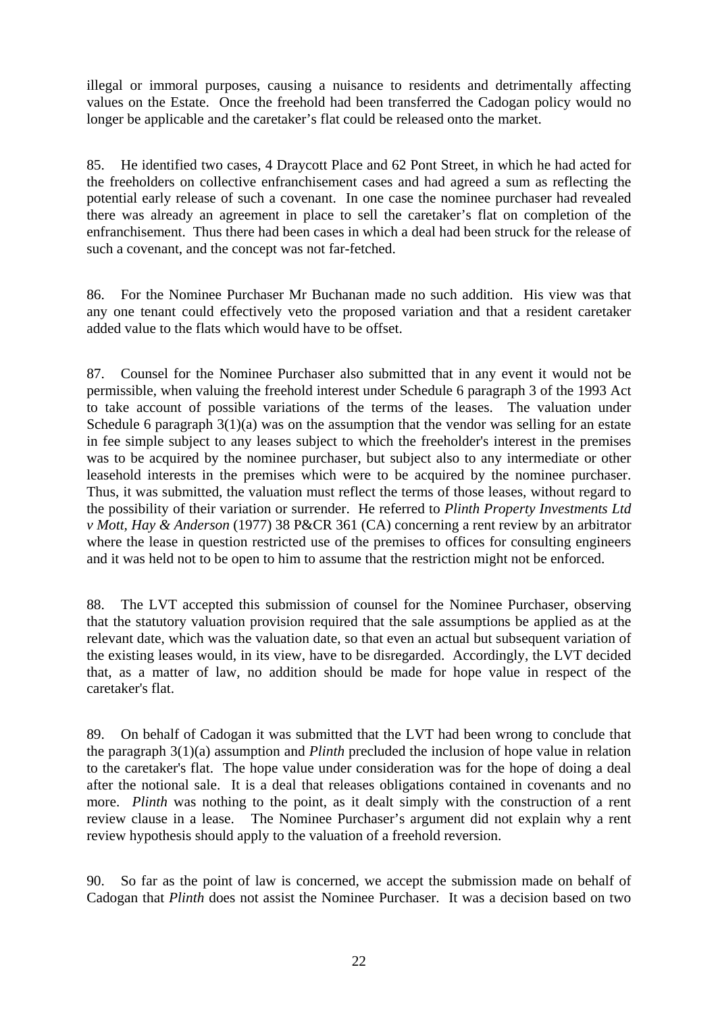illegal or immoral purposes, causing a nuisance to residents and detrimentally affecting values on the Estate. Once the freehold had been transferred the Cadogan policy would no longer be applicable and the caretaker's flat could be released onto the market.

85. He identified two cases, 4 Draycott Place and 62 Pont Street, in which he had acted for the freeholders on collective enfranchisement cases and had agreed a sum as reflecting the potential early release of such a covenant. In one case the nominee purchaser had revealed there was already an agreement in place to sell the caretaker's flat on completion of the enfranchisement. Thus there had been cases in which a deal had been struck for the release of such a covenant, and the concept was not far-fetched.

86. For the Nominee Purchaser Mr Buchanan made no such addition. His view was that any one tenant could effectively veto the proposed variation and that a resident caretaker added value to the flats which would have to be offset.

87. Counsel for the Nominee Purchaser also submitted that in any event it would not be permissible, when valuing the freehold interest under Schedule 6 paragraph 3 of the 1993 Act to take account of possible variations of the terms of the leases. The valuation under Schedule 6 paragraph  $3(1)(a)$  was on the assumption that the vendor was selling for an estate in fee simple subject to any leases subject to which the freeholder's interest in the premises was to be acquired by the nominee purchaser, but subject also to any intermediate or other leasehold interests in the premises which were to be acquired by the nominee purchaser. Thus, it was submitted, the valuation must reflect the terms of those leases, without regard to the possibility of their variation or surrender. He referred to *Plinth Property Investments Ltd v Mott, Hay & Anderson* (1977) 38 P&CR 361 (CA) concerning a rent review by an arbitrator where the lease in question restricted use of the premises to offices for consulting engineers and it was held not to be open to him to assume that the restriction might not be enforced.

88. The LVT accepted this submission of counsel for the Nominee Purchaser, observing that the statutory valuation provision required that the sale assumptions be applied as at the relevant date, which was the valuation date, so that even an actual but subsequent variation of the existing leases would, in its view, have to be disregarded. Accordingly, the LVT decided that, as a matter of law, no addition should be made for hope value in respect of the caretaker's flat.

89. On behalf of Cadogan it was submitted that the LVT had been wrong to conclude that the paragraph 3(1)(a) assumption and *Plinth* precluded the inclusion of hope value in relation to the caretaker's flat. The hope value under consideration was for the hope of doing a deal after the notional sale. It is a deal that releases obligations contained in covenants and no more. *Plinth* was nothing to the point, as it dealt simply with the construction of a rent review clause in a lease. The Nominee Purchaser's argument did not explain why a rent review hypothesis should apply to the valuation of a freehold reversion.

90. So far as the point of law is concerned, we accept the submission made on behalf of Cadogan that *Plinth* does not assist the Nominee Purchaser. It was a decision based on two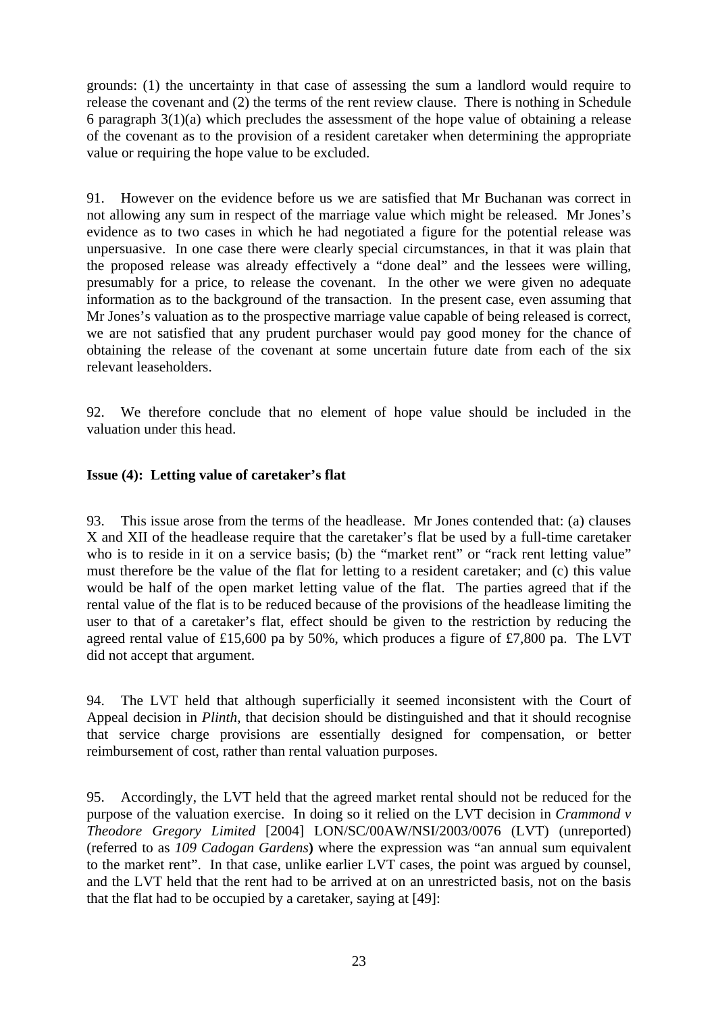grounds: (1) the uncertainty in that case of assessing the sum a landlord would require to release the covenant and (2) the terms of the rent review clause. There is nothing in Schedule 6 paragraph 3(1)(a) which precludes the assessment of the hope value of obtaining a release of the covenant as to the provision of a resident caretaker when determining the appropriate value or requiring the hope value to be excluded.

91. However on the evidence before us we are satisfied that Mr Buchanan was correct in not allowing any sum in respect of the marriage value which might be released. Mr Jones's evidence as to two cases in which he had negotiated a figure for the potential release was unpersuasive. In one case there were clearly special circumstances, in that it was plain that the proposed release was already effectively a "done deal" and the lessees were willing, presumably for a price, to release the covenant. In the other we were given no adequate information as to the background of the transaction. In the present case, even assuming that Mr Jones's valuation as to the prospective marriage value capable of being released is correct, we are not satisfied that any prudent purchaser would pay good money for the chance of obtaining the release of the covenant at some uncertain future date from each of the six relevant leaseholders.

92. We therefore conclude that no element of hope value should be included in the valuation under this head.

## **Issue (4): Letting value of caretaker's flat**

93. This issue arose from the terms of the headlease. Mr Jones contended that: (a) clauses X and XII of the headlease require that the caretaker's flat be used by a full-time caretaker who is to reside in it on a service basis; (b) the "market rent" or "rack rent letting value" must therefore be the value of the flat for letting to a resident caretaker; and (c) this value would be half of the open market letting value of the flat. The parties agreed that if the rental value of the flat is to be reduced because of the provisions of the headlease limiting the user to that of a caretaker's flat, effect should be given to the restriction by reducing the agreed rental value of £15,600 pa by 50%, which produces a figure of £7,800 pa. The LVT did not accept that argument.

94. The LVT held that although superficially it seemed inconsistent with the Court of Appeal decision in *Plinth*, that decision should be distinguished and that it should recognise that service charge provisions are essentially designed for compensation, or better reimbursement of cost, rather than rental valuation purposes.

95. Accordingly, the LVT held that the agreed market rental should not be reduced for the purpose of the valuation exercise. In doing so it relied on the LVT decision in *Crammond v Theodore Gregory Limited* [2004] LON/SC/00AW/NSI/2003/0076 (LVT) (unreported) (referred to as *109 Cadogan Gardens***)** where the expression was "an annual sum equivalent to the market rent". In that case, unlike earlier LVT cases, the point was argued by counsel, and the LVT held that the rent had to be arrived at on an unrestricted basis, not on the basis that the flat had to be occupied by a caretaker, saying at [49]: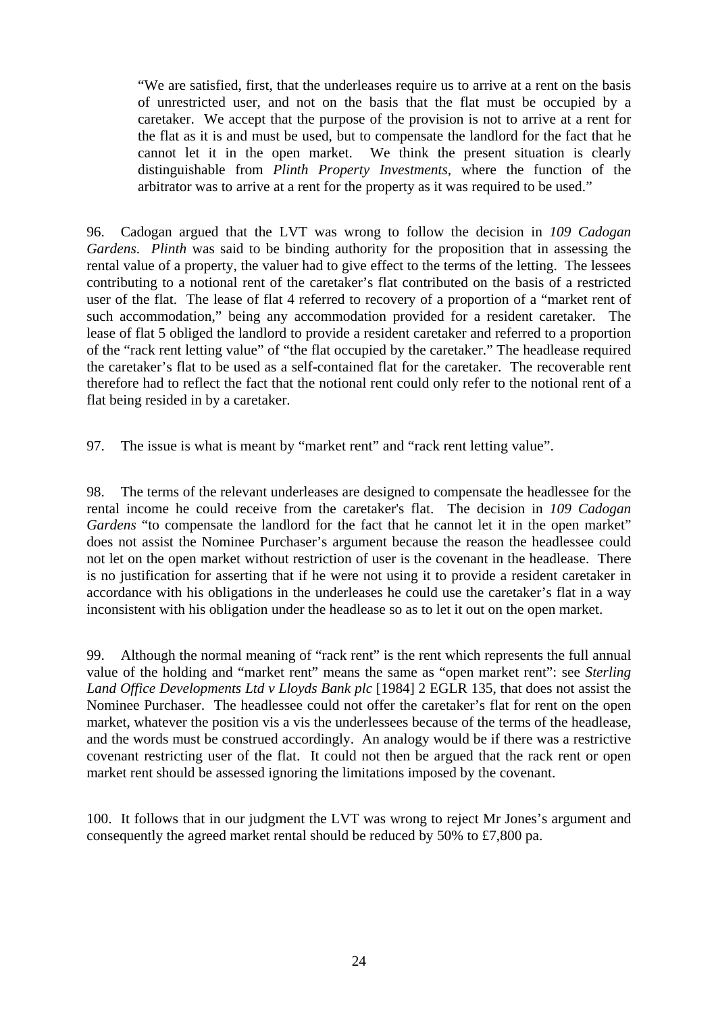"We are satisfied, first, that the underleases require us to arrive at a rent on the basis of unrestricted user, and not on the basis that the flat must be occupied by a caretaker. We accept that the purpose of the provision is not to arrive at a rent for the flat as it is and must be used, but to compensate the landlord for the fact that he cannot let it in the open market. We think the present situation is clearly distinguishable from *Plinth Property Investments,* where the function of the arbitrator was to arrive at a rent for the property as it was required to be used."

96. Cadogan argued that the LVT was wrong to follow the decision in *109 Cadogan Gardens*. *Plinth* was said to be binding authority for the proposition that in assessing the rental value of a property, the valuer had to give effect to the terms of the letting. The lessees contributing to a notional rent of the caretaker's flat contributed on the basis of a restricted user of the flat. The lease of flat 4 referred to recovery of a proportion of a "market rent of such accommodation," being any accommodation provided for a resident caretaker. The lease of flat 5 obliged the landlord to provide a resident caretaker and referred to a proportion of the "rack rent letting value" of "the flat occupied by the caretaker." The headlease required the caretaker's flat to be used as a self-contained flat for the caretaker. The recoverable rent therefore had to reflect the fact that the notional rent could only refer to the notional rent of a flat being resided in by a caretaker.

97. The issue is what is meant by "market rent" and "rack rent letting value".

98. The terms of the relevant underleases are designed to compensate the headlessee for the rental income he could receive from the caretaker's flat. The decision in *109 Cadogan Gardens* "to compensate the landlord for the fact that he cannot let it in the open market" does not assist the Nominee Purchaser's argument because the reason the headlessee could not let on the open market without restriction of user is the covenant in the headlease. There is no justification for asserting that if he were not using it to provide a resident caretaker in accordance with his obligations in the underleases he could use the caretaker's flat in a way inconsistent with his obligation under the headlease so as to let it out on the open market.

99. Although the normal meaning of "rack rent" is the rent which represents the full annual value of the holding and "market rent" means the same as "open market rent": see *Sterling Land Office Developments Ltd v Lloyds Bank plc* [1984] 2 EGLR 135, that does not assist the Nominee Purchaser. The headlessee could not offer the caretaker's flat for rent on the open market, whatever the position vis a vis the underlessees because of the terms of the headlease, and the words must be construed accordingly. An analogy would be if there was a restrictive covenant restricting user of the flat. It could not then be argued that the rack rent or open market rent should be assessed ignoring the limitations imposed by the covenant.

100. It follows that in our judgment the LVT was wrong to reject Mr Jones's argument and consequently the agreed market rental should be reduced by 50% to £7,800 pa.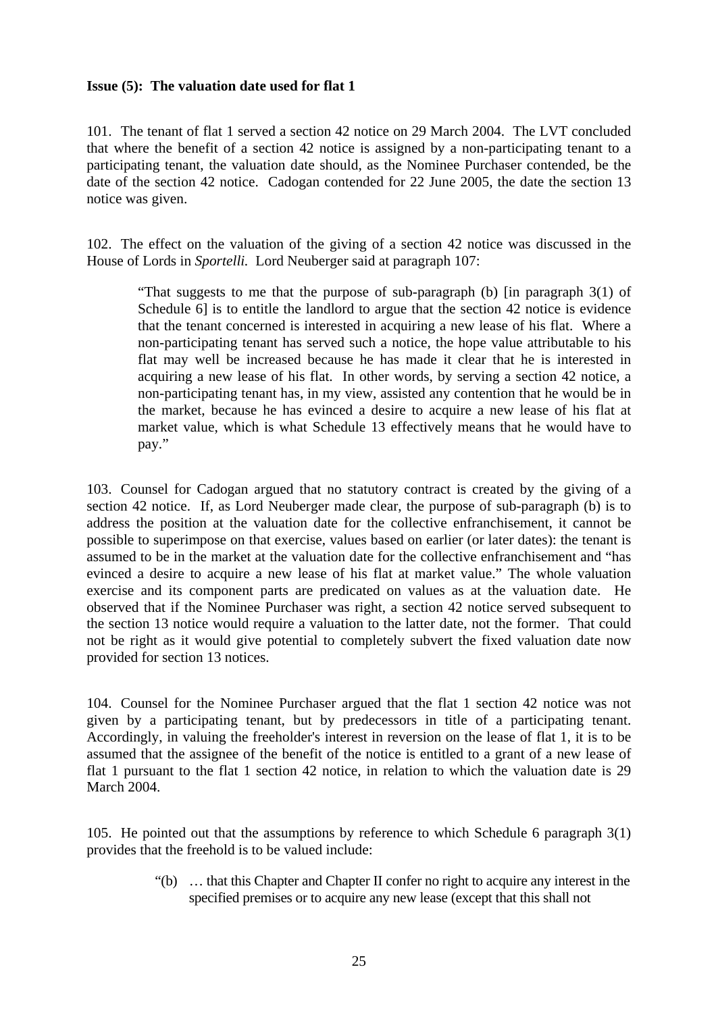## **Issue (5): The valuation date used for flat 1**

101. The tenant of flat 1 served a section 42 notice on 29 March 2004. The LVT concluded that where the benefit of a section 42 notice is assigned by a non-participating tenant to a participating tenant, the valuation date should, as the Nominee Purchaser contended, be the date of the section 42 notice. Cadogan contended for 22 June 2005, the date the section 13 notice was given.

102. The effect on the valuation of the giving of a section 42 notice was discussed in the House of Lords in *Sportelli.* Lord Neuberger said at paragraph 107:

"That suggests to me that the purpose of sub-paragraph (b) [in paragraph 3(1) of Schedule 6] is to entitle the landlord to argue that the section 42 notice is evidence that the tenant concerned is interested in acquiring a new lease of his flat. Where a non-participating tenant has served such a notice, the hope value attributable to his flat may well be increased because he has made it clear that he is interested in acquiring a new lease of his flat. In other words, by serving a section 42 notice, a non-participating tenant has, in my view, assisted any contention that he would be in the market, because he has evinced a desire to acquire a new lease of his flat at market value, which is what Schedule 13 effectively means that he would have to pay."

103. Counsel for Cadogan argued that no statutory contract is created by the giving of a section 42 notice. If, as Lord Neuberger made clear, the purpose of sub-paragraph (b) is to address the position at the valuation date for the collective enfranchisement, it cannot be possible to superimpose on that exercise, values based on earlier (or later dates): the tenant is assumed to be in the market at the valuation date for the collective enfranchisement and "has evinced a desire to acquire a new lease of his flat at market value." The whole valuation exercise and its component parts are predicated on values as at the valuation date. He observed that if the Nominee Purchaser was right, a section 42 notice served subsequent to the section 13 notice would require a valuation to the latter date, not the former. That could not be right as it would give potential to completely subvert the fixed valuation date now provided for section 13 notices.

104. Counsel for the Nominee Purchaser argued that the flat 1 section 42 notice was not given by a participating tenant, but by predecessors in title of a participating tenant. Accordingly, in valuing the freeholder's interest in reversion on the lease of flat 1, it is to be assumed that the assignee of the benefit of the notice is entitled to a grant of a new lease of flat 1 pursuant to the flat 1 section 42 notice, in relation to which the valuation date is 29 March 2004.

105. He pointed out that the assumptions by reference to which Schedule 6 paragraph 3(1) provides that the freehold is to be valued include:

> "(b) … that this Chapter and Chapter II confer no right to acquire any interest in the specified premises or to acquire any new lease (except that this shall not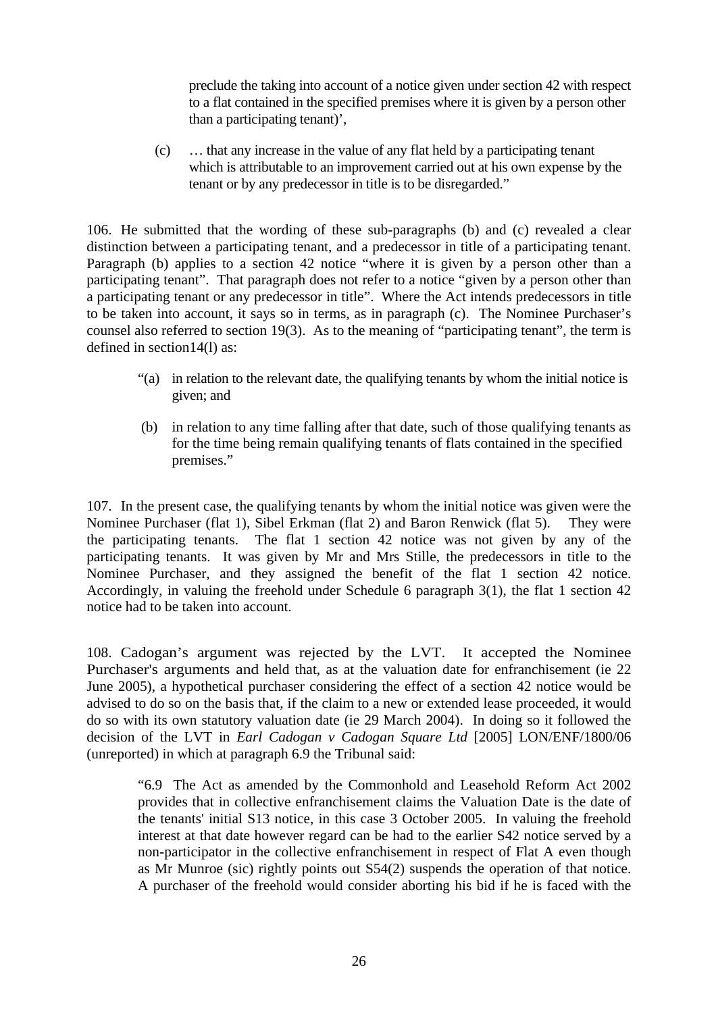preclude the taking into account of a notice given under section 42 with respect to a flat contained in the specified premises where it is given by a person other than a participating tenant)',

(c) … that any increase in the value of any flat held by a participating tenant which is attributable to an improvement carried out at his own expense by the tenant or by any predecessor in title is to be disregarded."

106. He submitted that the wording of these sub-paragraphs (b) and (c) revealed a clear distinction between a participating tenant, and a predecessor in title of a participating tenant. Paragraph (b) applies to a section 42 notice "where it is given by a person other than a participating tenant". That paragraph does not refer to a notice "given by a person other than a participating tenant or any predecessor in title". Where the Act intends predecessors in title to be taken into account, it says so in terms, as in paragraph (c). The Nominee Purchaser's counsel also referred to section 19(3). As to the meaning of "participating tenant", the term is defined in section14(l) as:

- "(a) in relation to the relevant date, the qualifying tenants by whom the initial notice is given; and
- (b) in relation to any time falling after that date, such of those qualifying tenants as for the time being remain qualifying tenants of flats contained in the specified premises."

107. In the present case, the qualifying tenants by whom the initial notice was given were the Nominee Purchaser (flat 1), Sibel Erkman (flat 2) and Baron Renwick (flat 5). They were the participating tenants. The flat 1 section 42 notice was not given by any of the participating tenants. It was given by Mr and Mrs Stille, the predecessors in title to the Nominee Purchaser, and they assigned the benefit of the flat 1 section 42 notice. Accordingly, in valuing the freehold under Schedule 6 paragraph 3(1), the flat 1 section 42 notice had to be taken into account*.*

108. Cadogan's argument was rejected by the LVT. It accepted the Nominee Purchaser's arguments and held that, as at the valuation date for enfranchisement (ie 22 June 2005), a hypothetical purchaser considering the effect of a section 42 notice would be advised to do so on the basis that, if the claim to a new or extended lease proceeded, it would do so with its own statutory valuation date (ie 29 March 2004). In doing so it followed the decision of the LVT in *Earl Cadogan v Cadogan Square Ltd* [2005] LON/ENF/1800/06 (unreported) in which at paragraph 6.9 the Tribunal said:

"6.9 The Act as amended by the Commonhold and Leasehold Reform Act 2002 provides that in collective enfranchisement claims the Valuation Date is the date of the tenants' initial S13 notice, in this case 3 October 2005. In valuing the freehold interest at that date however regard can be had to the earlier S42 notice served by a non-participator in the collective enfranchisement in respect of Flat A even though as Mr Munroe (sic) rightly points out S54(2) suspends the operation of that notice. A purchaser of the freehold would consider aborting his bid if he is faced with the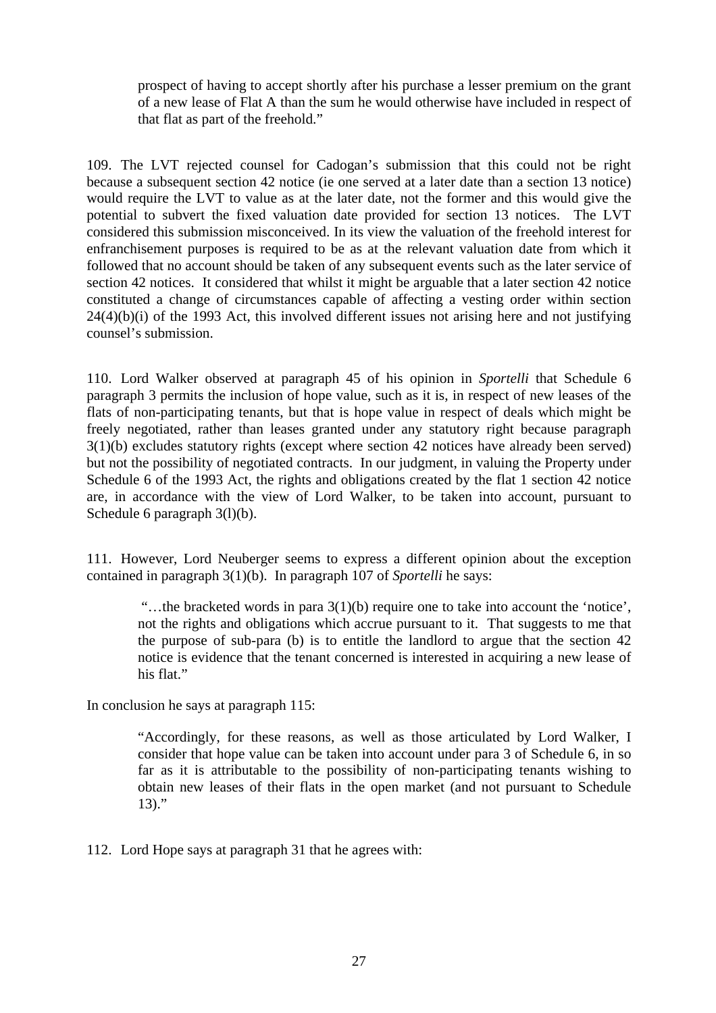prospect of having to accept shortly after his purchase a lesser premium on the grant of a new lease of Flat A than the sum he would otherwise have included in respect of that flat as part of the freehold."

109. The LVT rejected counsel for Cadogan's submission that this could not be right because a subsequent section 42 notice (ie one served at a later date than a section 13 notice) would require the LVT to value as at the later date, not the former and this would give the potential to subvert the fixed valuation date provided for section 13 notices. The LVT considered this submission misconceived. In its view the valuation of the freehold interest for enfranchisement purposes is required to be as at the relevant valuation date from which it followed that no account should be taken of any subsequent events such as the later service of section 42 notices. It considered that whilst it might be arguable that a later section 42 notice constituted a change of circumstances capable of affecting a vesting order within section  $24(4)(b)(i)$  of the 1993 Act, this involved different issues not arising here and not justifying counsel's submission.

110. Lord Walker observed at paragraph 45 of his opinion in *Sportelli* that Schedule 6 paragraph 3 permits the inclusion of hope value, such as it is, in respect of new leases of the flats of non-participating tenants, but that is hope value in respect of deals which might be freely negotiated, rather than leases granted under any statutory right because paragraph 3(1)(b) excludes statutory rights (except where section 42 notices have already been served) but not the possibility of negotiated contracts. In our judgment, in valuing the Property under Schedule 6 of the 1993 Act, the rights and obligations created by the flat 1 section 42 notice are, in accordance with the view of Lord Walker, to be taken into account, pursuant to Schedule 6 paragraph 3(1)(b).

111. However, Lord Neuberger seems to express a different opinion about the exception contained in paragraph 3(1)(b). In paragraph 107 of *Sportelli* he says:

 "…the bracketed words in para 3(1)(b) require one to take into account the 'notice', not the rights and obligations which accrue pursuant to it. That suggests to me that the purpose of sub-para (b) is to entitle the landlord to argue that the section 42 notice is evidence that the tenant concerned is interested in acquiring a new lease of his flat."

In conclusion he says at paragraph 115:

"Accordingly, for these reasons, as well as those articulated by Lord Walker, I consider that hope value can be taken into account under para 3 of Schedule 6, in so far as it is attributable to the possibility of non-participating tenants wishing to obtain new leases of their flats in the open market (and not pursuant to Schedule  $13)$ ."

112. Lord Hope says at paragraph 31 that he agrees with: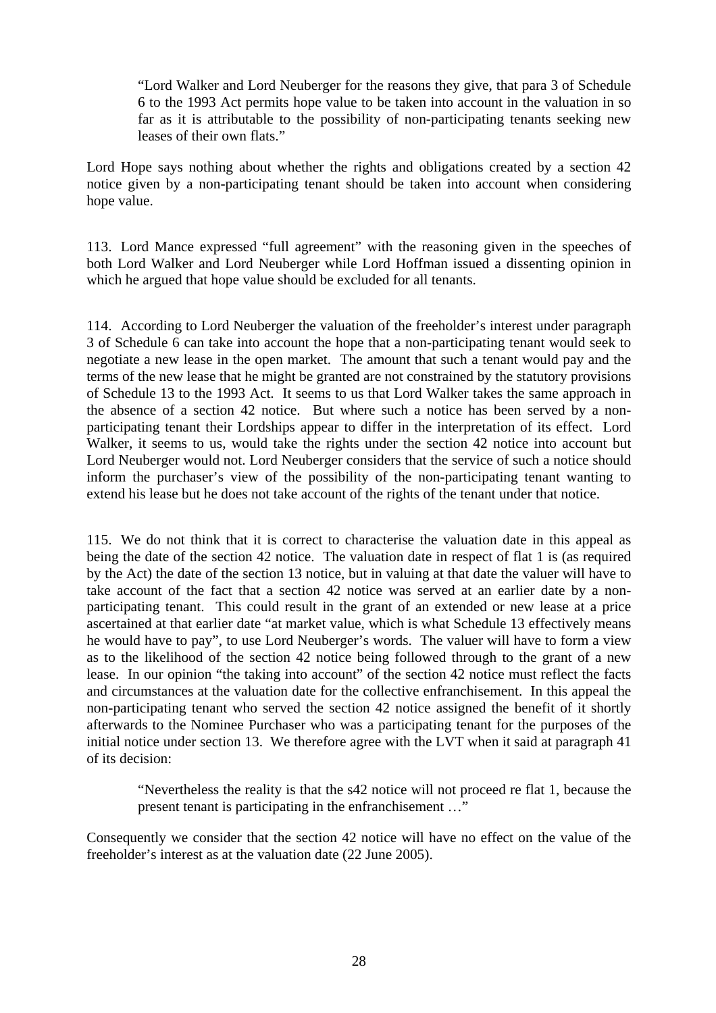"Lord Walker and Lord Neuberger for the reasons they give, that para 3 of Schedule 6 to the 1993 Act permits hope value to be taken into account in the valuation in so far as it is attributable to the possibility of non-participating tenants seeking new leases of their own flats."

Lord Hope says nothing about whether the rights and obligations created by a section 42 notice given by a non-participating tenant should be taken into account when considering hope value.

113. Lord Mance expressed "full agreement" with the reasoning given in the speeches of both Lord Walker and Lord Neuberger while Lord Hoffman issued a dissenting opinion in which he argued that hope value should be excluded for all tenants.

114. According to Lord Neuberger the valuation of the freeholder's interest under paragraph 3 of Schedule 6 can take into account the hope that a non-participating tenant would seek to negotiate a new lease in the open market. The amount that such a tenant would pay and the terms of the new lease that he might be granted are not constrained by the statutory provisions of Schedule 13 to the 1993 Act. It seems to us that Lord Walker takes the same approach in the absence of a section 42 notice. But where such a notice has been served by a nonparticipating tenant their Lordships appear to differ in the interpretation of its effect. Lord Walker, it seems to us, would take the rights under the section 42 notice into account but Lord Neuberger would not. Lord Neuberger considers that the service of such a notice should inform the purchaser's view of the possibility of the non-participating tenant wanting to extend his lease but he does not take account of the rights of the tenant under that notice.

115. We do not think that it is correct to characterise the valuation date in this appeal as being the date of the section 42 notice. The valuation date in respect of flat 1 is (as required by the Act) the date of the section 13 notice, but in valuing at that date the valuer will have to take account of the fact that a section 42 notice was served at an earlier date by a nonparticipating tenant. This could result in the grant of an extended or new lease at a price ascertained at that earlier date "at market value, which is what Schedule 13 effectively means he would have to pay", to use Lord Neuberger's words. The valuer will have to form a view as to the likelihood of the section 42 notice being followed through to the grant of a new lease. In our opinion "the taking into account" of the section 42 notice must reflect the facts and circumstances at the valuation date for the collective enfranchisement. In this appeal the non-participating tenant who served the section 42 notice assigned the benefit of it shortly afterwards to the Nominee Purchaser who was a participating tenant for the purposes of the initial notice under section 13. We therefore agree with the LVT when it said at paragraph 41 of its decision:

"Nevertheless the reality is that the s42 notice will not proceed re flat 1, because the present tenant is participating in the enfranchisement …"

Consequently we consider that the section 42 notice will have no effect on the value of the freeholder's interest as at the valuation date (22 June 2005).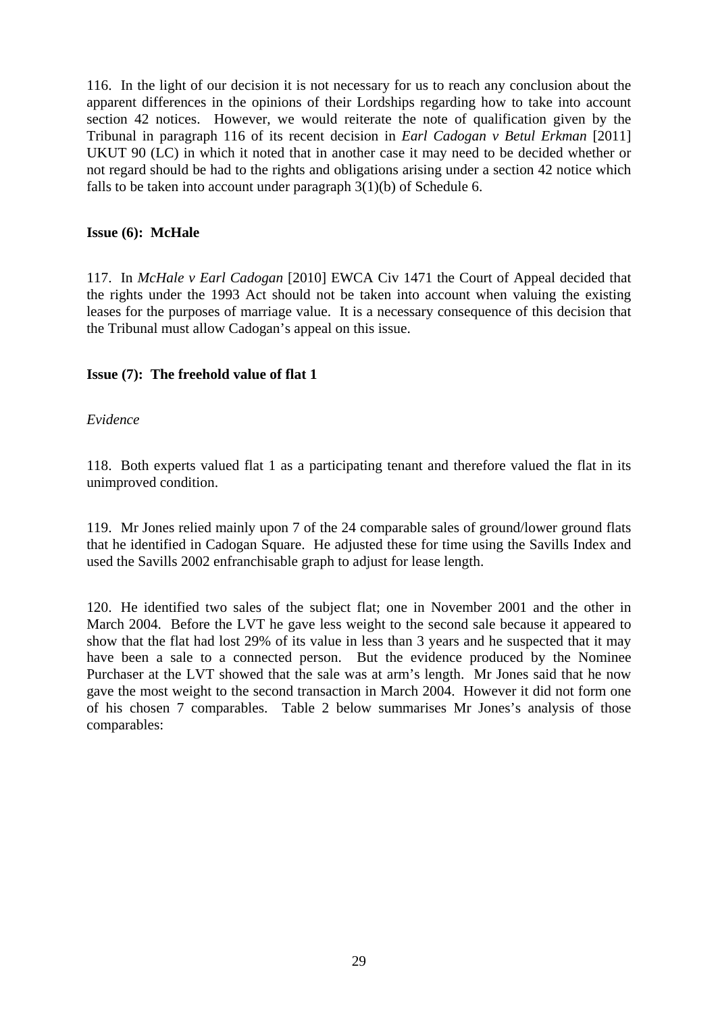116. In the light of our decision it is not necessary for us to reach any conclusion about the apparent differences in the opinions of their Lordships regarding how to take into account section 42 notices. However, we would reiterate the note of qualification given by the Tribunal in paragraph 116 of its recent decision in *Earl Cadogan v Betul Erkman* [2011] UKUT 90 (LC) in which it noted that in another case it may need to be decided whether or not regard should be had to the rights and obligations arising under a section 42 notice which falls to be taken into account under paragraph  $3(1)(b)$  of Schedule 6.

## **Issue (6): McHale**

117. In *McHale v Earl Cadogan* [2010] EWCA Civ 1471 the Court of Appeal decided that the rights under the 1993 Act should not be taken into account when valuing the existing leases for the purposes of marriage value. It is a necessary consequence of this decision that the Tribunal must allow Cadogan's appeal on this issue.

## **Issue (7): The freehold value of flat 1**

*Evidence* 

118. Both experts valued flat 1 as a participating tenant and therefore valued the flat in its unimproved condition.

119. Mr Jones relied mainly upon 7 of the 24 comparable sales of ground/lower ground flats that he identified in Cadogan Square. He adjusted these for time using the Savills Index and used the Savills 2002 enfranchisable graph to adjust for lease length.

120. He identified two sales of the subject flat; one in November 2001 and the other in March 2004. Before the LVT he gave less weight to the second sale because it appeared to show that the flat had lost 29% of its value in less than 3 years and he suspected that it may have been a sale to a connected person. But the evidence produced by the Nominee Purchaser at the LVT showed that the sale was at arm's length. Mr Jones said that he now gave the most weight to the second transaction in March 2004. However it did not form one of his chosen 7 comparables. Table 2 below summarises Mr Jones's analysis of those comparables: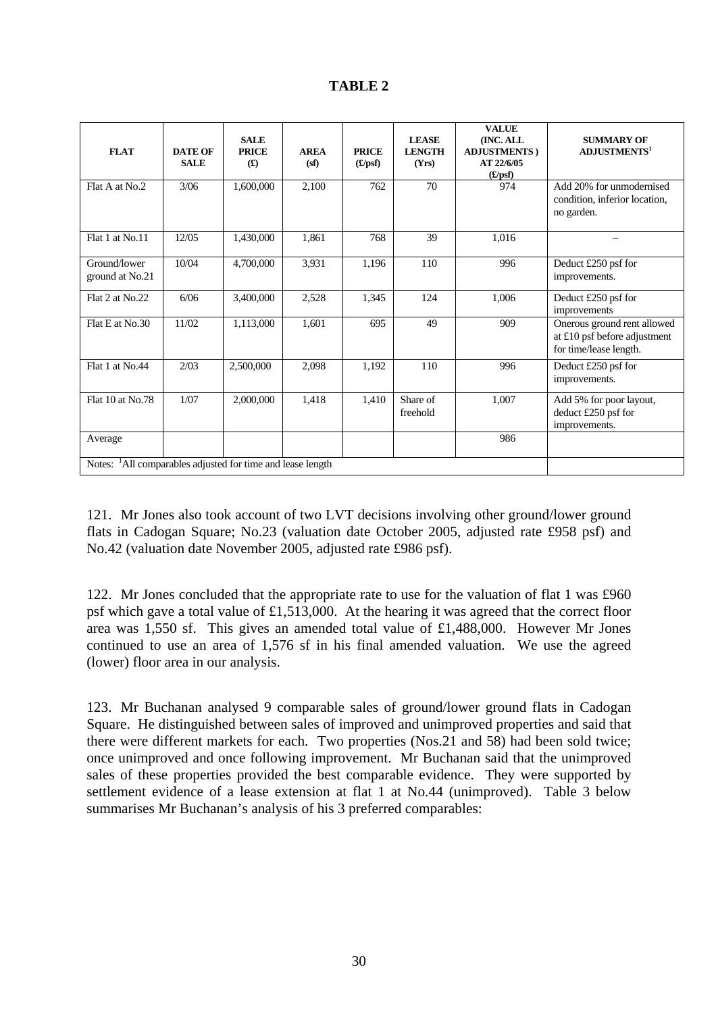| <b>FLAT</b>                                                            | <b>DATE OF</b><br><b>SALE</b> | <b>SALE</b><br><b>PRICE</b><br>f(x) | <b>AREA</b><br>(sf) | <b>PRICE</b><br>$(\pounds/\text{psf})$ | <b>LEASE</b><br><b>LENGTH</b><br>(Yrs) | <b>VALUE</b><br>(INC. ALL<br><b>ADJUSTMENTS</b> )<br>AT 22/6/05<br>$(\pounds/\text{psf})$ | <b>SUMMARY OF</b><br><b>ADJUSTMENTS1</b>                                              |
|------------------------------------------------------------------------|-------------------------------|-------------------------------------|---------------------|----------------------------------------|----------------------------------------|-------------------------------------------------------------------------------------------|---------------------------------------------------------------------------------------|
| Flat A at No.2                                                         | 3/06                          | 1,600,000                           | 2,100               | 762                                    | 70                                     | 974                                                                                       | Add 20% for unmodernised<br>condition, inferior location,<br>no garden.               |
| Flat 1 at No.11                                                        | 12/05                         | 1,430,000                           | 1,861               | 768                                    | 39                                     | 1,016                                                                                     |                                                                                       |
| Ground/lower<br>ground at No.21                                        | 10/04                         | 4,700,000                           | 3,931               | 1,196                                  | 110                                    | 996                                                                                       | Deduct £250 psf for<br>improvements.                                                  |
| Flat 2 at No.22                                                        | 6/06                          | 3,400,000                           | 2,528               | 1,345                                  | 124                                    | 1,006                                                                                     | Deduct £250 psf for<br>improvements                                                   |
| Flat E at No.30                                                        | 11/02                         | 1,113,000                           | 1,601               | 695                                    | 49                                     | 909                                                                                       | Onerous ground rent allowed<br>at £10 psf before adjustment<br>for time/lease length. |
| Flat 1 at No.44                                                        | 2/03                          | 2,500,000                           | 2,098               | 1,192                                  | 110                                    | 996                                                                                       | Deduct £250 psf for<br>improvements.                                                  |
| Flat 10 at No.78                                                       | 1/07                          | 2,000,000                           | 1,418               | 1,410                                  | Share of<br>freehold                   | 1,007                                                                                     | Add 5% for poor layout,<br>deduct £250 psf for<br>improvements.                       |
| Average                                                                |                               |                                     |                     |                                        |                                        | 986                                                                                       |                                                                                       |
| Notes: <sup>1</sup> All comparables adjusted for time and lease length |                               |                                     |                     |                                        |                                        |                                                                                           |                                                                                       |

121. Mr Jones also took account of two LVT decisions involving other ground/lower ground flats in Cadogan Square; No.23 (valuation date October 2005, adjusted rate £958 psf) and No.42 (valuation date November 2005, adjusted rate £986 psf).

122. Mr Jones concluded that the appropriate rate to use for the valuation of flat 1 was £960 psf which gave a total value of £1,513,000. At the hearing it was agreed that the correct floor area was 1,550 sf. This gives an amended total value of £1,488,000. However Mr Jones continued to use an area of 1,576 sf in his final amended valuation. We use the agreed (lower) floor area in our analysis.

123. Mr Buchanan analysed 9 comparable sales of ground/lower ground flats in Cadogan Square. He distinguished between sales of improved and unimproved properties and said that there were different markets for each. Two properties (Nos.21 and 58) had been sold twice; once unimproved and once following improvement. Mr Buchanan said that the unimproved sales of these properties provided the best comparable evidence. They were supported by settlement evidence of a lease extension at flat 1 at No.44 (unimproved). Table 3 below summarises Mr Buchanan's analysis of his 3 preferred comparables: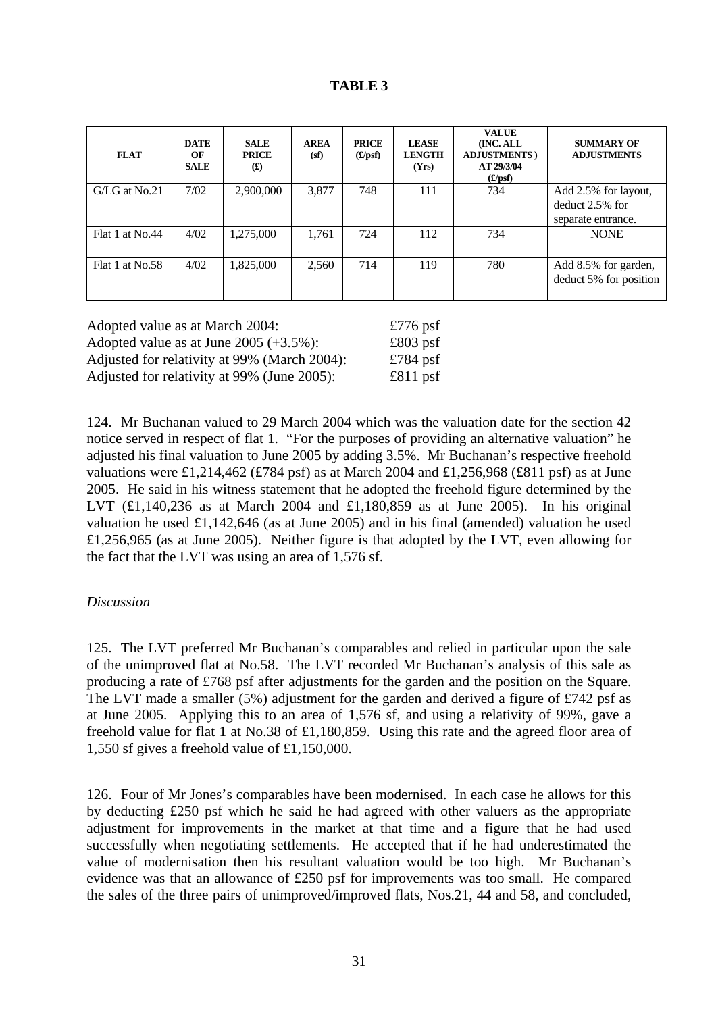| <b>FLAT</b>     | <b>DATE</b><br>OF<br><b>SALE</b> | <b>SALE</b><br><b>PRICE</b><br>f(x) | <b>AREA</b><br>(sf) | <b>PRICE</b><br>(E/psf) | <b>LEASE</b><br><b>LENGTH</b><br>(Yrs) | <b>VALUE</b><br>(INC. ALL<br><b>ADJUSTMENTS</b> )<br>AT 29/3/04<br>(E/psf) | <b>SUMMARY OF</b><br><b>ADJUSTMENTS</b>                       |
|-----------------|----------------------------------|-------------------------------------|---------------------|-------------------------|----------------------------------------|----------------------------------------------------------------------------|---------------------------------------------------------------|
| $G/LG$ at No.21 | 7/02                             | 2,900,000                           | 3,877               | 748                     | 111                                    | 734                                                                        | Add 2.5% for layout,<br>deduct 2.5% for<br>separate entrance. |
| Flat 1 at No.44 | 4/02                             | 1,275,000                           | 1,761               | 724                     | 112                                    | 734                                                                        | <b>NONE</b>                                                   |
| Flat 1 at No.58 | 4/02                             | 1,825,000                           | 2,560               | 714                     | 119                                    | 780                                                                        | Add 8.5% for garden,<br>deduct 5% for position                |

| Adopted value as at March 2004:              | £776 psf   |
|----------------------------------------------|------------|
| Adopted value as at June $2005 (+3.5\%)$ :   | $£803$ psf |
| Adjusted for relativity at 99% (March 2004): | £784 psf   |
| Adjusted for relativity at 99% (June 2005):  | £811 psf   |

124. Mr Buchanan valued to 29 March 2004 which was the valuation date for the section 42 notice served in respect of flat 1. "For the purposes of providing an alternative valuation" he adjusted his final valuation to June 2005 by adding 3.5%. Mr Buchanan's respective freehold valuations were £1,214,462 (£784 psf) as at March 2004 and £1,256,968 (£811 psf) as at June 2005. He said in his witness statement that he adopted the freehold figure determined by the LVT  $(£1,140,236$  as at March 2004 and £1,180,859 as at June 2005). In his original valuation he used £1,142,646 (as at June 2005) and in his final (amended) valuation he used £1,256,965 (as at June 2005). Neither figure is that adopted by the LVT, even allowing for the fact that the LVT was using an area of 1,576 sf.

## *Discussion*

125. The LVT preferred Mr Buchanan's comparables and relied in particular upon the sale of the unimproved flat at No.58. The LVT recorded Mr Buchanan's analysis of this sale as producing a rate of £768 psf after adjustments for the garden and the position on the Square. The LVT made a smaller (5%) adjustment for the garden and derived a figure of £742 psf as at June 2005. Applying this to an area of 1,576 sf, and using a relativity of 99%, gave a freehold value for flat 1 at No.38 of £1,180,859. Using this rate and the agreed floor area of 1,550 sf gives a freehold value of £1,150,000.

126. Four of Mr Jones's comparables have been modernised. In each case he allows for this by deducting £250 psf which he said he had agreed with other valuers as the appropriate adjustment for improvements in the market at that time and a figure that he had used successfully when negotiating settlements. He accepted that if he had underestimated the value of modernisation then his resultant valuation would be too high. Mr Buchanan's evidence was that an allowance of £250 psf for improvements was too small. He compared the sales of the three pairs of unimproved/improved flats, Nos.21, 44 and 58, and concluded,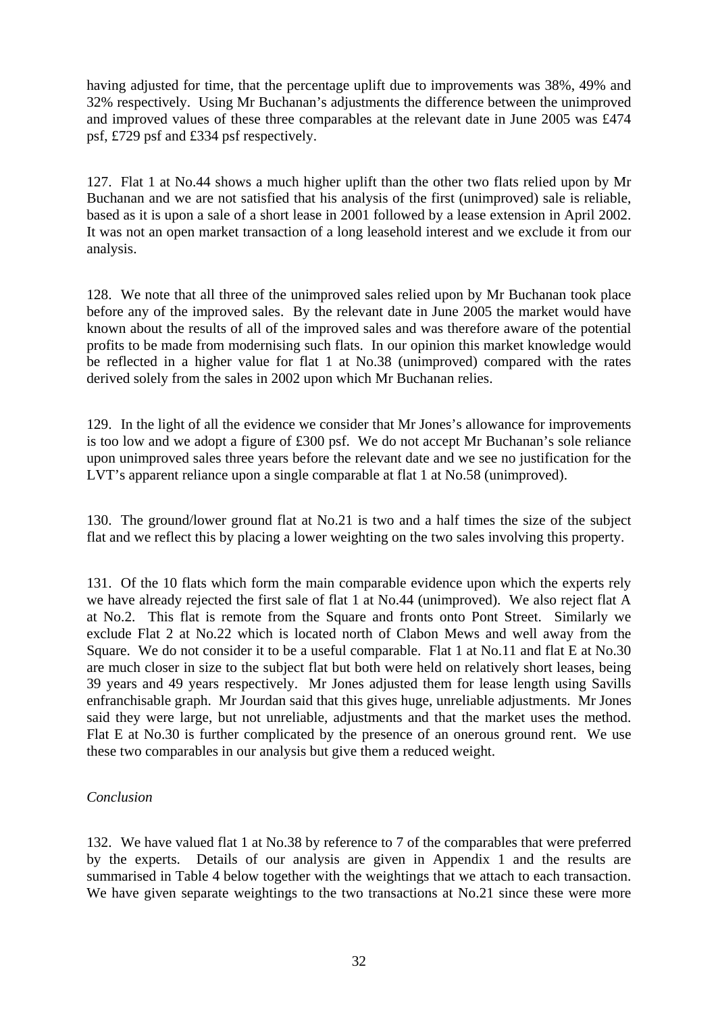having adjusted for time, that the percentage uplift due to improvements was 38%, 49% and 32% respectively. Using Mr Buchanan's adjustments the difference between the unimproved and improved values of these three comparables at the relevant date in June 2005 was £474 psf, £729 psf and £334 psf respectively.

127. Flat 1 at No.44 shows a much higher uplift than the other two flats relied upon by Mr Buchanan and we are not satisfied that his analysis of the first (unimproved) sale is reliable, based as it is upon a sale of a short lease in 2001 followed by a lease extension in April 2002. It was not an open market transaction of a long leasehold interest and we exclude it from our analysis.

128. We note that all three of the unimproved sales relied upon by Mr Buchanan took place before any of the improved sales. By the relevant date in June 2005 the market would have known about the results of all of the improved sales and was therefore aware of the potential profits to be made from modernising such flats. In our opinion this market knowledge would be reflected in a higher value for flat 1 at No.38 (unimproved) compared with the rates derived solely from the sales in 2002 upon which Mr Buchanan relies.

129. In the light of all the evidence we consider that Mr Jones's allowance for improvements is too low and we adopt a figure of £300 psf. We do not accept Mr Buchanan's sole reliance upon unimproved sales three years before the relevant date and we see no justification for the LVT's apparent reliance upon a single comparable at flat 1 at No.58 (unimproved).

130. The ground/lower ground flat at No.21 is two and a half times the size of the subject flat and we reflect this by placing a lower weighting on the two sales involving this property.

131. Of the 10 flats which form the main comparable evidence upon which the experts rely we have already rejected the first sale of flat 1 at No.44 (unimproved). We also reject flat A at No.2. This flat is remote from the Square and fronts onto Pont Street. Similarly we exclude Flat 2 at No.22 which is located north of Clabon Mews and well away from the Square. We do not consider it to be a useful comparable. Flat 1 at No.11 and flat E at No.30 are much closer in size to the subject flat but both were held on relatively short leases, being 39 years and 49 years respectively. Mr Jones adjusted them for lease length using Savills enfranchisable graph. Mr Jourdan said that this gives huge, unreliable adjustments. Mr Jones said they were large, but not unreliable, adjustments and that the market uses the method. Flat E at No.30 is further complicated by the presence of an onerous ground rent. We use these two comparables in our analysis but give them a reduced weight.

## *Conclusion*

132. We have valued flat 1 at No.38 by reference to 7 of the comparables that were preferred by the experts. Details of our analysis are given in Appendix 1 and the results are summarised in Table 4 below together with the weightings that we attach to each transaction. We have given separate weightings to the two transactions at No.21 since these were more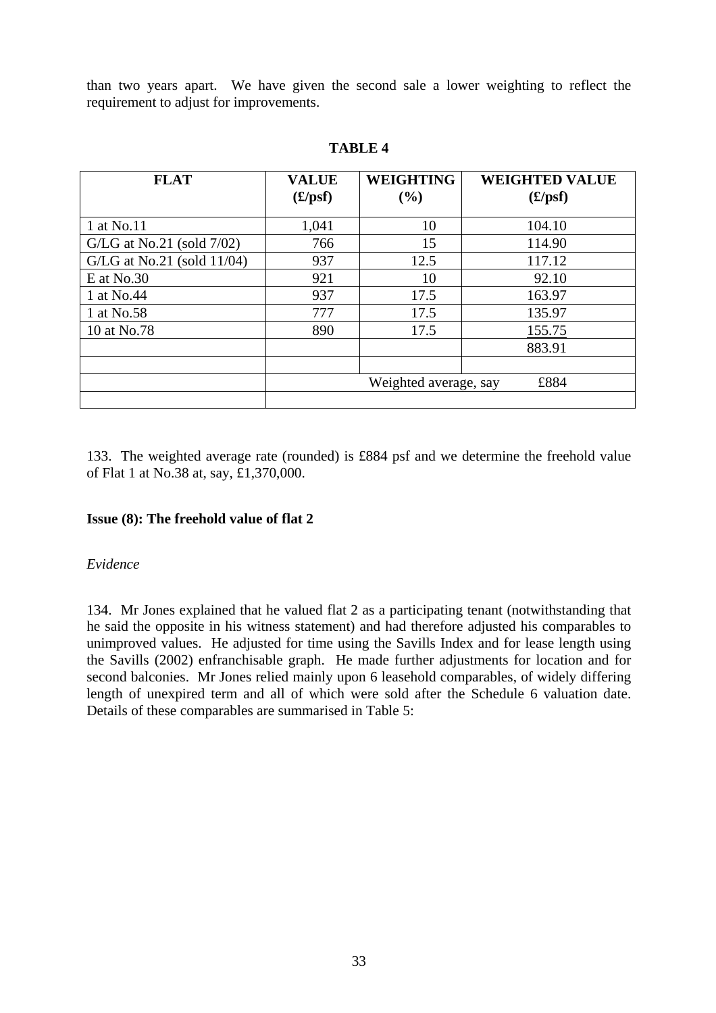than two years apart. We have given the second sale a lower weighting to reflect the requirement to adjust for improvements.

| <b>FLAT</b>                  | <b>VALUE</b><br>$(\pounds/\text{psf})$ | <b>WEIGHTING</b><br>(%) | <b>WEIGHTED VALUE</b><br>$(\pounds/\text{psf})$ |
|------------------------------|----------------------------------------|-------------------------|-------------------------------------------------|
| 1 at No.11                   | 1,041                                  | 10                      | 104.10                                          |
| G/LG at No.21 (sold $7/02$ ) | 766                                    | 15                      | 114.90                                          |
| $G/LG$ at No.21 (sold 11/04) | 937                                    | 12.5                    | 117.12                                          |
| $E$ at No.30                 | 921                                    | 10                      | 92.10                                           |
| 1 at No.44                   | 937                                    | 17.5                    | 163.97                                          |
| 1 at No.58                   | 777                                    | 17.5                    | 135.97                                          |
| 10 at No.78                  | 890                                    | 17.5                    | 155.75                                          |
|                              |                                        |                         | 883.91                                          |
|                              |                                        |                         |                                                 |
|                              |                                        | Weighted average, say   | £884                                            |
|                              |                                        |                         |                                                 |

## **TABLE 4**

133. The weighted average rate (rounded) is £884 psf and we determine the freehold value of Flat 1 at No.38 at, say, £1,370,000.

## **Issue (8): The freehold value of flat 2**

## *Evidence*

134. Mr Jones explained that he valued flat 2 as a participating tenant (notwithstanding that he said the opposite in his witness statement) and had therefore adjusted his comparables to unimproved values. He adjusted for time using the Savills Index and for lease length using the Savills (2002) enfranchisable graph. He made further adjustments for location and for second balconies. Mr Jones relied mainly upon 6 leasehold comparables, of widely differing length of unexpired term and all of which were sold after the Schedule 6 valuation date. Details of these comparables are summarised in Table 5: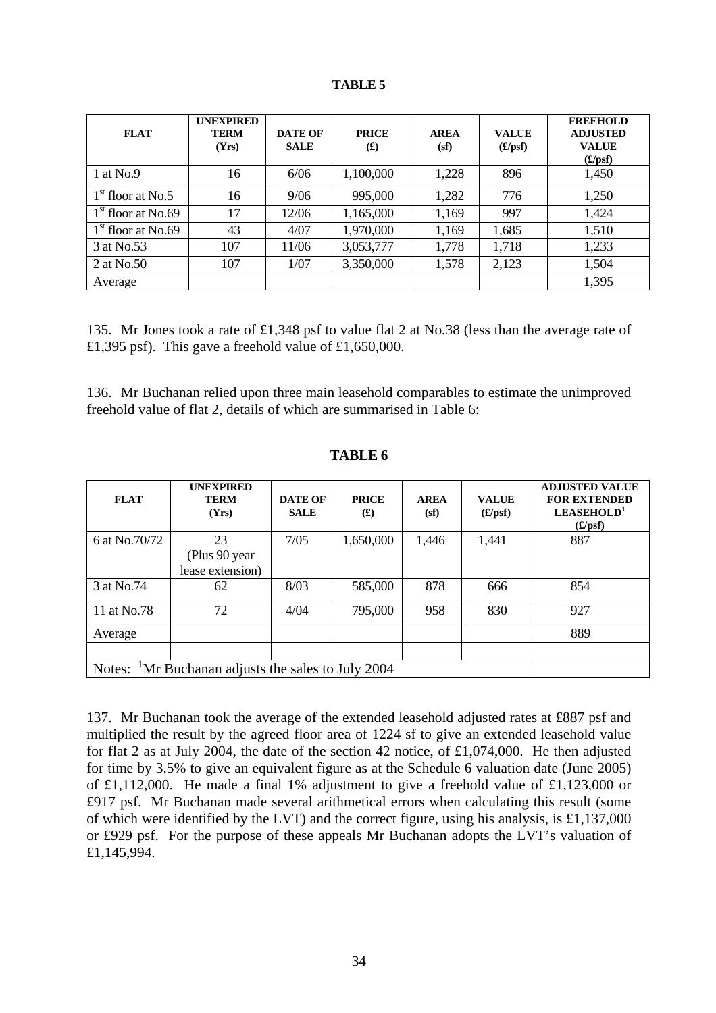| FABL 1 |
|--------|
|--------|

| <b>FLAT</b>          | <b>UNEXPIRED</b><br><b>TERM</b><br>(Yrs) | <b>DATE OF</b><br><b>SALE</b> | <b>PRICE</b><br>$\mathbf f(x)$ | <b>AREA</b><br>(sf) | <b>VALUE</b><br>(E/psf) | <b>FREEHOLD</b><br><b>ADJUSTED</b><br><b>VALUE</b><br>(E/psf) |
|----------------------|------------------------------------------|-------------------------------|--------------------------------|---------------------|-------------------------|---------------------------------------------------------------|
| 1 at No.9            | 16                                       | 6/06                          | 1,100,000                      | 1,228               | 896                     | 1,450                                                         |
| $1st$ floor at No.5  | 16                                       | 9/06                          | 995,000                        | 1,282               | 776                     | 1,250                                                         |
| $1st$ floor at No.69 | 17                                       | 12/06                         | 1,165,000                      | 1,169               | 997                     | 1,424                                                         |
| $1st$ floor at No.69 | 43                                       | 4/07                          | 1,970,000                      | 1,169               | 1,685                   | 1,510                                                         |
| 3 at No.53           | 107                                      | 11/06                         | 3,053,777                      | 1,778               | 1,718                   | 1,233                                                         |
| 2 at No.50           | 107                                      | 1/07                          | 3,350,000                      | 1,578               | 2,123                   | 1,504                                                         |
| Average              |                                          |                               |                                |                     |                         | 1,395                                                         |

135. Mr Jones took a rate of £1,348 psf to value flat 2 at No.38 (less than the average rate of £1,395 psf). This gave a freehold value of £1,650,000.

136. Mr Buchanan relied upon three main leasehold comparables to estimate the unimproved freehold value of flat 2, details of which are summarised in Table 6:

| <b>FLAT</b>   | <b>UNEXPIRED</b><br><b>TERM</b><br>(Yrs)                       | <b>DATE OF</b><br><b>SALE</b> | <b>PRICE</b><br>$\mathbf f(x)$ | <b>AREA</b><br>(sf) | <b>VALUE</b><br>(E/psf) | <b>ADJUSTED VALUE</b><br><b>FOR EXTENDED</b><br>LEASEHOLD <sup>1</sup><br>(f <sub>1</sub> ) |  |
|---------------|----------------------------------------------------------------|-------------------------------|--------------------------------|---------------------|-------------------------|---------------------------------------------------------------------------------------------|--|
| 6 at No.70/72 | 23                                                             | 7/05                          | 1,650,000                      | 1,446               | 1,441                   | 887                                                                                         |  |
|               | (Plus 90 year                                                  |                               |                                |                     |                         |                                                                                             |  |
|               | lease extension)                                               |                               |                                |                     |                         |                                                                                             |  |
| 3 at No.74    | 62                                                             | 8/03                          | 585,000                        | 878                 | 666                     | 854                                                                                         |  |
| 11 at No.78   | 72                                                             | 4/04                          | 795,000                        | 958                 | 830                     | 927                                                                                         |  |
| Average       |                                                                |                               |                                |                     |                         | 889                                                                                         |  |
|               |                                                                |                               |                                |                     |                         |                                                                                             |  |
|               | Notes: <sup>1</sup> Mr Buchanan adjusts the sales to July 2004 |                               |                                |                     |                         |                                                                                             |  |

**TABLE 6** 

137. Mr Buchanan took the average of the extended leasehold adjusted rates at £887 psf and multiplied the result by the agreed floor area of 1224 sf to give an extended leasehold value for flat 2 as at July 2004, the date of the section 42 notice, of £1,074,000. He then adjusted for time by 3.5% to give an equivalent figure as at the Schedule 6 valuation date (June 2005) of £1,112,000. He made a final 1% adjustment to give a freehold value of £1,123,000 or £917 psf. Mr Buchanan made several arithmetical errors when calculating this result (some of which were identified by the LVT) and the correct figure, using his analysis, is £1,137,000 or £929 psf. For the purpose of these appeals Mr Buchanan adopts the LVT's valuation of £1,145,994.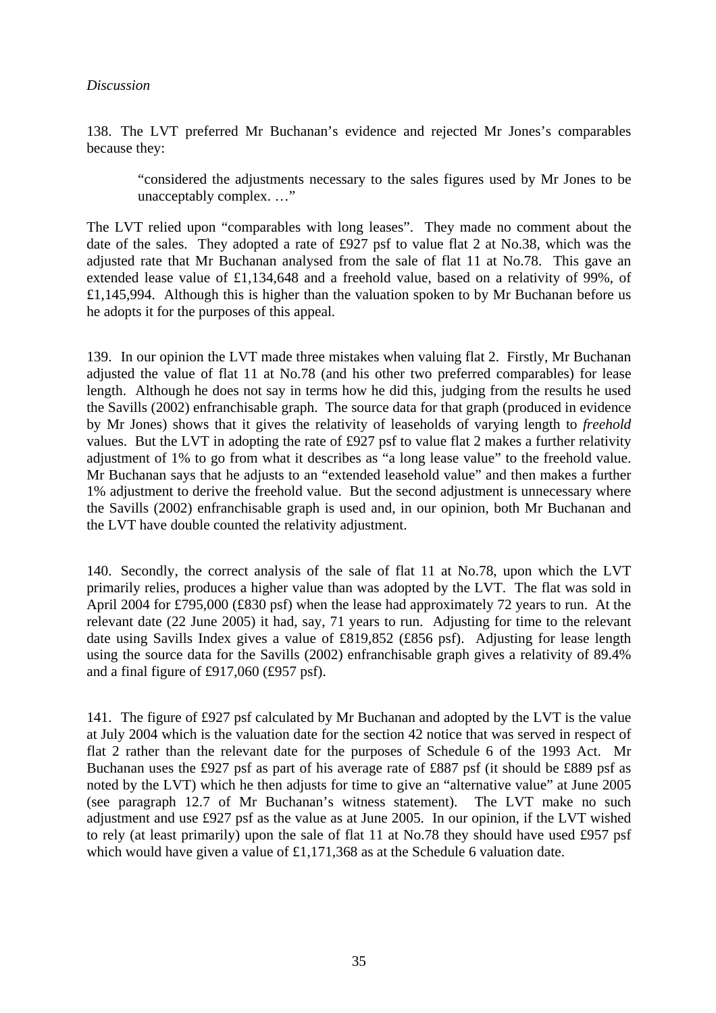## *Discussion*

138. The LVT preferred Mr Buchanan's evidence and rejected Mr Jones's comparables because they:

"considered the adjustments necessary to the sales figures used by Mr Jones to be unacceptably complex. …"

The LVT relied upon "comparables with long leases". They made no comment about the date of the sales. They adopted a rate of £927 psf to value flat 2 at No.38, which was the adjusted rate that Mr Buchanan analysed from the sale of flat 11 at No.78. This gave an extended lease value of £1,134,648 and a freehold value, based on a relativity of 99%, of £1,145,994. Although this is higher than the valuation spoken to by Mr Buchanan before us he adopts it for the purposes of this appeal.

139. In our opinion the LVT made three mistakes when valuing flat 2. Firstly, Mr Buchanan adjusted the value of flat 11 at No.78 (and his other two preferred comparables) for lease length. Although he does not say in terms how he did this, judging from the results he used the Savills (2002) enfranchisable graph. The source data for that graph (produced in evidence by Mr Jones) shows that it gives the relativity of leaseholds of varying length to *freehold* values. But the LVT in adopting the rate of £927 psf to value flat 2 makes a further relativity adjustment of 1% to go from what it describes as "a long lease value" to the freehold value. Mr Buchanan says that he adjusts to an "extended leasehold value" and then makes a further 1% adjustment to derive the freehold value. But the second adjustment is unnecessary where the Savills (2002) enfranchisable graph is used and, in our opinion, both Mr Buchanan and the LVT have double counted the relativity adjustment.

140. Secondly, the correct analysis of the sale of flat 11 at No.78, upon which the LVT primarily relies, produces a higher value than was adopted by the LVT. The flat was sold in April 2004 for £795,000 (£830 psf) when the lease had approximately 72 years to run. At the relevant date (22 June 2005) it had, say, 71 years to run. Adjusting for time to the relevant date using Savills Index gives a value of £819,852 (£856 psf). Adjusting for lease length using the source data for the Savills (2002) enfranchisable graph gives a relativity of 89.4% and a final figure of £917,060 (£957 psf).

141. The figure of £927 psf calculated by Mr Buchanan and adopted by the LVT is the value at July 2004 which is the valuation date for the section 42 notice that was served in respect of flat 2 rather than the relevant date for the purposes of Schedule 6 of the 1993 Act. Mr Buchanan uses the £927 psf as part of his average rate of £887 psf (it should be £889 psf as noted by the LVT) which he then adjusts for time to give an "alternative value" at June 2005 (see paragraph 12.7 of Mr Buchanan's witness statement). The LVT make no such adjustment and use £927 psf as the value as at June 2005. In our opinion, if the LVT wished to rely (at least primarily) upon the sale of flat 11 at No.78 they should have used £957 psf which would have given a value of £1,171,368 as at the Schedule 6 valuation date.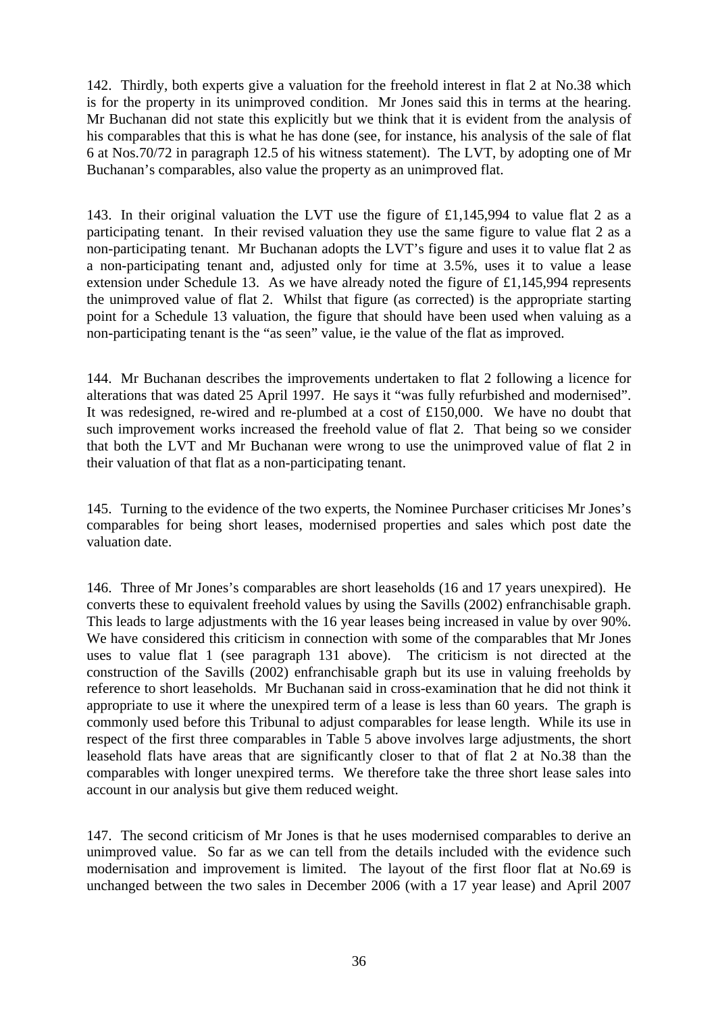142. Thirdly, both experts give a valuation for the freehold interest in flat 2 at No.38 which is for the property in its unimproved condition. Mr Jones said this in terms at the hearing. Mr Buchanan did not state this explicitly but we think that it is evident from the analysis of his comparables that this is what he has done (see, for instance, his analysis of the sale of flat 6 at Nos.70/72 in paragraph 12.5 of his witness statement). The LVT, by adopting one of Mr Buchanan's comparables, also value the property as an unimproved flat.

143. In their original valuation the LVT use the figure of £1,145,994 to value flat 2 as a participating tenant. In their revised valuation they use the same figure to value flat 2 as a non-participating tenant. Mr Buchanan adopts the LVT's figure and uses it to value flat 2 as a non-participating tenant and, adjusted only for time at 3.5%, uses it to value a lease extension under Schedule 13. As we have already noted the figure of £1,145,994 represents the unimproved value of flat 2. Whilst that figure (as corrected) is the appropriate starting point for a Schedule 13 valuation, the figure that should have been used when valuing as a non-participating tenant is the "as seen" value, ie the value of the flat as improved.

144. Mr Buchanan describes the improvements undertaken to flat 2 following a licence for alterations that was dated 25 April 1997. He says it "was fully refurbished and modernised". It was redesigned, re-wired and re-plumbed at a cost of £150,000. We have no doubt that such improvement works increased the freehold value of flat 2. That being so we consider that both the LVT and Mr Buchanan were wrong to use the unimproved value of flat 2 in their valuation of that flat as a non-participating tenant.

145. Turning to the evidence of the two experts, the Nominee Purchaser criticises Mr Jones's comparables for being short leases, modernised properties and sales which post date the valuation date.

146. Three of Mr Jones's comparables are short leaseholds (16 and 17 years unexpired). He converts these to equivalent freehold values by using the Savills (2002) enfranchisable graph. This leads to large adjustments with the 16 year leases being increased in value by over 90%. We have considered this criticism in connection with some of the comparables that Mr Jones uses to value flat 1 (see paragraph 131 above). The criticism is not directed at the construction of the Savills (2002) enfranchisable graph but its use in valuing freeholds by reference to short leaseholds. Mr Buchanan said in cross-examination that he did not think it appropriate to use it where the unexpired term of a lease is less than 60 years. The graph is commonly used before this Tribunal to adjust comparables for lease length. While its use in respect of the first three comparables in Table 5 above involves large adjustments, the short leasehold flats have areas that are significantly closer to that of flat 2 at No.38 than the comparables with longer unexpired terms. We therefore take the three short lease sales into account in our analysis but give them reduced weight.

147. The second criticism of Mr Jones is that he uses modernised comparables to derive an unimproved value. So far as we can tell from the details included with the evidence such modernisation and improvement is limited. The layout of the first floor flat at No.69 is unchanged between the two sales in December 2006 (with a 17 year lease) and April 2007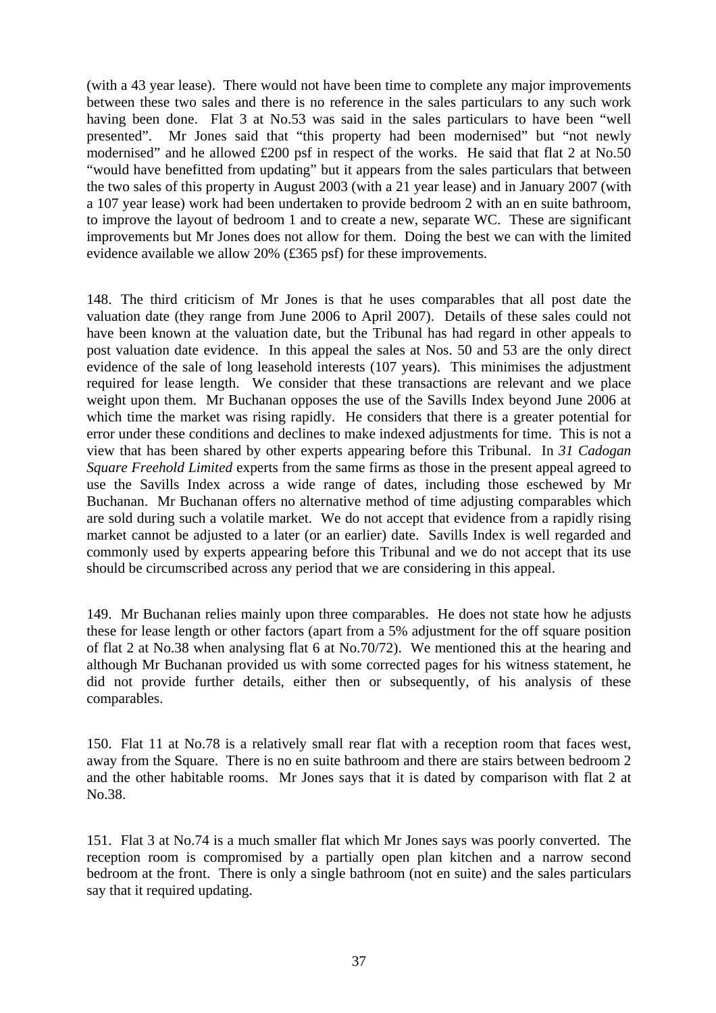(with a 43 year lease). There would not have been time to complete any major improvements between these two sales and there is no reference in the sales particulars to any such work having been done. Flat 3 at No.53 was said in the sales particulars to have been "well presented". Mr Jones said that "this property had been modernised" but "not newly modernised" and he allowed £200 psf in respect of the works. He said that flat 2 at No.50 "would have benefitted from updating" but it appears from the sales particulars that between the two sales of this property in August 2003 (with a 21 year lease) and in January 2007 (with a 107 year lease) work had been undertaken to provide bedroom 2 with an en suite bathroom, to improve the layout of bedroom 1 and to create a new, separate WC. These are significant improvements but Mr Jones does not allow for them. Doing the best we can with the limited evidence available we allow 20% (£365 psf) for these improvements.

148. The third criticism of Mr Jones is that he uses comparables that all post date the valuation date (they range from June 2006 to April 2007). Details of these sales could not have been known at the valuation date, but the Tribunal has had regard in other appeals to post valuation date evidence. In this appeal the sales at Nos. 50 and 53 are the only direct evidence of the sale of long leasehold interests (107 years). This minimises the adjustment required for lease length. We consider that these transactions are relevant and we place weight upon them. Mr Buchanan opposes the use of the Savills Index beyond June 2006 at which time the market was rising rapidly. He considers that there is a greater potential for error under these conditions and declines to make indexed adjustments for time. This is not a view that has been shared by other experts appearing before this Tribunal. In *31 Cadogan Square Freehold Limited* experts from the same firms as those in the present appeal agreed to use the Savills Index across a wide range of dates, including those eschewed by Mr Buchanan. Mr Buchanan offers no alternative method of time adjusting comparables which are sold during such a volatile market. We do not accept that evidence from a rapidly rising market cannot be adjusted to a later (or an earlier) date. Savills Index is well regarded and commonly used by experts appearing before this Tribunal and we do not accept that its use should be circumscribed across any period that we are considering in this appeal.

149. Mr Buchanan relies mainly upon three comparables. He does not state how he adjusts these for lease length or other factors (apart from a 5% adjustment for the off square position of flat 2 at No.38 when analysing flat 6 at No.70/72). We mentioned this at the hearing and although Mr Buchanan provided us with some corrected pages for his witness statement, he did not provide further details, either then or subsequently, of his analysis of these comparables.

150. Flat 11 at No.78 is a relatively small rear flat with a reception room that faces west, away from the Square. There is no en suite bathroom and there are stairs between bedroom 2 and the other habitable rooms. Mr Jones says that it is dated by comparison with flat 2 at No.38.

151. Flat 3 at No.74 is a much smaller flat which Mr Jones says was poorly converted. The reception room is compromised by a partially open plan kitchen and a narrow second bedroom at the front. There is only a single bathroom (not en suite) and the sales particulars say that it required updating.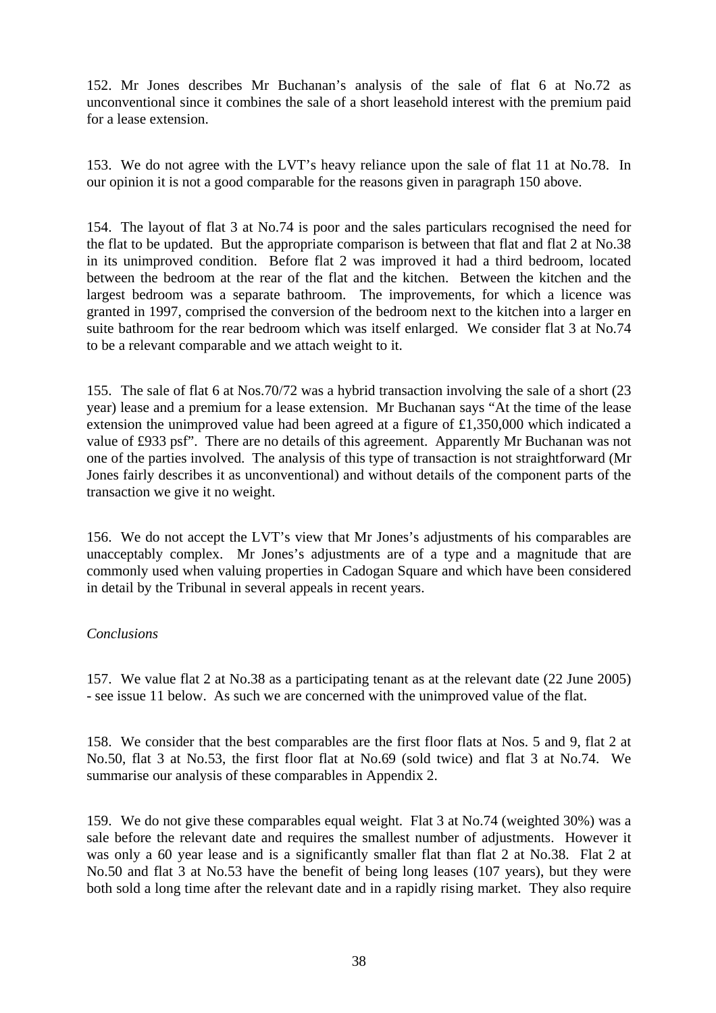152. Mr Jones describes Mr Buchanan's analysis of the sale of flat 6 at No.72 as unconventional since it combines the sale of a short leasehold interest with the premium paid for a lease extension.

153. We do not agree with the LVT's heavy reliance upon the sale of flat 11 at No.78. In our opinion it is not a good comparable for the reasons given in paragraph 150 above.

154. The layout of flat 3 at No.74 is poor and the sales particulars recognised the need for the flat to be updated. But the appropriate comparison is between that flat and flat 2 at No.38 in its unimproved condition. Before flat 2 was improved it had a third bedroom, located between the bedroom at the rear of the flat and the kitchen. Between the kitchen and the largest bedroom was a separate bathroom. The improvements, for which a licence was granted in 1997, comprised the conversion of the bedroom next to the kitchen into a larger en suite bathroom for the rear bedroom which was itself enlarged. We consider flat 3 at No.74 to be a relevant comparable and we attach weight to it.

155. The sale of flat 6 at Nos.70/72 was a hybrid transaction involving the sale of a short (23 year) lease and a premium for a lease extension. Mr Buchanan says "At the time of the lease extension the unimproved value had been agreed at a figure of £1,350,000 which indicated a value of £933 psf". There are no details of this agreement. Apparently Mr Buchanan was not one of the parties involved. The analysis of this type of transaction is not straightforward (Mr Jones fairly describes it as unconventional) and without details of the component parts of the transaction we give it no weight.

156. We do not accept the LVT's view that Mr Jones's adjustments of his comparables are unacceptably complex. Mr Jones's adjustments are of a type and a magnitude that are commonly used when valuing properties in Cadogan Square and which have been considered in detail by the Tribunal in several appeals in recent years.

## *Conclusions*

157. We value flat 2 at No.38 as a participating tenant as at the relevant date (22 June 2005) - see issue 11 below. As such we are concerned with the unimproved value of the flat.

158. We consider that the best comparables are the first floor flats at Nos. 5 and 9, flat 2 at No.50, flat 3 at No.53, the first floor flat at No.69 (sold twice) and flat 3 at No.74. We summarise our analysis of these comparables in Appendix 2.

159. We do not give these comparables equal weight. Flat 3 at No.74 (weighted 30%) was a sale before the relevant date and requires the smallest number of adjustments. However it was only a 60 year lease and is a significantly smaller flat than flat 2 at No.38. Flat 2 at No.50 and flat 3 at No.53 have the benefit of being long leases (107 years), but they were both sold a long time after the relevant date and in a rapidly rising market. They also require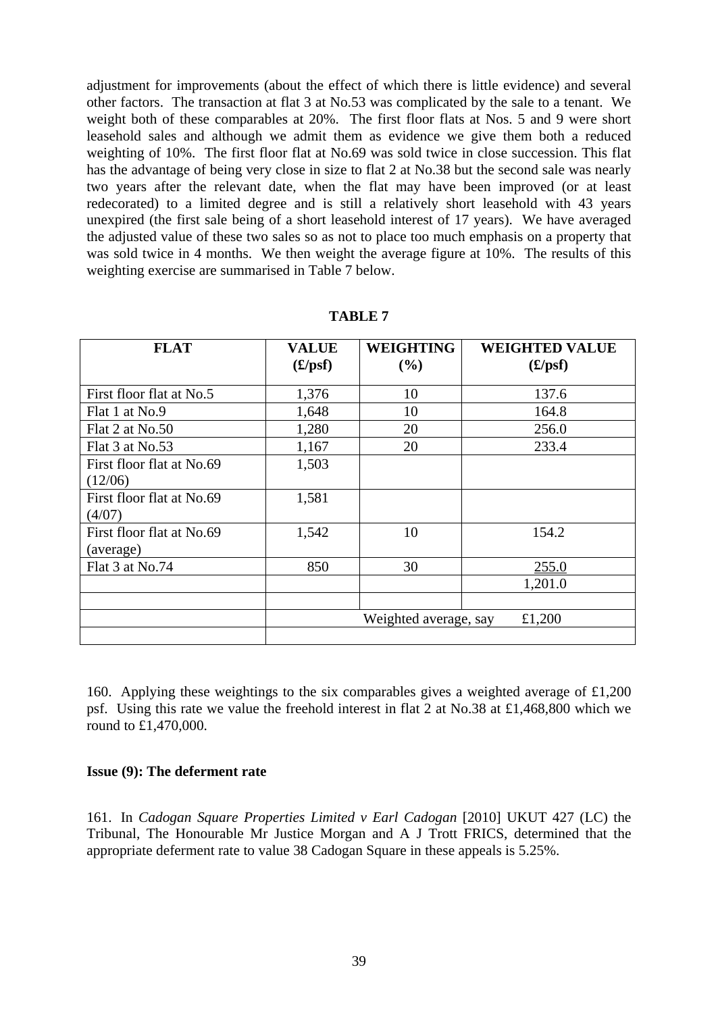adjustment for improvements (about the effect of which there is little evidence) and several other factors. The transaction at flat 3 at No.53 was complicated by the sale to a tenant. We weight both of these comparables at 20%. The first floor flats at Nos. 5 and 9 were short leasehold sales and although we admit them as evidence we give them both a reduced weighting of 10%. The first floor flat at No.69 was sold twice in close succession. This flat has the advantage of being very close in size to flat 2 at No.38 but the second sale was nearly two years after the relevant date, when the flat may have been improved (or at least redecorated) to a limited degree and is still a relatively short leasehold with 43 years unexpired (the first sale being of a short leasehold interest of 17 years). We have averaged the adjusted value of these two sales so as not to place too much emphasis on a property that was sold twice in 4 months. We then weight the average figure at 10%. The results of this weighting exercise are summarised in Table 7 below.

| <b>FLAT</b>               | <b>VALUE</b> | <b>WEIGHTING</b>      | <b>WEIGHTED VALUE</b>  |
|---------------------------|--------------|-----------------------|------------------------|
|                           | (E/psf)      | (%)                   | $(\pounds/\text{psf})$ |
| First floor flat at No.5  | 1,376        | 10                    | 137.6                  |
| Flat 1 at No.9            | 1,648        | 10                    | 164.8                  |
| Flat 2 at No.50           | 1,280        | 20                    | 256.0                  |
| Flat 3 at No.53           | 1,167        | 20                    | 233.4                  |
| First floor flat at No.69 | 1,503        |                       |                        |
| (12/06)                   |              |                       |                        |
| First floor flat at No.69 | 1,581        |                       |                        |
| (4/07)                    |              |                       |                        |
| First floor flat at No.69 | 1,542        | 10                    | 154.2                  |
| (average)                 |              |                       |                        |
| Flat 3 at No.74           | 850          | 30                    | 255.0                  |
|                           |              |                       | 1,201.0                |
|                           |              |                       |                        |
|                           |              | Weighted average, say | £1,200                 |
|                           |              |                       |                        |

**TABLE 7** 

160. Applying these weightings to the six comparables gives a weighted average of £1,200 psf. Using this rate we value the freehold interest in flat 2 at No.38 at £1,468,800 which we round to £1,470,000.

## **Issue (9): The deferment rate**

161. In *Cadogan Square Properties Limited v Earl Cadogan* [2010] UKUT 427 (LC) the Tribunal, The Honourable Mr Justice Morgan and A J Trott FRICS, determined that the appropriate deferment rate to value 38 Cadogan Square in these appeals is 5.25%.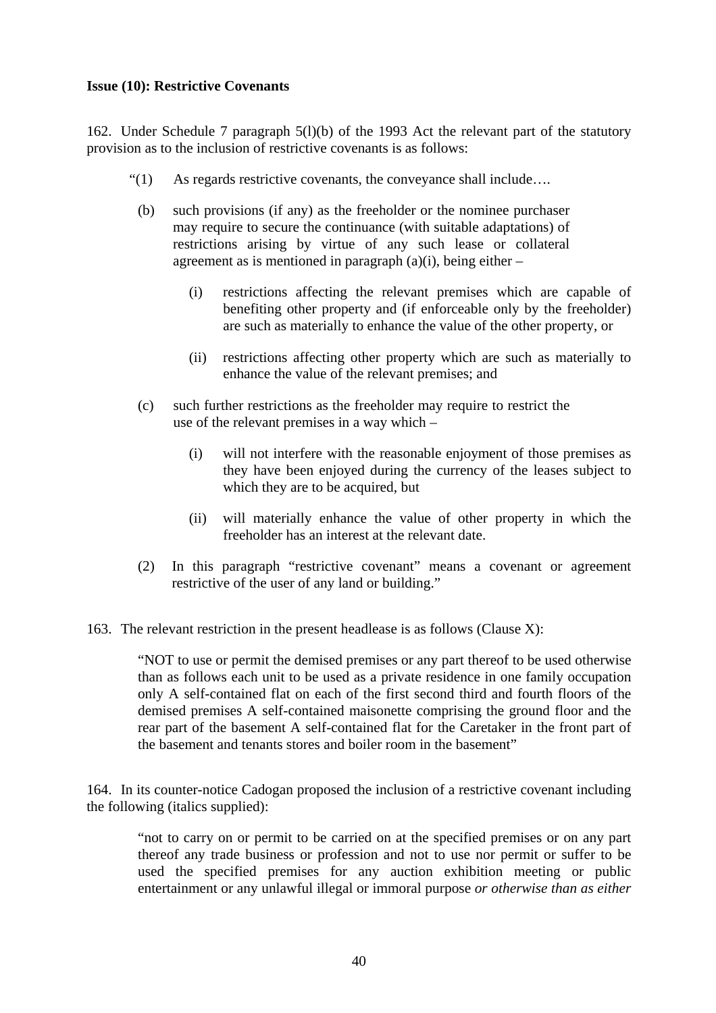## **Issue (10): Restrictive Covenants**

162. Under Schedule 7 paragraph 5(l)(b) of the 1993 Act the relevant part of the statutory provision as to the inclusion of restrictive covenants is as follows:

- "(1) As regards restrictive covenants, the conveyance shall include….
	- (b) such provisions (if any) as the freeholder or the nominee purchaser may require to secure the continuance (with suitable adaptations) of restrictions arising by virtue of any such lease or collateral agreement as is mentioned in paragraph  $(a)(i)$ , being either –
		- (i) restrictions affecting the relevant premises which are capable of benefiting other property and (if enforceable only by the freeholder) are such as materially to enhance the value of the other property, or
		- (ii) restrictions affecting other property which are such as materially to enhance the value of the relevant premises; and
	- (c) such further restrictions as the freeholder may require to restrict the use of the relevant premises in a way which –
		- (i) will not interfere with the reasonable enjoyment of those premises as they have been enjoyed during the currency of the leases subject to which they are to be acquired, but
		- (ii) will materially enhance the value of other property in which the freeholder has an interest at the relevant date.
	- (2) In this paragraph "restrictive covenant" means a covenant or agreement restrictive of the user of any land or building."
- 163. The relevant restriction in the present headlease is as follows (Clause X):

"NOT to use or permit the demised premises or any part thereof to be used otherwise than as follows each unit to be used as a private residence in one family occupation only A self-contained flat on each of the first second third and fourth floors of the demised premises A self-contained maisonette comprising the ground floor and the rear part of the basement A self-contained flat for the Caretaker in the front part of the basement and tenants stores and boiler room in the basement"

164. In its counter-notice Cadogan proposed the inclusion of a restrictive covenant including the following (italics supplied):

"not to carry on or permit to be carried on at the specified premises or on any part thereof any trade business or profession and not to use nor permit or suffer to be used the specified premises for any auction exhibition meeting or public entertainment or any unlawful illegal or immoral purpose *or otherwise than as either*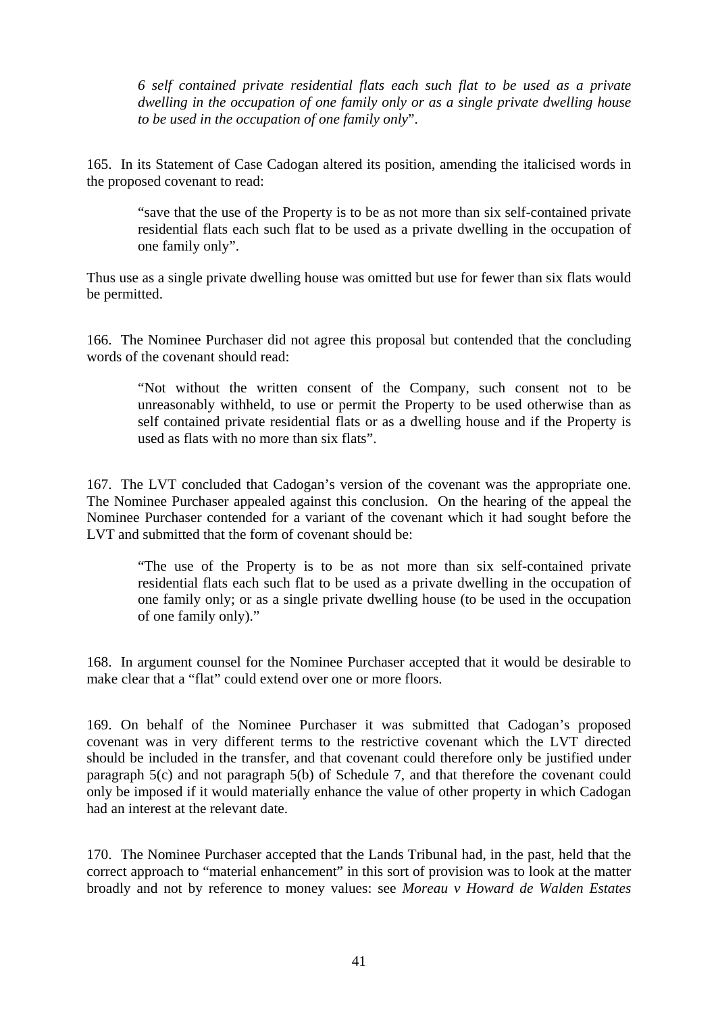*6 self contained private residential flats each such flat to be used as a private dwelling in the occupation of one family only or as a single private dwelling house to be used in the occupation of one family only*".

165. In its Statement of Case Cadogan altered its position, amending the italicised words in the proposed covenant to read:

"save that the use of the Property is to be as not more than six self-contained private residential flats each such flat to be used as a private dwelling in the occupation of one family only".

Thus use as a single private dwelling house was omitted but use for fewer than six flats would be permitted.

166. The Nominee Purchaser did not agree this proposal but contended that the concluding words of the covenant should read:

"Not without the written consent of the Company, such consent not to be unreasonably withheld, to use or permit the Property to be used otherwise than as self contained private residential flats or as a dwelling house and if the Property is used as flats with no more than six flats".

167. The LVT concluded that Cadogan's version of the covenant was the appropriate one. The Nominee Purchaser appealed against this conclusion. On the hearing of the appeal the Nominee Purchaser contended for a variant of the covenant which it had sought before the LVT and submitted that the form of covenant should be:

"The use of the Property is to be as not more than six self-contained private residential flats each such flat to be used as a private dwelling in the occupation of one family only; or as a single private dwelling house (to be used in the occupation of one family only)."

168. In argument counsel for the Nominee Purchaser accepted that it would be desirable to make clear that a "flat" could extend over one or more floors.

169. On behalf of the Nominee Purchaser it was submitted that Cadogan's proposed covenant was in very different terms to the restrictive covenant which the LVT directed should be included in the transfer, and that covenant could therefore only be justified under paragraph 5(c) and not paragraph 5(b) of Schedule 7, and that therefore the covenant could only be imposed if it would materially enhance the value of other property in which Cadogan had an interest at the relevant date.

170. The Nominee Purchaser accepted that the Lands Tribunal had, in the past, held that the correct approach to "material enhancement" in this sort of provision was to look at the matter broadly and not by reference to money values: see *Moreau v Howard de Walden Estates*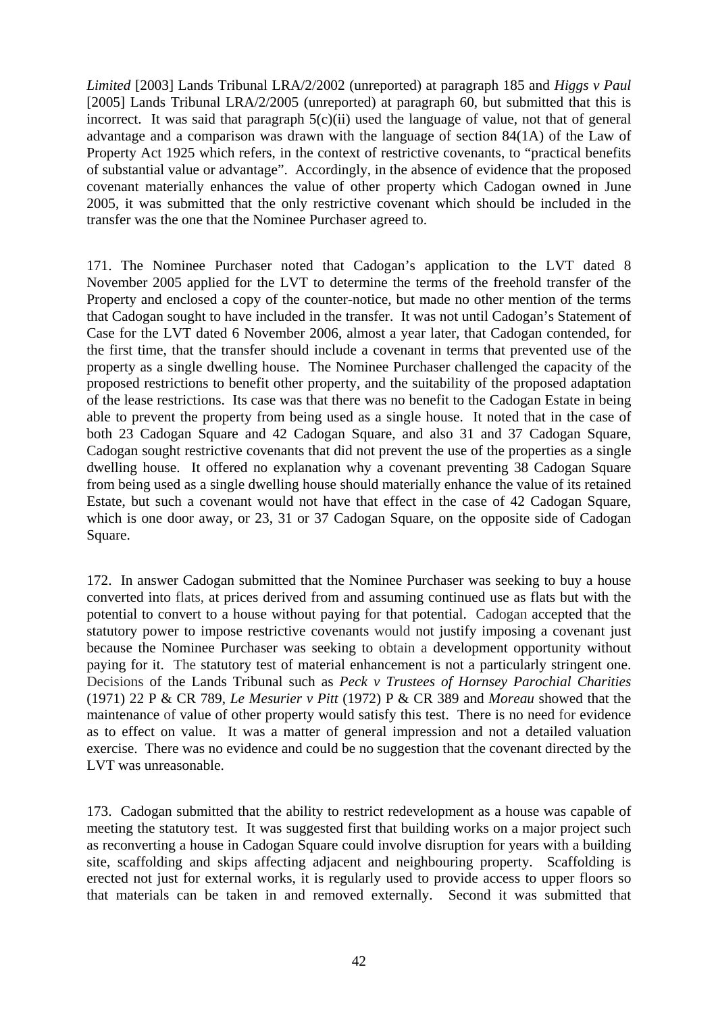*Limited* [2003] Lands Tribunal LRA/2/2002 (unreported) at paragraph 185 and *Higgs v Paul* [2005] Lands Tribunal LRA/2/2005 (unreported) at paragraph 60, but submitted that this is incorrect. It was said that paragraph  $5(c)(ii)$  used the language of value, not that of general advantage and a comparison was drawn with the language of section 84(1A) of the Law of Property Act 1925 which refers, in the context of restrictive covenants, to "practical benefits of substantial value or advantage". Accordingly, in the absence of evidence that the proposed covenant materially enhances the value of other property which Cadogan owned in June 2005, it was submitted that the only restrictive covenant which should be included in the transfer was the one that the Nominee Purchaser agreed to.

171. The Nominee Purchaser noted that Cadogan's application to the LVT dated 8 November 2005 applied for the LVT to determine the terms of the freehold transfer of the Property and enclosed a copy of the counter-notice, but made no other mention of the terms that Cadogan sought to have included in the transfer. It was not until Cadogan's Statement of Case for the LVT dated 6 November 2006, almost a year later, that Cadogan contended, for the first time, that the transfer should include a covenant in terms that prevented use of the property as a single dwelling house. The Nominee Purchaser challenged the capacity of the proposed restrictions to benefit other property, and the suitability of the proposed adaptation of the lease restrictions. Its case was that there was no benefit to the Cadogan Estate in being able to prevent the property from being used as a single house. It noted that in the case of both 23 Cadogan Square and 42 Cadogan Square, and also 31 and 37 Cadogan Square, Cadogan sought restrictive covenants that did not prevent the use of the properties as a single dwelling house. It offered no explanation why a covenant preventing 38 Cadogan Square from being used as a single dwelling house should materially enhance the value of its retained Estate, but such a covenant would not have that effect in the case of 42 Cadogan Square, which is one door away, or 23, 31 or 37 Cadogan Square, on the opposite side of Cadogan Square.

172. In answer Cadogan submitted that the Nominee Purchaser was seeking to buy a house converted into flats, at prices derived from and assuming continued use as flats but with the potential to convert to a house without paying for that potential. Cadogan accepted that the statutory power to impose restrictive covenants would not justify imposing a covenant just because the Nominee Purchaser was seeking to obtain a development opportunity without paying for it. The statutory test of material enhancement is not a particularly stringent one. Decisions of the Lands Tribunal such as *Peck v Trustees of Hornsey Parochial Charities* (1971) 22 P & CR 789, *Le Mesurier v Pitt* (1972) P & CR 389 and *Moreau* showed that the maintenance of value of other property would satisfy this test. There is no need for evidence as to effect on value. It was a matter of general impression and not a detailed valuation exercise. There was no evidence and could be no suggestion that the covenant directed by the LVT was unreasonable.

173. Cadogan submitted that the ability to restrict redevelopment as a house was capable of meeting the statutory test. It was suggested first that building works on a major project such as reconverting a house in Cadogan Square could involve disruption for years with a building site, scaffolding and skips affecting adjacent and neighbouring property. Scaffolding is erected not just for external works, it is regularly used to provide access to upper floors so that materials can be taken in and removed externally. Second it was submitted that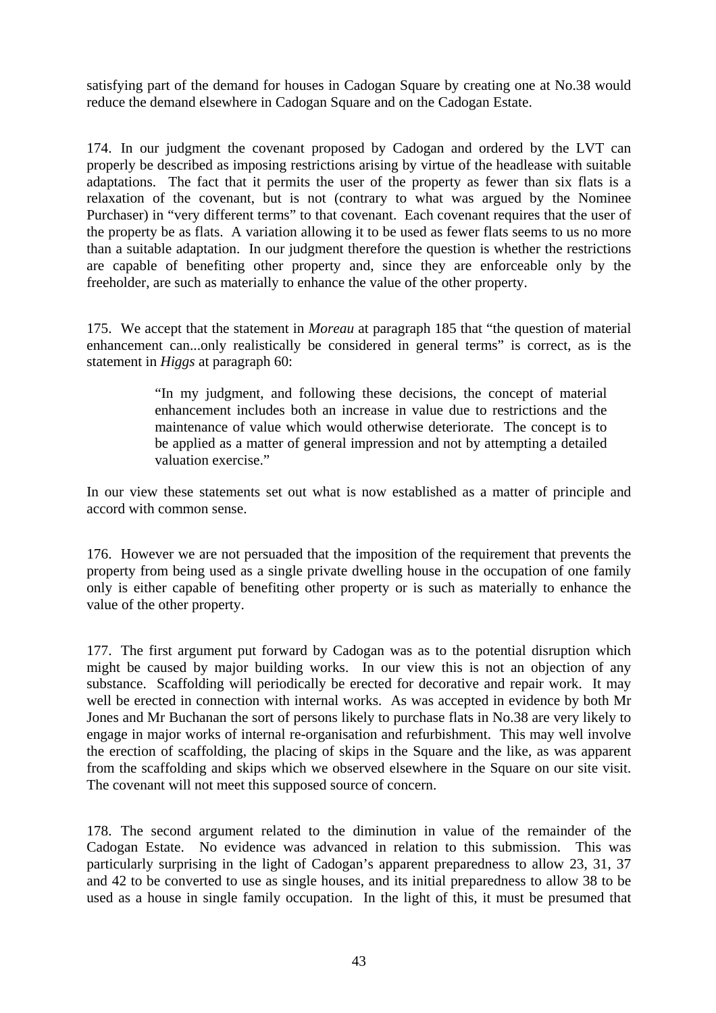satisfying part of the demand for houses in Cadogan Square by creating one at No.38 would reduce the demand elsewhere in Cadogan Square and on the Cadogan Estate.

174. In our judgment the covenant proposed by Cadogan and ordered by the LVT can properly be described as imposing restrictions arising by virtue of the headlease with suitable adaptations. The fact that it permits the user of the property as fewer than six flats is a relaxation of the covenant, but is not (contrary to what was argued by the Nominee Purchaser) in "very different terms" to that covenant. Each covenant requires that the user of the property be as flats. A variation allowing it to be used as fewer flats seems to us no more than a suitable adaptation. In our judgment therefore the question is whether the restrictions are capable of benefiting other property and, since they are enforceable only by the freeholder, are such as materially to enhance the value of the other property.

175. We accept that the statement in *Moreau* at paragraph 185 that "the question of material enhancement can...only realistically be considered in general terms" is correct, as is the statement in *Higgs* at paragraph 60:

> "In my judgment, and following these decisions, the concept of material enhancement includes both an increase in value due to restrictions and the maintenance of value which would otherwise deteriorate. The concept is to be applied as a matter of general impression and not by attempting a detailed valuation exercise."

In our view these statements set out what is now established as a matter of principle and accord with common sense.

176. However we are not persuaded that the imposition of the requirement that prevents the property from being used as a single private dwelling house in the occupation of one family only is either capable of benefiting other property or is such as materially to enhance the value of the other property.

177. The first argument put forward by Cadogan was as to the potential disruption which might be caused by major building works. In our view this is not an objection of any substance. Scaffolding will periodically be erected for decorative and repair work. It may well be erected in connection with internal works. As was accepted in evidence by both Mr Jones and Mr Buchanan the sort of persons likely to purchase flats in No.38 are very likely to engage in major works of internal re-organisation and refurbishment. This may well involve the erection of scaffolding, the placing of skips in the Square and the like, as was apparent from the scaffolding and skips which we observed elsewhere in the Square on our site visit. The covenant will not meet this supposed source of concern.

178. The second argument related to the diminution in value of the remainder of the Cadogan Estate. No evidence was advanced in relation to this submission. This was particularly surprising in the light of Cadogan's apparent preparedness to allow 23, 31, 37 and 42 to be converted to use as single houses, and its initial preparedness to allow 38 to be used as a house in single family occupation. In the light of this, it must be presumed that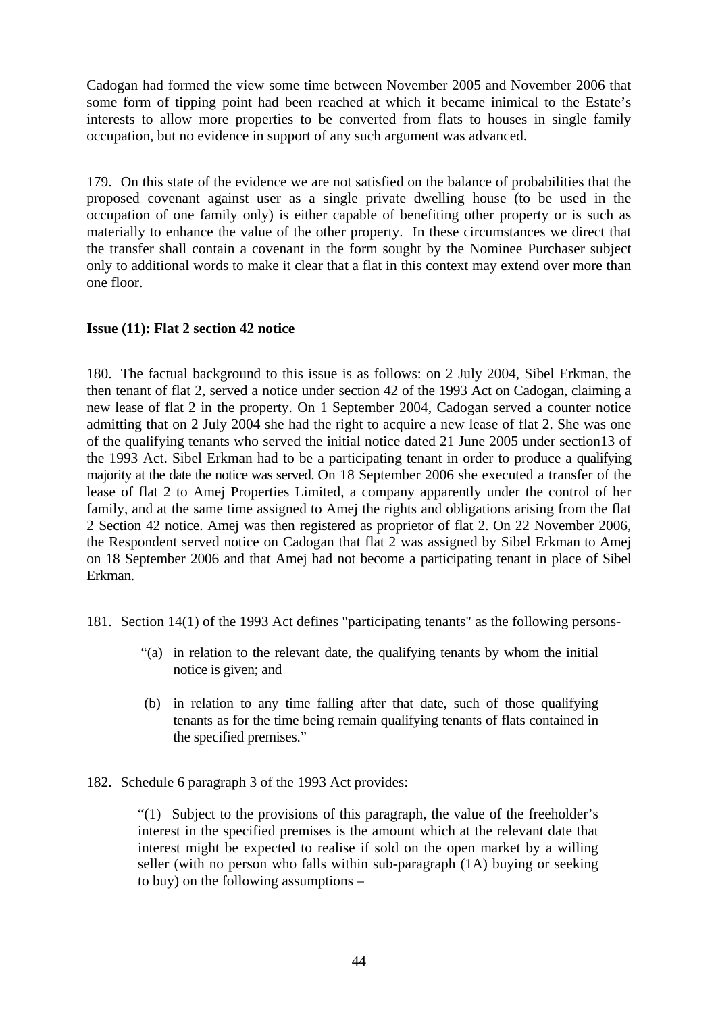Cadogan had formed the view some time between November 2005 and November 2006 that some form of tipping point had been reached at which it became inimical to the Estate's interests to allow more properties to be converted from flats to houses in single family occupation, but no evidence in support of any such argument was advanced.

179. On this state of the evidence we are not satisfied on the balance of probabilities that the proposed covenant against user as a single private dwelling house (to be used in the occupation of one family only) is either capable of benefiting other property or is such as materially to enhance the value of the other property. In these circumstances we direct that the transfer shall contain a covenant in the form sought by the Nominee Purchaser subject only to additional words to make it clear that a flat in this context may extend over more than one floor.

## **Issue (11): Flat 2 section 42 notice**

180. The factual background to this issue is as follows: on 2 July 2004, Sibel Erkman, the then tenant of flat 2, served a notice under section 42 of the 1993 Act on Cadogan, claiming a new lease of flat 2 in the property. On 1 September 2004, Cadogan served a counter notice admitting that on 2 July 2004 she had the right to acquire a new lease of flat 2. She was one of the qualifying tenants who served the initial notice dated 21 June 2005 under section13 of the 1993 Act. Sibel Erkman had to be a participating tenant in order to produce a qualifying majority at the date the notice was served. On 18 September 2006 she executed a transfer of the lease of flat 2 to Amej Properties Limited, a company apparently under the control of her family, and at the same time assigned to Amej the rights and obligations arising from the flat 2 Section 42 notice. Amej was then registered as proprietor of flat 2. On 22 November 2006, the Respondent served notice on Cadogan that flat 2 was assigned by Sibel Erkman to Amej on 18 September 2006 and that Amej had not become a participating tenant in place of Sibel Erkman.

181. Section 14(1) of the 1993 Act defines "participating tenants" as the following persons-

- "(a) in relation to the relevant date, the qualifying tenants by whom the initial notice is given; and
- (b) in relation to any time falling after that date, such of those qualifying tenants as for the time being remain qualifying tenants of flats contained in the specified premises."
- 182. Schedule 6 paragraph 3 of the 1993 Act provides:

"(1) Subject to the provisions of this paragraph, the value of the freeholder's interest in the specified premises is the amount which at the relevant date that interest might be expected to realise if sold on the open market by a willing seller (with no person who falls within sub-paragraph (1A) buying or seeking to buy) on the following assumptions –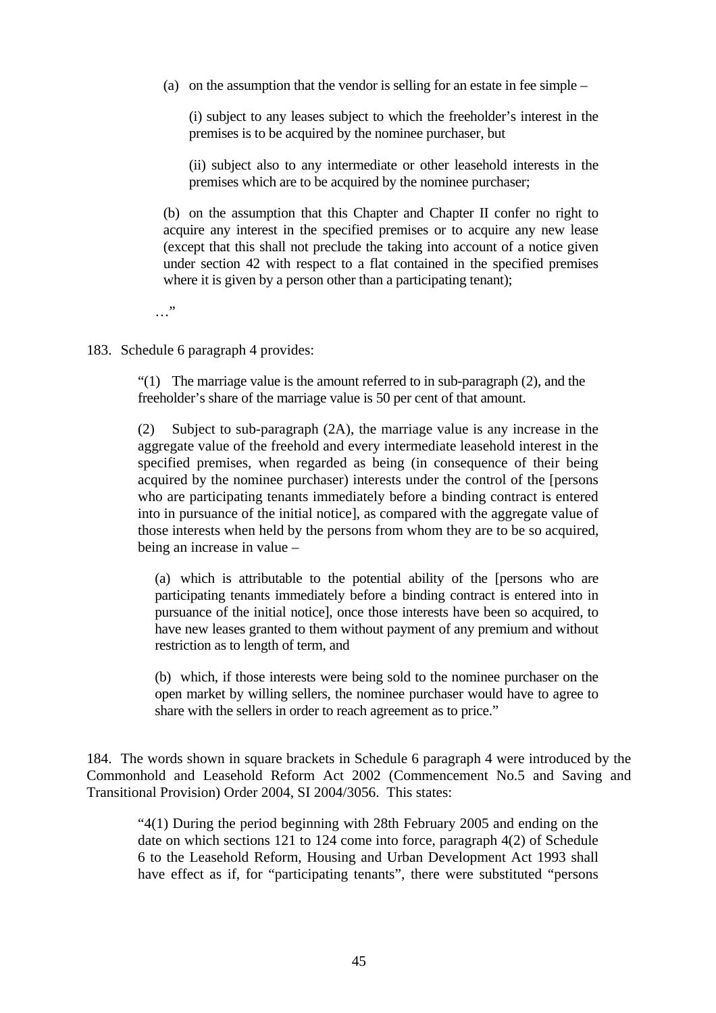(a) on the assumption that the vendor is selling for an estate in fee simple –

(i) subject to any leases subject to which the freeholder's interest in the premises is to be acquired by the nominee purchaser, but

(ii) subject also to any intermediate or other leasehold interests in the premises which are to be acquired by the nominee purchaser;

(b) on the assumption that this Chapter and Chapter II confer no right to acquire any interest in the specified premises or to acquire any new lease (except that this shall not preclude the taking into account of a notice given under section 42 with respect to a flat contained in the specified premises where it is given by a person other than a participating tenant);

…"

#### 183. Schedule 6 paragraph 4 provides:

 $(1)$  The marriage value is the amount referred to in sub-paragraph  $(2)$ , and the freeholder's share of the marriage value is 50 per cent of that amount.

(2) Subject to sub-paragraph (2A), the marriage value is any increase in the aggregate value of the freehold and every intermediate leasehold interest in the specified premises, when regarded as being (in consequence of their being acquired by the nominee purchaser) interests under the control of the [persons who are participating tenants immediately before a binding contract is entered into in pursuance of the initial notice], as compared with the aggregate value of those interests when held by the persons from whom they are to be so acquired, being an increase in value –

(a) which is attributable to the potential ability of the [persons who are participating tenants immediately before a binding contract is entered into in pursuance of the initial notice], once those interests have been so acquired, to have new leases granted to them without payment of any premium and without restriction as to length of term, and

(b) which, if those interests were being sold to the nominee purchaser on the open market by willing sellers, the nominee purchaser would have to agree to share with the sellers in order to reach agreement as to price."

184. The words shown in square brackets in Schedule 6 paragraph 4 were introduced by the Commonhold and Leasehold Reform Act 2002 (Commencement No.5 and Saving and Transitional Provision) Order 2004, SI 2004/3056. This states:

"4(1) During the period beginning with 28th February 2005 and ending on the date on which sections 121 to 124 come into force, paragraph 4(2) of Schedule 6 to the Leasehold Reform, Housing and Urban Development Act 1993 shall have effect as if, for "participating tenants", there were substituted "persons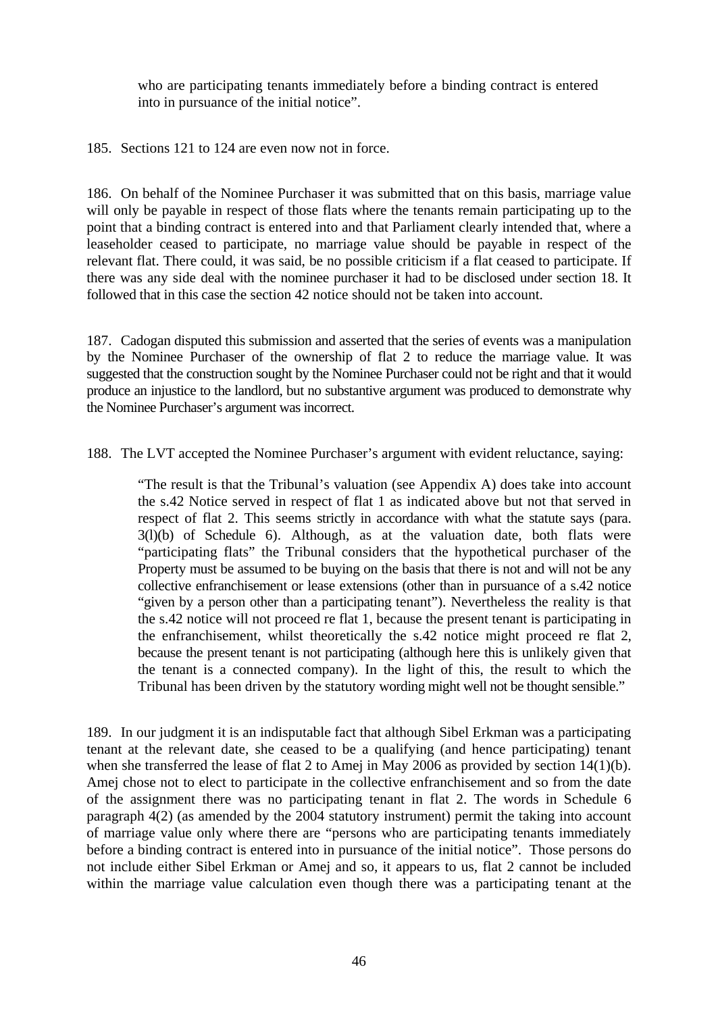who are participating tenants immediately before a binding contract is entered into in pursuance of the initial notice".

185. Sections 121 to 124 are even now not in force.

186. On behalf of the Nominee Purchaser it was submitted that on this basis, marriage value will only be payable in respect of those flats where the tenants remain participating up to the point that a binding contract is entered into and that Parliament clearly intended that, where a leaseholder ceased to participate, no marriage value should be payable in respect of the relevant flat. There could, it was said, be no possible criticism if a flat ceased to participate. If there was any side deal with the nominee purchaser it had to be disclosed under section 18. It followed that in this case the section 42 notice should not be taken into account.

187. Cadogan disputed this submission and asserted that the series of events was a manipulation by the Nominee Purchaser of the ownership of flat 2 to reduce the marriage value. It was suggested that the construction sought by the Nominee Purchaser could not be right and that it would produce an injustice to the landlord, but no substantive argument was produced to demonstrate why the Nominee Purchaser's argument was incorrect.

188. The LVT accepted the Nominee Purchaser's argument with evident reluctance, saying:

"The result is that the Tribunal's valuation (see Appendix A) does take into account the s.42 Notice served in respect of flat 1 as indicated above but not that served in respect of flat 2. This seems strictly in accordance with what the statute says (para. 3(l)(b) of Schedule 6). Although, as at the valuation date, both flats were "participating flats" the Tribunal considers that the hypothetical purchaser of the Property must be assumed to be buying on the basis that there is not and will not be any collective enfranchisement or lease extensions (other than in pursuance of a s.42 notice "given by a person other than a participating tenant"). Nevertheless the reality is that the s.42 notice will not proceed re flat 1, because the present tenant is participating in the enfranchisement, whilst theoretically the s.42 notice might proceed re flat 2, because the present tenant is not participating (although here this is unlikely given that the tenant is a connected company). In the light of this, the result to which the Tribunal has been driven by the statutory wording might well not be thought sensible."

189. In our judgment it is an indisputable fact that although Sibel Erkman was a participating tenant at the relevant date, she ceased to be a qualifying (and hence participating) tenant when she transferred the lease of flat 2 to Amej in May 2006 as provided by section 14(1)(b). Amej chose not to elect to participate in the collective enfranchisement and so from the date of the assignment there was no participating tenant in flat 2. The words in Schedule 6 paragraph 4(2) (as amended by the 2004 statutory instrument) permit the taking into account of marriage value only where there are "persons who are participating tenants immediately before a binding contract is entered into in pursuance of the initial notice". Those persons do not include either Sibel Erkman or Amej and so, it appears to us, flat 2 cannot be included within the marriage value calculation even though there was a participating tenant at the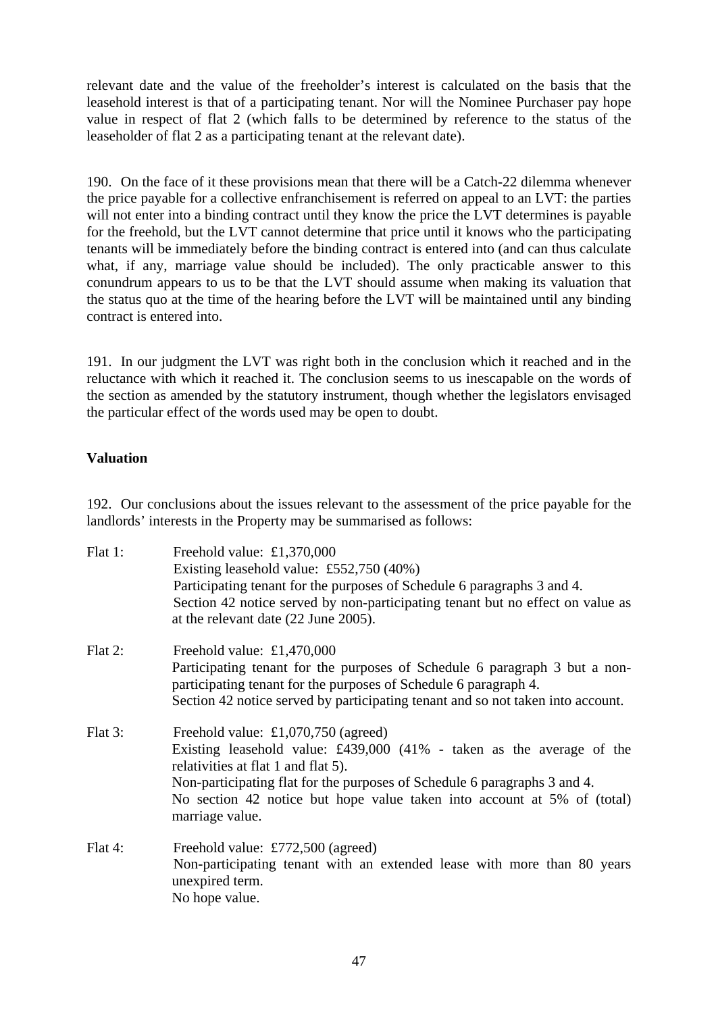relevant date and the value of the freeholder's interest is calculated on the basis that the leasehold interest is that of a participating tenant. Nor will the Nominee Purchaser pay hope value in respect of flat 2 (which falls to be determined by reference to the status of the leaseholder of flat 2 as a participating tenant at the relevant date).

190. On the face of it these provisions mean that there will be a Catch-22 dilemma whenever the price payable for a collective enfranchisement is referred on appeal to an LVT: the parties will not enter into a binding contract until they know the price the LVT determines is payable for the freehold, but the LVT cannot determine that price until it knows who the participating tenants will be immediately before the binding contract is entered into (and can thus calculate what, if any, marriage value should be included). The only practicable answer to this conundrum appears to us to be that the LVT should assume when making its valuation that the status quo at the time of the hearing before the LVT will be maintained until any binding contract is entered into.

191. In our judgment the LVT was right both in the conclusion which it reached and in the reluctance with which it reached it. The conclusion seems to us inescapable on the words of the section as amended by the statutory instrument, though whether the legislators envisaged the particular effect of the words used may be open to doubt.

# **Valuation**

192. Our conclusions about the issues relevant to the assessment of the price payable for the landlords' interests in the Property may be summarised as follows:

| Flat $1$ : | Freehold value: $£1,370,000$<br>Existing leasehold value: £552,750 $(40\%)$<br>Participating tenant for the purposes of Schedule 6 paragraphs 3 and 4.<br>Section 42 notice served by non-participating tenant but no effect on value as<br>at the relevant date (22 June 2005).                                                   |
|------------|------------------------------------------------------------------------------------------------------------------------------------------------------------------------------------------------------------------------------------------------------------------------------------------------------------------------------------|
| Flat 2:    | Freehold value: $£1,470,000$<br>Participating tenant for the purposes of Schedule 6 paragraph 3 but a non-<br>participating tenant for the purposes of Schedule 6 paragraph 4.<br>Section 42 notice served by participating tenant and so not taken into account.                                                                  |
| Flat 3:    | Freehold value: $£1,070,750$ (agreed)<br>Existing leasehold value: $£439,000$ (41% - taken as the average of the<br>relativities at flat 1 and flat 5).<br>Non-participating flat for the purposes of Schedule 6 paragraphs 3 and 4.<br>No section 42 notice but hope value taken into account at 5% of (total)<br>marriage value. |
| Flat 4:    | Freehold value: £772,500 (agreed)<br>Non-participating tenant with an extended lease with more than 80 years<br>unexpired term.<br>No hope value.                                                                                                                                                                                  |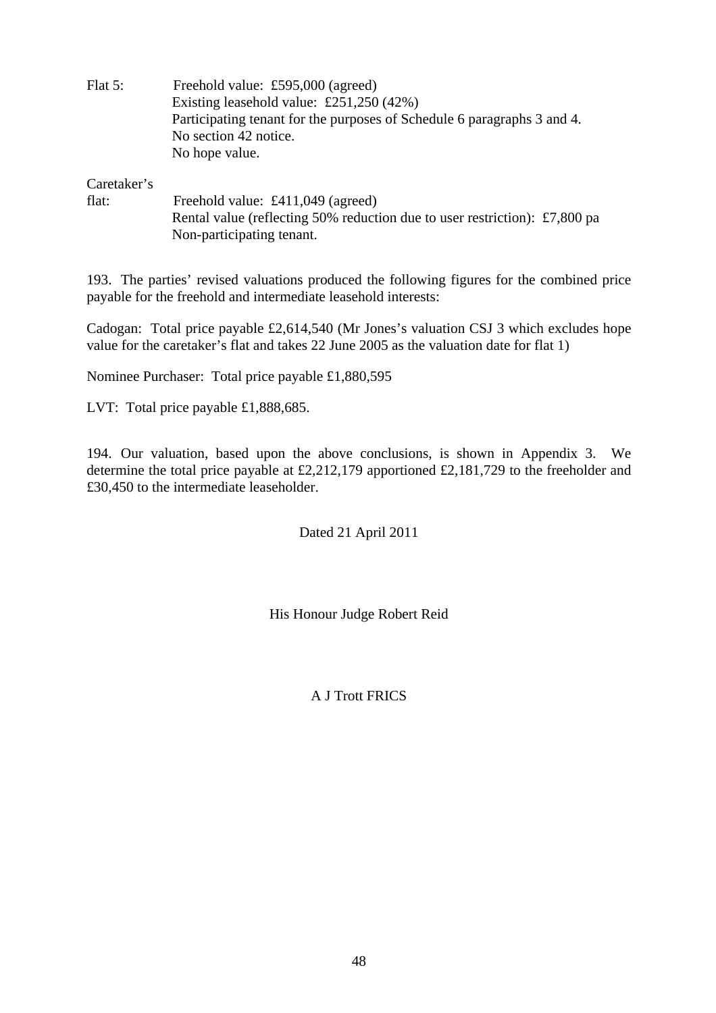| Flat $5$ : | Freehold value: £595,000 (agreed)                                       |  |  |  |  |  |
|------------|-------------------------------------------------------------------------|--|--|--|--|--|
|            | Existing leasehold value: £251,250 $(42\%)$                             |  |  |  |  |  |
|            | Participating tenant for the purposes of Schedule 6 paragraphs 3 and 4. |  |  |  |  |  |
|            | No section 42 notice.                                                   |  |  |  |  |  |
|            | No hope value.                                                          |  |  |  |  |  |
|            |                                                                         |  |  |  |  |  |

Caretaker's

| flat: | Freehold value: $\pounds411,049$ (agreed)                                  |
|-------|----------------------------------------------------------------------------|
|       | Rental value (reflecting 50% reduction due to user restriction): £7,800 pa |
|       | Non-participating tenant.                                                  |

193. The parties' revised valuations produced the following figures for the combined price payable for the freehold and intermediate leasehold interests:

Cadogan: Total price payable £2,614,540 (Mr Jones's valuation CSJ 3 which excludes hope value for the caretaker's flat and takes 22 June 2005 as the valuation date for flat 1)

Nominee Purchaser: Total price payable £1,880,595

LVT: Total price payable £1,888,685.

194. Our valuation, based upon the above conclusions, is shown in Appendix 3. We determine the total price payable at £2,212,179 apportioned £2,181,729 to the freeholder and £30,450 to the intermediate leaseholder.

Dated 21 April 2011

His Honour Judge Robert Reid

A J Trott FRICS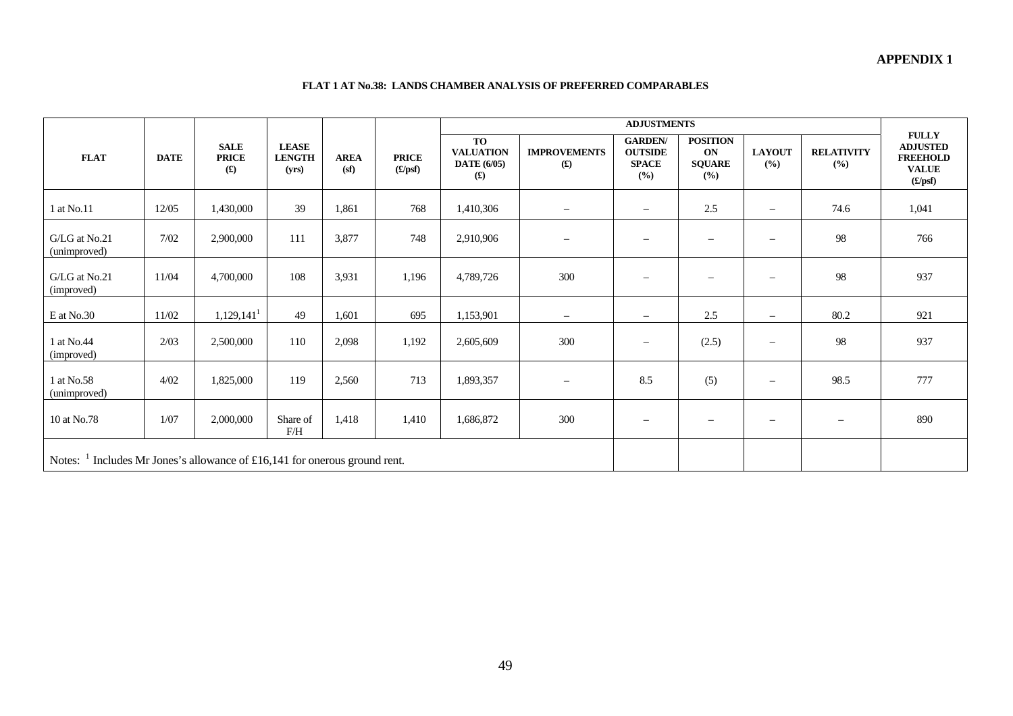#### **FLAT 1 AT No.38: LANDS CHAMBER ANALYSIS OF PREFERRED COMPARABLES**

| <b>FLAT</b>                                                                            | <b>DATE</b> | <b>SALE</b><br><b>PRICE</b><br>f(x) | <b>LEASE</b><br><b>LENGTH</b><br>(yrs) | <b>AREA</b><br>(sf) | <b>PRICE</b><br>$(\pounds/\text{psf})$ | <b>TO</b><br><b>VALUATION</b><br><b>DATE</b> (6/05)<br>$\mathbf{f}(\mathbf{f})$ | <b>IMPROVEMENTS</b><br>$f(\mathbf{f})$ | <b>GARDEN/</b><br><b>OUTSIDE</b><br><b>SPACE</b><br>(%) | <b>POSITION</b><br>ON<br><b>SQUARE</b><br>$($ %) | <b>LAYOUT</b><br>(%)     | <b>RELATIVITY</b><br>(%) | <b>FULLY</b><br><b>ADJUSTED</b><br><b>FREEHOLD</b><br><b>VALUE</b><br>(E/psf) |
|----------------------------------------------------------------------------------------|-------------|-------------------------------------|----------------------------------------|---------------------|----------------------------------------|---------------------------------------------------------------------------------|----------------------------------------|---------------------------------------------------------|--------------------------------------------------|--------------------------|--------------------------|-------------------------------------------------------------------------------|
| 1 at No.11                                                                             | 12/05       | 1,430,000                           | 39                                     | 1,861               | 768                                    | 1,410,306                                                                       | $\overline{\phantom{m}}$               | $\overline{\phantom{a}}$                                | 2.5                                              | $\overline{\phantom{m}}$ | 74.6                     | 1,041                                                                         |
| G/LG at No.21<br>(unimproved)                                                          | 7/02        | 2,900,000                           | 111                                    | 3,877               | 748                                    | 2,910,906                                                                       |                                        | $\overline{\phantom{a}}$                                | —                                                | $\overline{\phantom{0}}$ | 98                       | 766                                                                           |
| G/LG at No.21<br>(improved)                                                            | 11/04       | 4,700,000                           | 108                                    | 3,931               | 1,196                                  | 4,789,726                                                                       | 300                                    | $\overline{\phantom{m}}$                                | —                                                | $\overline{\phantom{m}}$ | 98                       | 937                                                                           |
| E at No.30                                                                             | 11/02       | 1,129,141                           | 49                                     | 1,601               | 695                                    | 1,153,901                                                                       | $\overline{\phantom{m}}$               | $\overline{\phantom{a}}$                                | 2.5                                              | $\overline{\phantom{m}}$ | 80.2                     | 921                                                                           |
| 1 at No.44<br>(improved)                                                               | 2/03        | 2,500,000                           | 110                                    | 2,098               | 1,192                                  | 2,605,609                                                                       | 300                                    | $\overline{\phantom{m}}$                                | (2.5)                                            | $\overline{\phantom{m}}$ | 98                       | 937                                                                           |
| 1 at No.58<br>(unimproved)                                                             | 4/02        | 1,825,000                           | 119                                    | 2,560               | 713                                    | 1,893,357                                                                       | $\overline{\phantom{m}}$               | 8.5                                                     | (5)                                              | $\overline{\phantom{m}}$ | 98.5                     | 777                                                                           |
| 10 at No.78                                                                            | 1/07        | 2,000,000                           | Share of<br>F/H                        | 1,418               | 1,410                                  | 1,686,872                                                                       | 300                                    | $\overline{\phantom{m}}$                                | $\qquad \qquad$                                  | $\overline{\phantom{m}}$ | $\overline{\phantom{m}}$ | 890                                                                           |
| Notes: $\frac{1}{1}$ Includes Mr Jones's allowance of £16,141 for onerous ground rent. |             |                                     |                                        |                     |                                        |                                                                                 |                                        |                                                         |                                                  |                          |                          |                                                                               |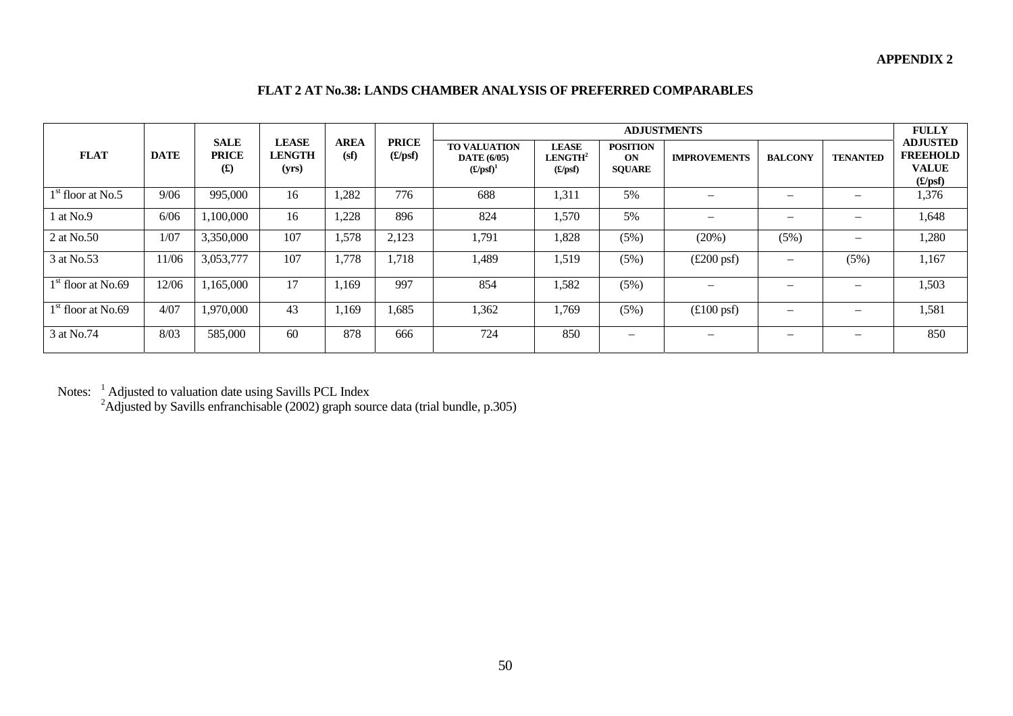#### **APPENDIX 2**

#### **FLAT 2 AT No.38: LANDS CHAMBER ANALYSIS OF PREFERRED COMPARABLES**

|                      |             |                                               |                                        |                     |                         | <b>ADJUSTMENTS</b>                                                    |                                      |                                        |                             |                          |                 | <b>FULLY</b>                                                  |
|----------------------|-------------|-----------------------------------------------|----------------------------------------|---------------------|-------------------------|-----------------------------------------------------------------------|--------------------------------------|----------------------------------------|-----------------------------|--------------------------|-----------------|---------------------------------------------------------------|
| <b>FLAT</b>          | <b>DATE</b> | <b>SALE</b><br><b>PRICE</b><br>$\mathbf{(f)}$ | <b>LEASE</b><br><b>LENGTH</b><br>(yrs) | <b>AREA</b><br>(sf) | <b>PRICE</b><br>(E/psf) | <b>TO VALUATION</b><br><b>DATE</b> (6/05)<br>$(\pounds/\text{psf})^1$ | <b>LEASE</b><br>$LENGTH2$<br>(E/psf) | <b>POSITION</b><br>ON<br><b>SOUARE</b> | <b>IMPROVEMENTS</b>         | <b>BALCONY</b>           | <b>TENANTED</b> | <b>ADJUSTED</b><br><b>FREEHOLD</b><br><b>VALUE</b><br>(E/psf) |
| $1st$ floor at No.5  | 9/06        | 995,000                                       | 16                                     | 1,282               | 776                     | 688                                                                   | 1,311                                | 5%                                     |                             | -                        |                 | 1,376                                                         |
| 1 at No.9            | 6/06        | 1,100,000                                     | 16                                     | 1,228               | 896                     | 824                                                                   | 1,570                                | 5%                                     | -                           | -                        | -               | 1,648                                                         |
| 2 at No.50           | 1/07        | 3,350,000                                     | 107                                    | 1,578               | 2,123                   | 1,791                                                                 | 1,828                                | (5%)                                   | (20%)                       | (5%)                     | -               | 1,280                                                         |
| 3 at No.53           | 11/06       | 3,053,777                                     | 107                                    | 1,778               | 1,718                   | 1,489                                                                 | 1,519                                | (5%)                                   | $(\pounds 200 \text{ psf})$ |                          | (5%)            | 1,167                                                         |
| $1st$ floor at No.69 | 12/06       | 1,165,000                                     | 17                                     | 1,169               | 997                     | 854                                                                   | 1,582                                | (5%)                                   | -                           |                          |                 | 1,503                                                         |
| $1st$ floor at No.69 | 4/07        | 1,970,000                                     | 43                                     | 1,169               | 1,685                   | 1,362                                                                 | 1,769                                | (5%)                                   | $(\pounds100 \text{ psf})$  | $\overline{\phantom{0}}$ | -               | 1,581                                                         |
| 3 at No.74           | 8/03        | 585,000                                       | 60                                     | 878                 | 666                     | 724                                                                   | 850                                  | $\overline{\phantom{0}}$               |                             | $\overline{\phantom{0}}$ | -               | 850                                                           |

Notes:  $^{-1}$  Adjusted to valuation date using Savills PCL Index

<sup>2</sup>Adjusted by Savills enfranchisable (2002) graph source data (trial bundle, p.305)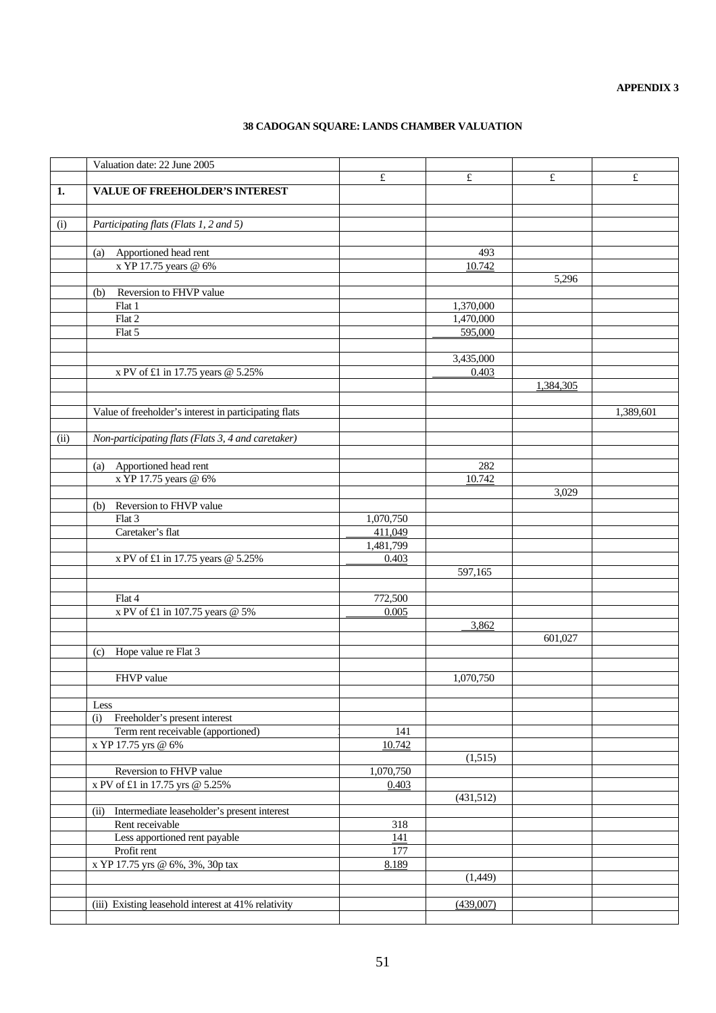#### **38 CADOGAN SQUARE: LANDS CHAMBER VALUATION**

|      | Valuation date: 22 June 2005                          |           |           |           |           |
|------|-------------------------------------------------------|-----------|-----------|-----------|-----------|
|      |                                                       | £         | £         | $\pounds$ | £         |
| 1.   | <b>VALUE OF FREEHOLDER'S INTEREST</b>                 |           |           |           |           |
|      |                                                       |           |           |           |           |
|      |                                                       |           |           |           |           |
| (i)  | Participating flats (Flats 1, 2 and 5)                |           |           |           |           |
|      |                                                       |           |           |           |           |
|      | Apportioned head rent<br>(a)                          |           | 493       |           |           |
|      | x YP 17.75 years @ 6%                                 |           | 10.742    |           |           |
|      |                                                       |           |           | 5,296     |           |
|      | Reversion to FHVP value<br>(b)                        |           |           |           |           |
|      | Flat 1                                                |           | 1,370,000 |           |           |
|      | Flat 2                                                |           | 1,470,000 |           |           |
|      | Flat 5                                                |           | 595,000   |           |           |
|      |                                                       |           |           |           |           |
|      |                                                       |           | 3,435,000 |           |           |
|      | x PV of £1 in 17.75 years @ 5.25%                     |           | 0.403     |           |           |
|      |                                                       |           |           | 1,384,305 |           |
|      |                                                       |           |           |           |           |
|      | Value of freeholder's interest in participating flats |           |           |           | 1,389,601 |
|      |                                                       |           |           |           |           |
| (ii) | Non-participating flats (Flats 3, 4 and caretaker)    |           |           |           |           |
|      |                                                       |           |           |           |           |
|      | Apportioned head rent<br>(a)                          |           | 282       |           |           |
|      | x YP 17.75 years @ 6%                                 |           | 10.742    |           |           |
|      |                                                       |           |           | 3,029     |           |
|      | (b) Reversion to FHVP value                           |           |           |           |           |
|      | Flat 3                                                | 1,070,750 |           |           |           |
|      | Caretaker's flat                                      | 411,049   |           |           |           |
|      |                                                       | 1,481,799 |           |           |           |
|      | x PV of £1 in 17.75 years @ 5.25%                     | 0.403     |           |           |           |
|      |                                                       |           | 597,165   |           |           |
|      |                                                       |           |           |           |           |
|      | Flat 4                                                | 772,500   |           |           |           |
|      | x PV of £1 in 107.75 years @ 5%                       | 0.005     |           |           |           |
|      |                                                       |           | 3,862     |           |           |
|      |                                                       |           |           | 601,027   |           |
|      | (c) Hope value re Flat 3                              |           |           |           |           |
|      |                                                       |           |           |           |           |
|      | FHVP value                                            |           | 1,070,750 |           |           |
|      |                                                       |           |           |           |           |
|      | Less                                                  |           |           |           |           |
|      | Freeholder's present interest<br>(i)                  |           |           |           |           |
|      | Term rent receivable (apportioned)                    | 141       |           |           |           |
|      | x YP 17.75 yrs @ 6%                                   | 10.742    |           |           |           |
|      |                                                       |           | (1,515)   |           |           |
|      | Reversion to FHVP value                               | 1,070,750 |           |           |           |
|      | x PV of £1 in 17.75 yrs @ 5.25%                       | 0.403     |           |           |           |
|      |                                                       |           | (431,512) |           |           |
|      | Intermediate leaseholder's present interest<br>(ii)   |           |           |           |           |
|      | Rent receivable                                       | 318       |           |           |           |
|      | Less apportioned rent payable                         | 141       |           |           |           |
|      | Profit rent                                           | 177       |           |           |           |
|      | x YP 17.75 yrs @ 6%, 3%, 30p tax                      | 8.189     |           |           |           |
|      |                                                       |           | (1,449)   |           |           |
|      |                                                       |           |           |           |           |
|      | (iii) Existing leasehold interest at 41% relativity   |           | (439,007) |           |           |
|      |                                                       |           |           |           |           |
|      |                                                       |           |           |           |           |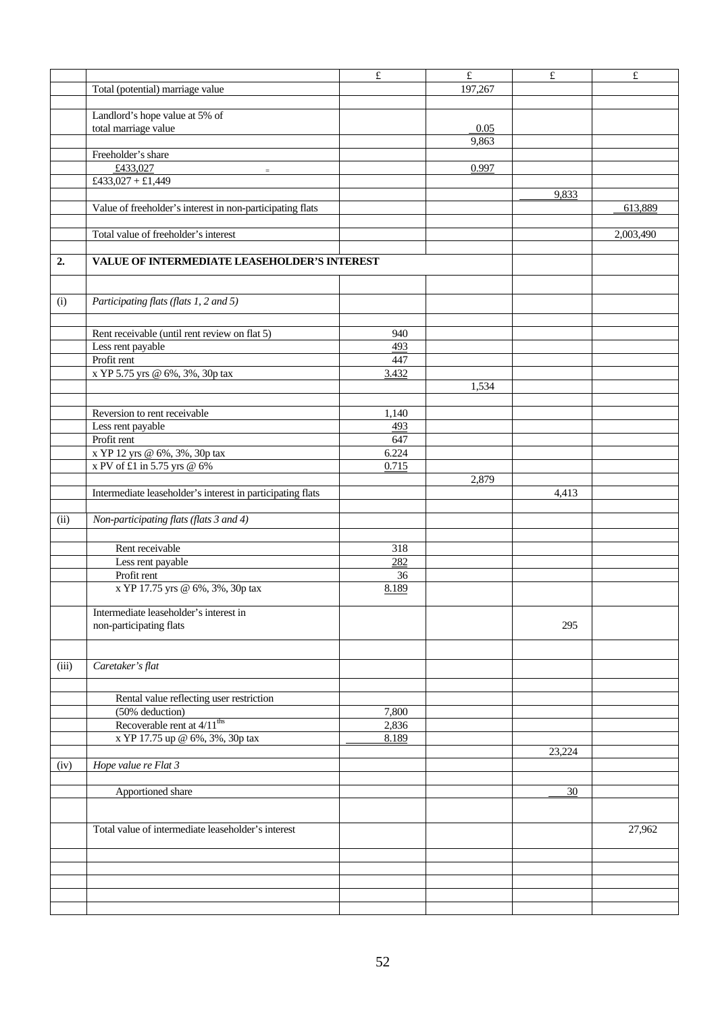|       |                                                            | $\pounds$ | $\pounds$ | £      | £         |
|-------|------------------------------------------------------------|-----------|-----------|--------|-----------|
|       | Total (potential) marriage value                           |           | 197,267   |        |           |
|       |                                                            |           |           |        |           |
|       | Landlord's hope value at 5% of                             |           |           |        |           |
|       | total marriage value                                       |           | 0.05      |        |           |
|       |                                                            |           | 9,863     |        |           |
|       | Freeholder's share                                         |           |           |        |           |
|       | £433,027                                                   |           | 0.997     |        |           |
|       | £433,027 + £1,449                                          |           |           |        |           |
|       |                                                            |           |           | 9,833  |           |
|       | Value of freeholder's interest in non-participating flats  |           |           |        | 613,889   |
|       |                                                            |           |           |        |           |
|       | Total value of freeholder's interest                       |           |           |        | 2,003,490 |
|       |                                                            |           |           |        |           |
| 2.    | VALUE OF INTERMEDIATE LEASEHOLDER'S INTEREST               |           |           |        |           |
|       |                                                            |           |           |        |           |
|       |                                                            |           |           |        |           |
| (i)   | Participating flats (flats 1, 2 and 5)                     |           |           |        |           |
|       |                                                            |           |           |        |           |
|       |                                                            |           |           |        |           |
|       | Rent receivable (until rent review on flat 5)              | 940       |           |        |           |
|       | Less rent payable                                          | 493       |           |        |           |
|       | Profit rent                                                | 447       |           |        |           |
|       | x YP 5.75 yrs @ 6%, 3%, 30p tax                            | 3.432     |           |        |           |
|       |                                                            |           | 1,534     |        |           |
|       |                                                            |           |           |        |           |
|       | Reversion to rent receivable                               | 1,140     |           |        |           |
|       | Less rent payable                                          | 493       |           |        |           |
|       | Profit rent                                                | 647       |           |        |           |
|       | x YP 12 yrs @ 6%, 3%, 30p tax                              | 6.224     |           |        |           |
|       | x PV of £1 in 5.75 yrs @ 6%                                | 0.715     |           |        |           |
|       |                                                            |           | 2,879     |        |           |
|       | Intermediate leaseholder's interest in participating flats |           |           | 4,413  |           |
|       |                                                            |           |           |        |           |
| (ii)  | Non-participating flats (flats 3 and 4)                    |           |           |        |           |
|       |                                                            |           |           |        |           |
|       | Rent receivable                                            | 318       |           |        |           |
|       | Less rent payable                                          | 282       |           |        |           |
|       | Profit rent                                                | 36        |           |        |           |
|       | x YP 17.75 yrs @ 6%, 3%, 30p tax                           | 8.189     |           |        |           |
|       |                                                            |           |           |        |           |
|       | Intermediate leaseholder's interest in                     |           |           |        |           |
|       | non-participating flats                                    |           |           | 295    |           |
|       |                                                            |           |           |        |           |
|       |                                                            |           |           |        |           |
| (iii) | Caretaker's flat                                           |           |           |        |           |
|       |                                                            |           |           |        |           |
|       | Rental value reflecting user restriction                   |           |           |        |           |
|       | (50% deduction)                                            | 7,800     |           |        |           |
|       | Recoverable rent at $4/11^{\text{ths}}$                    | 2,836     |           |        |           |
|       | x YP 17.75 up @ 6%, 3%, 30p tax                            | 8.189     |           |        |           |
|       |                                                            |           |           | 23,224 |           |
| (iv)  | Hope value re Flat 3                                       |           |           |        |           |
|       |                                                            |           |           |        |           |
|       | Apportioned share                                          |           |           | 30     |           |
|       |                                                            |           |           |        |           |
|       |                                                            |           |           |        |           |
|       | Total value of intermediate leaseholder's interest         |           |           |        | 27,962    |
|       |                                                            |           |           |        |           |
|       |                                                            |           |           |        |           |
|       |                                                            |           |           |        |           |
|       |                                                            |           |           |        |           |
|       |                                                            |           |           |        |           |
|       |                                                            |           |           |        |           |